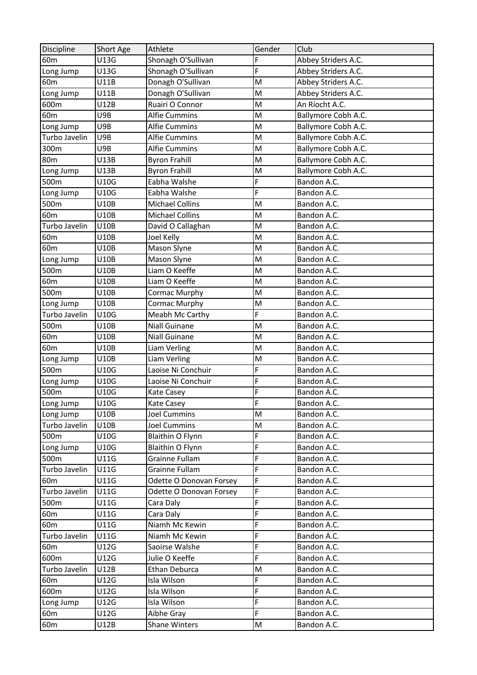| Discipline      | Short Age   | Athlete                 | Gender | Club                |
|-----------------|-------------|-------------------------|--------|---------------------|
| 60 <sub>m</sub> | U13G        | Shonagh O'Sullivan      | F      | Abbey Striders A.C. |
| Long Jump       | U13G        | Shonagh O'Sullivan      | F      | Abbey Striders A.C. |
| 60 <sub>m</sub> | U11B        | Donagh O'Sullivan       | M      | Abbey Striders A.C. |
| Long Jump       | U11B        | Donagh O'Sullivan       | M      | Abbey Striders A.C. |
| 600m            | U12B        | Ruairi O Connor         | M      | An Ríocht A.C.      |
| 60 <sub>m</sub> | U9B         | <b>Alfie Cummins</b>    | M      | Ballymore Cobh A.C. |
| Long Jump       | U9B         | <b>Alfie Cummins</b>    | M      | Ballymore Cobh A.C. |
| Turbo Javelin   | U9B         | <b>Alfie Cummins</b>    | M      | Ballymore Cobh A.C. |
| 300m            | U9B         | <b>Alfie Cummins</b>    | M      | Ballymore Cobh A.C. |
| 80 <sub>m</sub> | <b>U13B</b> | <b>Byron Frahill</b>    | M      | Ballymore Cobh A.C. |
| Long Jump       | U13B        | <b>Byron Frahill</b>    | M      | Ballymore Cobh A.C. |
| 500m            | U10G        | Eabha Walshe            | F      | Bandon A.C.         |
| Long Jump       | U10G        | Eabha Walshe            | F      | Bandon A.C.         |
| 500m            | U10B        | <b>Michael Collins</b>  | M      | Bandon A.C.         |
| 60 <sub>m</sub> | U10B        | <b>Michael Collins</b>  | M      | Bandon A.C.         |
| Turbo Javelin   | U10B        | David O Callaghan       | M      | Bandon A.C.         |
| 60 <sub>m</sub> | U10B        | <b>Joel Kelly</b>       | M      | Bandon A.C.         |
| 60 <sub>m</sub> | U10B        | Mason Slyne             | M      | Bandon A.C.         |
| Long Jump       | U10B        | Mason Slyne             | M      | Bandon A.C.         |
| 500m            | U10B        | Liam O Keeffe           | M      | Bandon A.C.         |
| 60 <sub>m</sub> | U10B        | Liam O Keeffe           | M      | Bandon A.C.         |
| 500m            | U10B        | Cormac Murphy           | M      | Bandon A.C.         |
| Long Jump       | <b>U10B</b> | Cormac Murphy           | M      | Bandon A.C.         |
| Turbo Javelin   | U10G        | Meabh Mc Carthy         | F      | Bandon A.C.         |
| 500m            | U10B        | <b>Niall Guinane</b>    | M      | Bandon A.C.         |
| 60 <sub>m</sub> | U10B        | Niall Guinane           | M      | Bandon A.C.         |
| 60 <sub>m</sub> | U10B        | Liam Verling            | M      | Bandon A.C.         |
| Long Jump       | U10B        | Liam Verling            | M      | Bandon A.C.         |
| 500m            | U10G        | Laoise Ni Conchuir      | F      | Bandon A.C.         |
| Long Jump       | U10G        | Laoise Ni Conchuir      | F      | Bandon A.C.         |
| 500m            | U10G        | Kate Casey              | F      | Bandon A.C.         |
| Long Jump       | U10G        | Kate Casey              | F      | Bandon A.C.         |
| Long Jump       | U10B        | <b>Joel Cummins</b>     | М      | Bandon A.C.         |
| Turbo Javelin   | U10B        | <b>Joel Cummins</b>     | M      | Bandon A.C.         |
| 500m            | U10G        | Blaithin O Flynn        | F      | Bandon A.C.         |
| Long Jump       | U10G        | <b>Blaithin O Flynn</b> | F      | Bandon A.C.         |
| 500m            | U11G        | Grainne Fullam          | F      | Bandon A.C.         |
| Turbo Javelin   | U11G        | Grainne Fullam          | F      | Bandon A.C.         |
| 60 <sub>m</sub> | U11G        | Odette O Donovan Forsey | F      | Bandon A.C.         |
| Turbo Javelin   | U11G        | Odette O Donovan Forsey | F      | Bandon A.C.         |
| 500m            | U11G        | Cara Daly               | F      | Bandon A.C.         |
| 60 <sub>m</sub> | U11G        | Cara Daly               | F      | Bandon A.C.         |
| 60 <sub>m</sub> | U11G        | Niamh Mc Kewin          | F      | Bandon A.C.         |
| Turbo Javelin   | U11G        | Niamh Mc Kewin          | F      | Bandon A.C.         |
| 60 <sub>m</sub> | U12G        | Saoirse Walshe          | F      | Bandon A.C.         |
| 600m            | U12G        | Julie O Keeffe          | F      | Bandon A.C.         |
| Turbo Javelin   | U12B        | Ethan Deburca           | M      | Bandon A.C.         |
| 60 <sub>m</sub> | U12G        | Isla Wilson             | F      | Bandon A.C.         |
| 600m            | U12G        | Isla Wilson             | F      | Bandon A.C.         |
| Long Jump       | U12G        | Isla Wilson             | F      | Bandon A.C.         |
| 60 <sub>m</sub> | U12G        | Aibhe Gray              | F      | Bandon A.C.         |
| 60 <sub>m</sub> | U12B        | <b>Shane Winters</b>    | M      | Bandon A.C.         |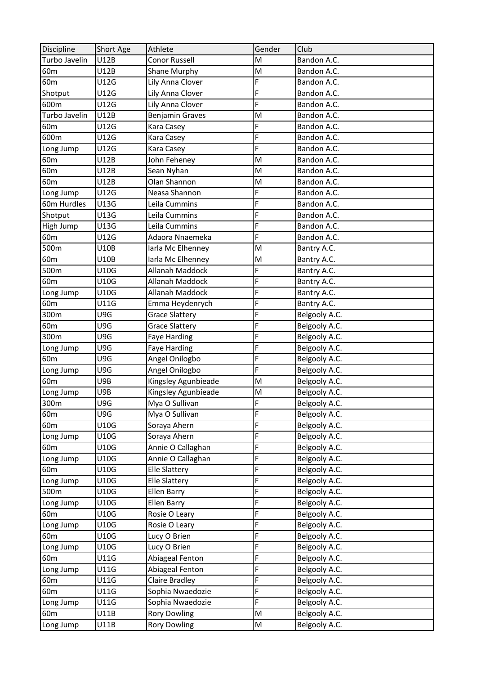| Discipline      | Short Age | Athlete                | Gender | Club          |
|-----------------|-----------|------------------------|--------|---------------|
| Turbo Javelin   | U12B      | <b>Conor Russell</b>   | M      | Bandon A.C.   |
| 60 <sub>m</sub> | U12B      | Shane Murphy           | M      | Bandon A.C.   |
| 60 <sub>m</sub> | U12G      | Lily Anna Clover       | F      | Bandon A.C.   |
| Shotput         | U12G      | Lily Anna Clover       | F      | Bandon A.C.   |
| 600m            | U12G      | Lily Anna Clover       | F      | Bandon A.C.   |
| Turbo Javelin   | U12B      | <b>Benjamin Graves</b> | M      | Bandon A.C.   |
| 60 <sub>m</sub> | U12G      | Kara Casey             | F      | Bandon A.C.   |
| 600m            | U12G      | Kara Casey             | F      | Bandon A.C.   |
| Long Jump       | U12G      | Kara Casey             | F      | Bandon A.C.   |
| 60 <sub>m</sub> | U12B      | John Feheney           | M      | Bandon A.C.   |
| 60 <sub>m</sub> | U12B      | Sean Nyhan             | M      | Bandon A.C.   |
| 60 <sub>m</sub> | U12B      | Olan Shannon           | M      | Bandon A.C.   |
| Long Jump       | U12G      | Neasa Shannon          | F      | Bandon A.C.   |
| 60m Hurdles     | U13G      | Leila Cummins          | F      | Bandon A.C.   |
| Shotput         | U13G      | Leila Cummins          | F      | Bandon A.C.   |
| High Jump       | U13G      | Leila Cummins          | F      | Bandon A.C.   |
| 60m             | U12G      | Adaora Nnaemeka        | F      | Bandon A.C.   |
| 500m            | U10B      | Iarla Mc Elhenney      | M      | Bantry A.C.   |
| 60 <sub>m</sub> | U10B      | larla Mc Elhenney      | M      | Bantry A.C.   |
| 500m            | U10G      | Allanah Maddock        | F      | Bantry A.C.   |
| 60 <sub>m</sub> | U10G      | Allanah Maddock        | F      | Bantry A.C.   |
| Long Jump       | U10G      | Allanah Maddock        | F      | Bantry A.C.   |
| 60 <sub>m</sub> | U11G      | Emma Heydenrych        | F      | Bantry A.C.   |
| 300m            | U9G       | <b>Grace Slattery</b>  | F      | Belgooly A.C. |
| 60 <sub>m</sub> | U9G       | <b>Grace Slattery</b>  | F      | Belgooly A.C. |
| 300m            | U9G       | <b>Faye Harding</b>    | F      | Belgooly A.C. |
| Long Jump       | U9G       | <b>Faye Harding</b>    | F      | Belgooly A.C. |
| 60 <sub>m</sub> | U9G       | Angel Onilogbo         | F      | Belgooly A.C. |
| Long Jump       | U9G       | Angel Onilogbo         | F      | Belgooly A.C. |
| 60 <sub>m</sub> | U9B       | Kingsley Agunbieade    | M      | Belgooly A.C. |
| Long Jump       | U9B       | Kingsley Agunbieade    | M      | Belgooly A.C. |
| 300m            | U9G       | Mya O Sullivan         | F      | Belgooly A.C. |
| 60m             | U9G       | Mya O Sullivan         | F      | Belgooly A.C. |
| 60 <sub>m</sub> | U10G      | Soraya Ahern           | F      | Belgooly A.C. |
| Long Jump       | U10G      | Soraya Ahern           | F      | Belgooly A.C. |
| 60 <sub>m</sub> | U10G      | Annie O Callaghan      | F      | Belgooly A.C. |
| Long Jump       | U10G      | Annie O Callaghan      | F      | Belgooly A.C. |
| 60 <sub>m</sub> | U10G      | <b>Elle Slattery</b>   | F      | Belgooly A.C. |
| Long Jump       | U10G      | <b>Elle Slattery</b>   | F      | Belgooly A.C. |
| 500m            | U10G      | Ellen Barry            | F      | Belgooly A.C. |
| Long Jump       | U10G      | Ellen Barry            | F      | Belgooly A.C. |
| 60 <sub>m</sub> | U10G      | Rosie O Leary          | F      | Belgooly A.C. |
| Long Jump       | U10G      | Rosie O Leary          | F      | Belgooly A.C. |
| 60 <sub>m</sub> | U10G      | Lucy O Brien           | F      | Belgooly A.C. |
| Long Jump       | U10G      | Lucy O Brien           | F      | Belgooly A.C. |
| 60 <sub>m</sub> | U11G      | Abiageal Fenton        | F      | Belgooly A.C. |
| Long Jump       | U11G      | Abiageal Fenton        | F      | Belgooly A.C. |
| 60 <sub>m</sub> | U11G      | <b>Claire Bradley</b>  | F      | Belgooly A.C. |
| 60 <sub>m</sub> | U11G      | Sophia Nwaedozie       | F      | Belgooly A.C. |
| Long Jump       | U11G      | Sophia Nwaedozie       | F      | Belgooly A.C. |
| 60 <sub>m</sub> | U11B      | <b>Rory Dowling</b>    | M      | Belgooly A.C. |
| Long Jump       | U11B      | <b>Rory Dowling</b>    | M      | Belgooly A.C. |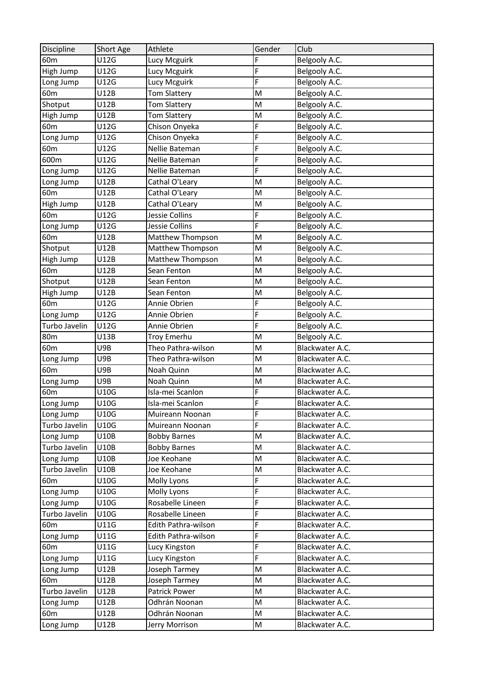| Discipline      | Short Age   | Athlete             | Gender | Club            |
|-----------------|-------------|---------------------|--------|-----------------|
| 60 <sub>m</sub> | U12G        | Lucy Mcguirk        | F      | Belgooly A.C.   |
| High Jump       | U12G        | Lucy Mcguirk        | F      | Belgooly A.C.   |
| Long Jump       | U12G        | Lucy Mcguirk        | F      | Belgooly A.C.   |
| 60 <sub>m</sub> | U12B        | <b>Tom Slattery</b> | M      | Belgooly A.C.   |
| Shotput         | U12B        | <b>Tom Slattery</b> | M      | Belgooly A.C.   |
| High Jump       | U12B        | Tom Slattery        | M      | Belgooly A.C.   |
| 60 <sub>m</sub> | U12G        | Chison Onyeka       | F      | Belgooly A.C.   |
| Long Jump       | U12G        | Chison Onyeka       | F      | Belgooly A.C.   |
| 60 <sub>m</sub> | U12G        | Nellie Bateman      | F      | Belgooly A.C.   |
| 600m            | U12G        | Nellie Bateman      | F      | Belgooly A.C.   |
| Long Jump       | U12G        | Nellie Bateman      | F      | Belgooly A.C.   |
| Long Jump       | U12B        | Cathal O'Leary      | M      | Belgooly A.C.   |
| 60 <sub>m</sub> | U12B        | Cathal O'Leary      | M      | Belgooly A.C.   |
| High Jump       | U12B        | Cathal O'Leary      | M      | Belgooly A.C.   |
| 60 <sub>m</sub> | U12G        | Jessie Collins      | F      | Belgooly A.C.   |
| Long Jump       | U12G        | Jessie Collins      | F      | Belgooly A.C.   |
| 60 <sub>m</sub> | U12B        | Matthew Thompson    | M      | Belgooly A.C.   |
| Shotput         | U12B        | Matthew Thompson    | M      | Belgooly A.C.   |
| High Jump       | U12B        | Matthew Thompson    | M      | Belgooly A.C.   |
| 60 <sub>m</sub> | U12B        | Sean Fenton         | M      | Belgooly A.C.   |
| Shotput         | U12B        | Sean Fenton         | M      | Belgooly A.C.   |
| High Jump       | U12B        | Sean Fenton         | M      | Belgooly A.C.   |
| 60 <sub>m</sub> | U12G        | Annie Obrien        | F      | Belgooly A.C.   |
| Long Jump       | U12G        | Annie Obrien        | F      | Belgooly A.C.   |
| Turbo Javelin   | U12G        | Annie Obrien        | F      | Belgooly A.C.   |
| 80 <sub>m</sub> | U13B        | <b>Troy Emerhu</b>  | M      | Belgooly A.C.   |
| 60 <sub>m</sub> | U9B         | Theo Pathra-wilson  | M      | Blackwater A.C. |
| Long Jump       | U9B         | Theo Pathra-wilson  | M      | Blackwater A.C. |
| 60 <sub>m</sub> | U9B         | Noah Quinn          | M      | Blackwater A.C. |
| Long Jump       | U9B         | Noah Quinn          | M      | Blackwater A.C. |
| 60 <sub>m</sub> | U10G        | Isla-mei Scanlon    | F      | Blackwater A.C. |
| Long Jump       | U10G        | Isla-mei Scanlon    | F      | Blackwater A.C. |
| Long Jump       | U10G        | Muireann Noonan     | F      | Blackwater A.C. |
| Turbo Javelin   | <b>U10G</b> | Muireann Noonan     | F      | Blackwater A.C. |
| Long Jump       | <b>U10B</b> | <b>Bobby Barnes</b> | M      | Blackwater A.C. |
| Turbo Javelin   | U10B        | <b>Bobby Barnes</b> | M      | Blackwater A.C. |
| Long Jump       | U10B        | Joe Keohane         | M      | Blackwater A.C. |
| Turbo Javelin   | <b>U10B</b> | Joe Keohane         | M      | Blackwater A.C. |
| 60 <sub>m</sub> | U10G        | Molly Lyons         | F      | Blackwater A.C. |
| Long Jump       | U10G        | Molly Lyons         | F      | Blackwater A.C. |
| Long Jump       | U10G        | Rosabelle Lineen    | F      | Blackwater A.C. |
| Turbo Javelin   | U10G        | Rosabelle Lineen    | F      | Blackwater A.C. |
| 60 <sub>m</sub> | U11G        | Edith Pathra-wilson | F      | Blackwater A.C. |
| Long Jump       | U11G        | Edith Pathra-wilson | F      | Blackwater A.C. |
| 60 <sub>m</sub> | U11G        | Lucy Kingston       | F      | Blackwater A.C. |
| Long Jump       | U11G        | Lucy Kingston       | F      | Blackwater A.C. |
| Long Jump       | U12B        | Joseph Tarmey       | M      | Blackwater A.C. |
| 60 <sub>m</sub> | U12B        | Joseph Tarmey       | M      | Blackwater A.C. |
| Turbo Javelin   | U12B        | Patrick Power       | M      | Blackwater A.C. |
| Long Jump       | U12B        | Odhrán Noonan       | M      | Blackwater A.C. |
| 60 <sub>m</sub> | U12B        | Odhrán Noonan       | M      | Blackwater A.C. |
| Long Jump       | U12B        | Jerry Morrison      | M      | Blackwater A.C. |
|                 |             |                     |        |                 |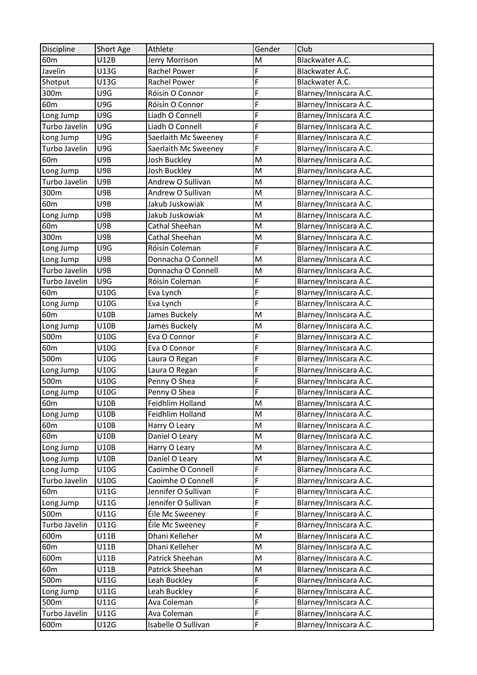| Discipline      | Short Age   | Athlete              | Gender | Club                   |
|-----------------|-------------|----------------------|--------|------------------------|
| 60 <sub>m</sub> | U12B        | Jerry Morrison       | M      | Blackwater A.C.        |
| Javelin         | U13G        | Rachel Power         | F      | Blackwater A.C.        |
| Shotput         | U13G        | Rachel Power         | F      | Blackwater A.C.        |
| 300m            | U9G         | Róisín O Connor      | F      | Blarney/Inniscara A.C. |
| 60 <sub>m</sub> | U9G         | Róisín O Connor      | F      | Blarney/Inniscara A.C. |
| Long Jump       | U9G         | Liadh O Connell      | F      | Blarney/Inniscara A.C. |
| Turbo Javelin   | U9G         | Liadh O Connell      | F      | Blarney/Inniscara A.C. |
| Long Jump       | U9G         | Saerlaith Mc Sweeney | F      | Blarney/Inniscara A.C. |
| Turbo Javelin   | U9G         | Saerlaith Mc Sweeney | F      | Blarney/Inniscara A.C. |
| 60 <sub>m</sub> | U9B         | Josh Buckley         | M      | Blarney/Inniscara A.C. |
| Long Jump       | U9B         | Josh Buckley         | M      | Blarney/Inniscara A.C. |
| Turbo Javelin   | U9B         | Andrew O Sullivan    | M      | Blarney/Inniscara A.C. |
| 300m            | U9B         | Andrew O Sullivan    | M      | Blarney/Inniscara A.C. |
| 60 <sub>m</sub> | U9B         | Jakub Juskowiak      | M      | Blarney/Inniscara A.C. |
| Long Jump       | U9B         | Jakub Juskowiak      | M      | Blarney/Inniscara A.C. |
| 60 <sub>m</sub> | U9B         | Cathal Sheehan       | M      | Blarney/Inniscara A.C. |
| 300m            | U9B         | Cathal Sheehan       | M      | Blarney/Inniscara A.C. |
| Long Jump       | U9G         | Róisín Coleman       | F      | Blarney/Inniscara A.C. |
| Long Jump       | U9B         | Donnacha O Connell   | M      | Blarney/Inniscara A.C. |
| Turbo Javelin   | U9B         | Donnacha O Connell   | M      | Blarney/Inniscara A.C. |
| Turbo Javelin   | U9G         | Róisín Coleman       | F      | Blarney/Inniscara A.C. |
| 60 <sub>m</sub> | U10G        | Eva Lynch            | F      | Blarney/Inniscara A.C. |
| Long Jump       | U10G        | Eva Lynch            | F      | Blarney/Inniscara A.C. |
| 60 <sub>m</sub> | U10B        | James Buckely        | M      | Blarney/Inniscara A.C. |
| Long Jump       | U10B        | James Buckely        | M      | Blarney/Inniscara A.C. |
| 500m            | U10G        | Eva O Connor         | F      | Blarney/Inniscara A.C. |
| 60 <sub>m</sub> | U10G        | Eva O Connor         | F      | Blarney/Inniscara A.C. |
| 500m            | U10G        | Laura O Regan        | F      | Blarney/Inniscara A.C. |
| Long Jump       | U10G        | Laura O Regan        | F      | Blarney/Inniscara A.C. |
| 500m            | U10G        | Penny O Shea         | F      | Blarney/Inniscara A.C. |
| Long Jump       | U10G        | Penny O Shea         | F      | Blarney/Inniscara A.C. |
| 60m             | U10B        | Feidhlim Holland     | M      | Blarney/Inniscara A.C. |
| Long Jump       | U10B        | Feidhlim Holland     | M      | Blarney/Inniscara A.C. |
| 60 <sub>m</sub> | U10B        | Harry O Leary        | M      | Blarney/Inniscara A.C. |
| 60 <sub>m</sub> | <b>U10B</b> | Daniel O Leary       | M      | Blarney/Inniscara A.C. |
| Long Jump       | U10B        | Harry O Leary        | M      | Blarney/Inniscara A.C. |
| Long Jump       | U10B        | Daniel O Leary       | M      | Blarney/Inniscara A.C. |
| Long Jump       | U10G        | Caoimhe O Connell    | F      | Blarney/Inniscara A.C. |
| Turbo Javelin   | U10G        | Caoimhe O Connell    | F      | Blarney/Inniscara A.C. |
| 60 <sub>m</sub> | U11G        | Jennifer O Sullivan  | F      | Blarney/Inniscara A.C. |
| Long Jump       | U11G        | Jennifer O Sullivan  | F      | Blarney/Inniscara A.C. |
| 500m            | U11G        | Éile Mc Sweeney      | F      | Blarney/Inniscara A.C. |
| Turbo Javelin   | U11G        | Éile Mc Sweeney      | F      | Blarney/Inniscara A.C. |
| 600m            | U11B        | Dhani Kelleher       | M      | Blarney/Inniscara A.C. |
| 60 <sub>m</sub> | U11B        | Dhani Kelleher       | M      | Blarney/Inniscara A.C. |
| 600m            | U11B        | Patrick Sheehan      | M      | Blarney/Inniscara A.C. |
| 60 <sub>m</sub> | U11B        | Patrick Sheehan      | M      | Blarney/Inniscara A.C. |
| 500m            | U11G        | Leah Buckley         | F      | Blarney/Inniscara A.C. |
| Long Jump       | U11G        | Leah Buckley         | F      | Blarney/Inniscara A.C. |
| 500m            | U11G        | Ava Coleman          | F      | Blarney/Inniscara A.C. |
| Turbo Javelin   | U11G        | Ava Coleman          | F      | Blarney/Inniscara A.C. |
| 600m            | U12G        | Isabelle O Sullivan  | F      | Blarney/Inniscara A.C. |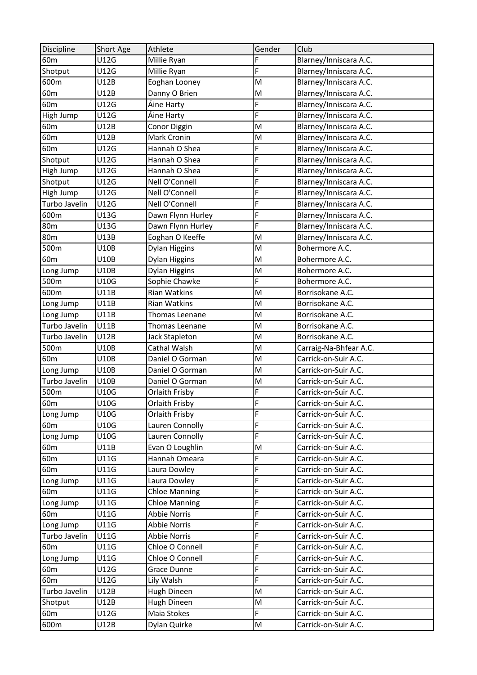| Discipline      | Short Age   | Athlete              | Gender | Club                   |
|-----------------|-------------|----------------------|--------|------------------------|
| 60 <sub>m</sub> | U12G        | Millie Ryan          | F      | Blarney/Inniscara A.C. |
| Shotput         | U12G        | Millie Ryan          | F      | Blarney/Inniscara A.C. |
| 600m            | U12B        | Eoghan Looney        | M      | Blarney/Inniscara A.C. |
| 60 <sub>m</sub> | U12B        | Danny O Brien        | M      | Blarney/Inniscara A.C. |
| 60 <sub>m</sub> | U12G        | Áine Harty           | F      | Blarney/Inniscara A.C. |
| High Jump       | U12G        | Áine Harty           | F      | Blarney/Inniscara A.C. |
| 60 <sub>m</sub> | U12B        | Conor Diggin         | M      | Blarney/Inniscara A.C. |
| 60 <sub>m</sub> | U12B        | Mark Cronin          | M      | Blarney/Inniscara A.C. |
| 60 <sub>m</sub> | U12G        | Hannah O Shea        | F      | Blarney/Inniscara A.C. |
| Shotput         | U12G        | Hannah O Shea        | F      | Blarney/Inniscara A.C. |
| High Jump       | U12G        | Hannah O Shea        | F      | Blarney/Inniscara A.C. |
| Shotput         | U12G        | Nell O'Connell       | F      | Blarney/Inniscara A.C. |
| High Jump       | U12G        | Nell O'Connell       | F      | Blarney/Inniscara A.C. |
| Turbo Javelin   | U12G        | Nell O'Connell       | F      | Blarney/Inniscara A.C. |
| 600m            | U13G        | Dawn Flynn Hurley    | F      | Blarney/Inniscara A.C. |
| 80 <sub>m</sub> | U13G        | Dawn Flynn Hurley    | F      | Blarney/Inniscara A.C. |
| 80 <sub>m</sub> | U13B        | Eoghan O Keeffe      | M      | Blarney/Inniscara A.C. |
| 500m            | U10B        | Dylan Higgins        | M      | Bohermore A.C.         |
| 60 <sub>m</sub> | U10B        | Dylan Higgins        | M      | Bohermore A.C.         |
| Long Jump       | U10B        | Dylan Higgins        | M      | Bohermore A.C.         |
| 500m            | U10G        | Sophie Chawke        | F      | Bohermore A.C.         |
| 600m            | <b>U11B</b> | Rian Watkins         | M      | Borrisokane A.C.       |
| Long Jump       | <b>U11B</b> | Rian Watkins         | M      | Borrisokane A.C.       |
| Long Jump       | U11B        | Thomas Leenane       | M      | Borrisokane A.C.       |
| Turbo Javelin   | U11B        | Thomas Leenane       | M      | Borrisokane A.C.       |
| Turbo Javelin   | U12B        | Jack Stapleton       | M      | Borrisokane A.C.       |
| 500m            | U10B        | Cathal Walsh         | M      | Carraig-Na-Bhfear A.C. |
| 60 <sub>m</sub> | U10B        | Daniel O Gorman      | M      | Carrick-on-Suir A.C.   |
| Long Jump       | U10B        | Daniel O Gorman      | M      | Carrick-on-Suir A.C.   |
| Turbo Javelin   | U10B        | Daniel O Gorman      | M      | Carrick-on-Suir A.C.   |
| 500m            | U10G        | Orlaith Frisby       | F      | Carrick-on-Suir A.C.   |
| 60 <sub>m</sub> | U10G        | Orlaith Frisby       | F      | Carrick-on-Suir A.C.   |
| Long Jump       | U10G        | Orlaith Frisby       | F      | Carrick-on-Suir A.C.   |
| 60 <sub>m</sub> | U10G        | Lauren Connolly      | F      | Carrick-on-Suir A.C.   |
| Long Jump       | <b>U10G</b> | Lauren Connolly      | F      | Carrick-on-Suir A.C.   |
| 60 <sub>m</sub> | U11B        | Evan O Loughlin      | M      | Carrick-on-Suir A.C.   |
| 60 <sub>m</sub> | U11G        | Hannah Omeara        | F      | Carrick-on-Suir A.C.   |
| 60 <sub>m</sub> | U11G        | Laura Dowley         | F      | Carrick-on-Suir A.C.   |
| Long Jump       | U11G        | Laura Dowley         | F      | Carrick-on-Suir A.C.   |
| 60 <sub>m</sub> | U11G        | <b>Chloe Manning</b> | F      | Carrick-on-Suir A.C.   |
| Long Jump       | U11G        | <b>Chloe Manning</b> | F      | Carrick-on-Suir A.C.   |
| 60 <sub>m</sub> | U11G        | <b>Abbie Norris</b>  | F      | Carrick-on-Suir A.C.   |
| Long Jump       | U11G        | <b>Abbie Norris</b>  | F      | Carrick-on-Suir A.C.   |
| Turbo Javelin   | U11G        | <b>Abbie Norris</b>  | F      | Carrick-on-Suir A.C.   |
| 60 <sub>m</sub> | U11G        | Chloe O Connell      | F      | Carrick-on-Suir A.C.   |
| Long Jump       | U11G        | Chloe O Connell      | F      | Carrick-on-Suir A.C.   |
| 60 <sub>m</sub> | U12G        | Grace Dunne          | F      | Carrick-on-Suir A.C.   |
| 60 <sub>m</sub> | U12G        | Lily Walsh           | F      | Carrick-on-Suir A.C.   |
| Turbo Javelin   | U12B        | Hugh Dineen          | M      | Carrick-on-Suir A.C.   |
| Shotput         | U12B        | Hugh Dineen          | M      | Carrick-on-Suir A.C.   |
| 60 <sub>m</sub> | U12G        | Maia Stokes          | F      | Carrick-on-Suir A.C.   |
| 600m            | U12B        | Dylan Quirke         | M      | Carrick-on-Suir A.C.   |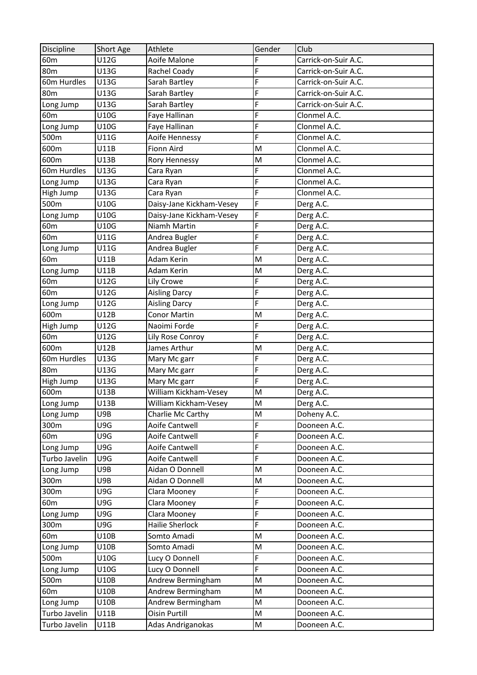| Discipline      | Short Age | Athlete                  | Gender | Club                 |
|-----------------|-----------|--------------------------|--------|----------------------|
| 60 <sub>m</sub> | U12G      | Aoife Malone             | F      | Carrick-on-Suir A.C. |
| <b>80m</b>      | U13G      | Rachel Coady             | F      | Carrick-on-Suir A.C. |
| 60m Hurdles     | U13G      | Sarah Bartley            | F      | Carrick-on-Suir A.C. |
| 80 <sub>m</sub> | U13G      | Sarah Bartley            | F      | Carrick-on-Suir A.C. |
| Long Jump       | U13G      | Sarah Bartley            | F      | Carrick-on-Suir A.C. |
| 60 <sub>m</sub> | U10G      | Faye Hallinan            | F      | Clonmel A.C.         |
| Long Jump       | U10G      | Faye Hallinan            | F      | Clonmel A.C.         |
| 500m            | U11G      | Aoife Hennessy           | F      | Clonmel A.C.         |
| 600m            | U11B      | Fionn Aird               | M      | Clonmel A.C.         |
| 600m            | U13B      | Rory Hennessy            | M      | Clonmel A.C.         |
| 60m Hurdles     | U13G      | Cara Ryan                | F      | Clonmel A.C.         |
| Long Jump       | U13G      | Cara Ryan                | F      | Clonmel A.C.         |
| High Jump       | U13G      | Cara Ryan                | F      | Clonmel A.C.         |
| 500m            | U10G      | Daisy-Jane Kickham-Vesey | F      | Derg A.C.            |
| Long Jump       | U10G      | Daisy-Jane Kickham-Vesey | F      | Derg A.C.            |
| 60 <sub>m</sub> | U10G      | Niamh Martin             | F      | Derg A.C.            |
| 60 <sub>m</sub> | U11G      | Andrea Bugler            | F      | Derg A.C.            |
| Long Jump       | U11G      | Andrea Bugler            | F      | Derg A.C.            |
| 60 <sub>m</sub> | U11B      | Adam Kerin               | M      | Derg A.C.            |
| Long Jump       | U11B      | Adam Kerin               | M      | Derg A.C.            |
| 60m             | U12G      | Lily Crowe               | F      | Derg A.C.            |
| 60 <sub>m</sub> | U12G      | <b>Aisling Darcy</b>     | F      | Derg A.C.            |
| Long Jump       | U12G      | <b>Aisling Darcy</b>     | F      | Derg A.C.            |
| 600m            | U12B      | <b>Conor Martin</b>      | M      | Derg A.C.            |
| High Jump       | U12G      | Naoimi Forde             | F      | Derg A.C.            |
| 60 <sub>m</sub> | U12G      | Lily Rose Conroy         | F      | Derg A.C.            |
| 600m            | U12B      | James Arthur             | M      | Derg A.C.            |
| 60m Hurdles     | U13G      | Mary Mc garr             | F      | Derg A.C.            |
| 80 <sub>m</sub> | U13G      | Mary Mc garr             | F      | Derg A.C.            |
| High Jump       | U13G      | Mary Mc garr             | F      | Derg A.C.            |
| 600m            | U13B      | William Kickham-Vesey    | M      | Derg A.C.            |
| Long Jump       | U13B      | William Kickham-Vesey    | M      | Derg A.C.            |
| Long Jump       | U9B       | Charlie Mc Carthy        | M      | Doheny A.C.          |
| 300m            | U9G       | Aoife Cantwell           | F      | Dooneen A.C.         |
| 60 <sub>m</sub> | U9G       | Aoife Cantwell           | F      | Dooneen A.C.         |
| Long Jump       | U9G       | Aoife Cantwell           | F      | Dooneen A.C.         |
| Turbo Javelin   | U9G       | Aoife Cantwell           | F      | Dooneen A.C.         |
| Long Jump       | U9B       | Aidan O Donnell          | M      | Dooneen A.C.         |
| 300m            | U9B       | Aidan O Donnell          | M      | Dooneen A.C.         |
| 300m            | U9G       | Clara Mooney             | F      | Dooneen A.C.         |
| 60 <sub>m</sub> | U9G       | Clara Mooney             | F      | Dooneen A.C.         |
| Long Jump       | U9G       | Clara Mooney             | F      | Dooneen A.C.         |
| 300m            | U9G       | Hailie Sherlock          | F      | Dooneen A.C.         |
| 60 <sub>m</sub> | U10B      | Somto Amadi              | M      | Dooneen A.C.         |
| Long Jump       | U10B      | Somto Amadi              | M      | Dooneen A.C.         |
| 500m            | U10G      | Lucy O Donnell           | F      | Dooneen A.C.         |
| Long Jump       | U10G      | Lucy O Donnell           | F      | Dooneen A.C.         |
| 500m            | U10B      | Andrew Bermingham        | M      | Dooneen A.C.         |
| 60 <sub>m</sub> | U10B      | Andrew Bermingham        | M      | Dooneen A.C.         |
| Long Jump       | U10B      | Andrew Bermingham        | M      | Dooneen A.C.         |
| Turbo Javelin   | U11B      | Oisin Purtill            | M      | Dooneen A.C.         |
| Turbo Javelin   | U11B      | Adas Andriganokas        | M      | Dooneen A.C.         |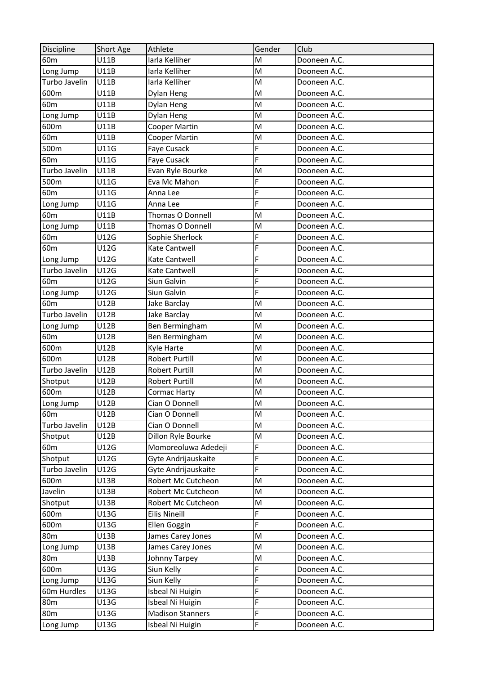| Discipline      | Short Age   | Athlete                 | Gender | Club         |
|-----------------|-------------|-------------------------|--------|--------------|
| 60 <sub>m</sub> | U11B        | Iarla Kelliher          | M      | Dooneen A.C. |
| Long Jump       | U11B        | Iarla Kelliher          | M      | Dooneen A.C. |
| Turbo Javelin   | <b>U11B</b> | Iarla Kelliher          | M      | Dooneen A.C. |
| 600m            | U11B        | Dylan Heng              | M      | Dooneen A.C. |
| 60 <sub>m</sub> | U11B        | Dylan Heng              | M      | Dooneen A.C. |
| Long Jump       | U11B        | Dylan Heng              | M      | Dooneen A.C. |
| 600m            | U11B        | Cooper Martin           | M      | Dooneen A.C. |
| 60m             | U11B        | <b>Cooper Martin</b>    | M      | Dooneen A.C. |
| 500m            | U11G        | Faye Cusack             | F      | Dooneen A.C. |
| 60 <sub>m</sub> | U11G        | Faye Cusack             | F      | Dooneen A.C. |
| Turbo Javelin   | U11B        | Evan Ryle Bourke        | M      | Dooneen A.C. |
| 500m            | U11G        | Eva Mc Mahon            | F      | Dooneen A.C. |
| 60 <sub>m</sub> | U11G        | Anna Lee                | F      | Dooneen A.C. |
| Long Jump       | U11G        | Anna Lee                | F      | Dooneen A.C. |
| 60 <sub>m</sub> | U11B        | <b>Thomas O Donnell</b> | M      | Dooneen A.C. |
| Long Jump       | U11B        | Thomas O Donnell        | M      | Dooneen A.C. |
| 60 <sub>m</sub> | U12G        | Sophie Sherlock         | F      | Dooneen A.C. |
| 60 <sub>m</sub> | U12G        | Kate Cantwell           | F      | Dooneen A.C. |
| Long Jump       | U12G        | Kate Cantwell           | F      | Dooneen A.C. |
| Turbo Javelin   | U12G        | Kate Cantwell           | F      | Dooneen A.C. |
| 60 <sub>m</sub> | U12G        | Siun Galvin             | F      | Dooneen A.C. |
| Long Jump       | U12G        | Siun Galvin             | F      | Dooneen A.C. |
| 60 <sub>m</sub> | U12B        | Jake Barclay            | M      | Dooneen A.C. |
| Turbo Javelin   | U12B        | Jake Barclay            | M      | Dooneen A.C. |
| Long Jump       | U12B        | Ben Bermingham          | M      | Dooneen A.C. |
| 60 <sub>m</sub> | U12B        | Ben Bermingham          | M      | Dooneen A.C. |
| 600m            | U12B        | Kyle Harte              | M      | Dooneen A.C. |
| 600m            | U12B        | <b>Robert Purtill</b>   | M      | Dooneen A.C. |
| Turbo Javelin   | <b>U12B</b> | <b>Robert Purtill</b>   | M      | Dooneen A.C. |
| Shotput         | U12B        | <b>Robert Purtill</b>   | M      | Dooneen A.C. |
| 600m            | U12B        | Cormac Harty            | M      | Dooneen A.C. |
| Long Jump       | U12B        | Cian O Donnell          | M      | Dooneen A.C. |
| 60 <sub>m</sub> | U12B        | Cian O Donnell          | M      | Dooneen A.C. |
| Turbo Javelin   | U12B        | Cian O Donnell          | M      | Dooneen A.C. |
| Shotput         | U12B        | Dillon Ryle Bourke      | M      | Dooneen A.C. |
| 60 <sub>m</sub> | U12G        | Momoreoluwa Adedeji     | F      | Dooneen A.C. |
| Shotput         | U12G        | Gyte Andrijauskaite     | F      | Dooneen A.C. |
| Turbo Javelin   | U12G        | Gyte Andrijauskaite     | F      | Dooneen A.C. |
| 600m            | U13B        | Robert Mc Cutcheon      | M      | Dooneen A.C. |
| Javelin         | U13B        | Robert Mc Cutcheon      | M      | Dooneen A.C. |
| Shotput         | U13B        | Robert Mc Cutcheon      | M      | Dooneen A.C. |
| 600m            | U13G        | <b>Eilis Nineill</b>    | F      | Dooneen A.C. |
| 600m            | U13G        | Ellen Goggin            | F      | Dooneen A.C. |
| 80 <sub>m</sub> | U13B        | James Carey Jones       | M      | Dooneen A.C. |
| Long Jump       | U13B        | James Carey Jones       | M      | Dooneen A.C. |
| 80 <sub>m</sub> | U13B        | Johnny Tarpey           | M      | Dooneen A.C. |
| 600m            | U13G        | Siun Kelly              | F      | Dooneen A.C. |
| Long Jump       | U13G        | Siun Kelly              | F      | Dooneen A.C. |
| 60m Hurdles     | U13G        | Isbeal Ni Huigin        | F      | Dooneen A.C. |
| 80 <sub>m</sub> | U13G        | Isbeal Ni Huigin        | F      | Dooneen A.C. |
| 80 <sub>m</sub> | U13G        | <b>Madison Stanners</b> | F      | Dooneen A.C. |
| Long Jump       | U13G        | Isbeal Ni Huigin        | F      | Dooneen A.C. |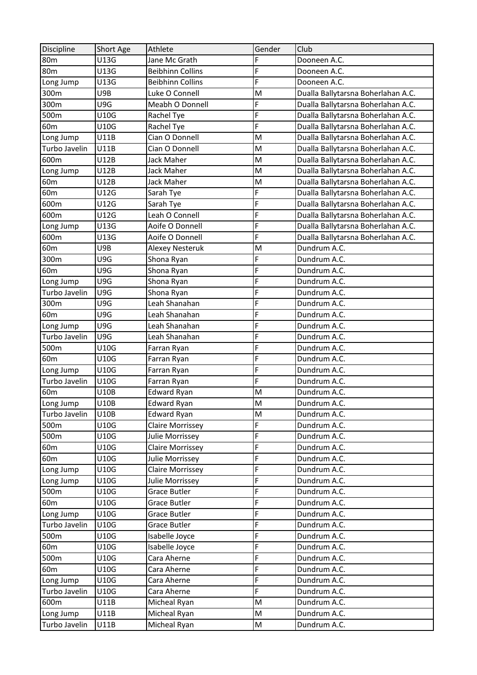| Discipline      | Short Age   | Athlete                 | Gender                  | Club                               |
|-----------------|-------------|-------------------------|-------------------------|------------------------------------|
| 80 <sub>m</sub> | U13G        | Jane Mc Grath           | F                       | Dooneen A.C.                       |
| 80 <sub>m</sub> | U13G        | <b>Beibhinn Collins</b> | F                       | Dooneen A.C.                       |
| Long Jump       | U13G        | <b>Beibhinn Collins</b> | F                       | Dooneen A.C.                       |
| 300m            | U9B         | Luke O Connell          | M                       | Dualla Ballytarsna Boherlahan A.C. |
| 300m            | U9G         | Meabh O Donnell         | F                       | Dualla Ballytarsna Boherlahan A.C. |
| 500m            | U10G        | Rachel Tye              | F                       | Dualla Ballytarsna Boherlahan A.C. |
| 60 <sub>m</sub> | U10G        | Rachel Tye              | F                       | Dualla Ballytarsna Boherlahan A.C. |
| Long Jump       | <b>U11B</b> | Cian O Donnell          | M                       | Dualla Ballytarsna Boherlahan A.C. |
| Turbo Javelin   | U11B        | Cian O Donnell          | M                       | Dualla Ballytarsna Boherlahan A.C. |
| 600m            | U12B        | <b>Jack Maher</b>       | M                       | Dualla Ballytarsna Boherlahan A.C. |
| Long Jump       | U12B        | <b>Jack Maher</b>       | M                       | Dualla Ballytarsna Boherlahan A.C. |
| 60 <sub>m</sub> | U12B        | Jack Maher              | M                       | Dualla Ballytarsna Boherlahan A.C. |
| 60 <sub>m</sub> | U12G        | Sarah Tye               | F                       | Dualla Ballytarsna Boherlahan A.C. |
| 600m            | U12G        | Sarah Tye               | F                       | Dualla Ballytarsna Boherlahan A.C. |
| 600m            | U12G        | Leah O Connell          | F                       | Dualla Ballytarsna Boherlahan A.C. |
| Long Jump       | U13G        | Aoife O Donnell         | F                       | Dualla Ballytarsna Boherlahan A.C. |
| 600m            | U13G        | Aoife O Donnell         | F                       | Dualla Ballytarsna Boherlahan A.C. |
| 60 <sub>m</sub> | U9B         | <b>Alexey Nesteruk</b>  | M                       | Dundrum A.C.                       |
| 300m            | U9G         | Shona Ryan              | F                       | Dundrum A.C.                       |
| 60 <sub>m</sub> | U9G         | Shona Ryan              | F                       | Dundrum A.C.                       |
| Long Jump       | U9G         | Shona Ryan              | F                       | Dundrum A.C.                       |
| Turbo Javelin   | U9G         | Shona Ryan              | F                       | Dundrum A.C.                       |
| 300m            | U9G         | Leah Shanahan           | F                       | Dundrum A.C.                       |
| 60 <sub>m</sub> | U9G         | Leah Shanahan           | F                       | Dundrum A.C.                       |
| Long Jump       | U9G         | Leah Shanahan           | F                       | Dundrum A.C.                       |
| Turbo Javelin   | U9G         | Leah Shanahan           | F                       | Dundrum A.C.                       |
| 500m            | U10G        | Farran Ryan             | F                       | Dundrum A.C.                       |
| 60 <sub>m</sub> | U10G        | Farran Ryan             | F                       | Dundrum A.C.                       |
| Long Jump       | U10G        | Farran Ryan             | F                       | Dundrum A.C.                       |
| Turbo Javelin   | U10G        | Farran Ryan             | F                       | Dundrum A.C.                       |
| 60 <sub>m</sub> | U10B        | <b>Edward Ryan</b>      | M                       | Dundrum A.C.                       |
| Long Jump       | U10B        | Edward Ryan             | $\overline{\mathsf{M}}$ | Dundrum A.C.                       |
| Turbo Javelin   | U10B        | <b>Edward Ryan</b>      | M                       | Dundrum A.C.                       |
| 500m            | U10G        | Claire Morrissey        | F                       | Dundrum A.C.                       |
| 500m            | U10G        | Julie Morrissey         | F                       | Dundrum A.C.                       |
| 60 <sub>m</sub> | U10G        | Claire Morrissey        | F                       | Dundrum A.C.                       |
| 60 <sub>m</sub> | U10G        | Julie Morrissey         | F                       | Dundrum A.C.                       |
| Long Jump       | U10G        | Claire Morrissey        | F                       | Dundrum A.C.                       |
| Long Jump       | U10G        | Julie Morrissey         | F                       | Dundrum A.C.                       |
| 500m            | U10G        | <b>Grace Butler</b>     | F                       | Dundrum A.C.                       |
| 60 <sub>m</sub> | U10G        | <b>Grace Butler</b>     | F                       | Dundrum A.C.                       |
| Long Jump       | U10G        | Grace Butler            | F                       | Dundrum A.C.                       |
| Turbo Javelin   | U10G        | Grace Butler            | F                       | Dundrum A.C.                       |
| 500m            | U10G        | Isabelle Joyce          | F                       | Dundrum A.C.                       |
| 60 <sub>m</sub> | U10G        | Isabelle Joyce          | F                       | Dundrum A.C.                       |
| 500m            | U10G        | Cara Aherne             | F                       | Dundrum A.C.                       |
| 60 <sub>m</sub> | U10G        | Cara Aherne             | F                       | Dundrum A.C.                       |
| Long Jump       | U10G        | Cara Aherne             | F                       | Dundrum A.C.                       |
| Turbo Javelin   | U10G        | Cara Aherne             | F                       | Dundrum A.C.                       |
| 600m            | U11B        | Micheal Ryan            | M                       | Dundrum A.C.                       |
| Long Jump       | U11B        | Micheal Ryan            | M                       | Dundrum A.C.                       |
| Turbo Javelin   | U11B        | Micheal Ryan            | M                       | Dundrum A.C.                       |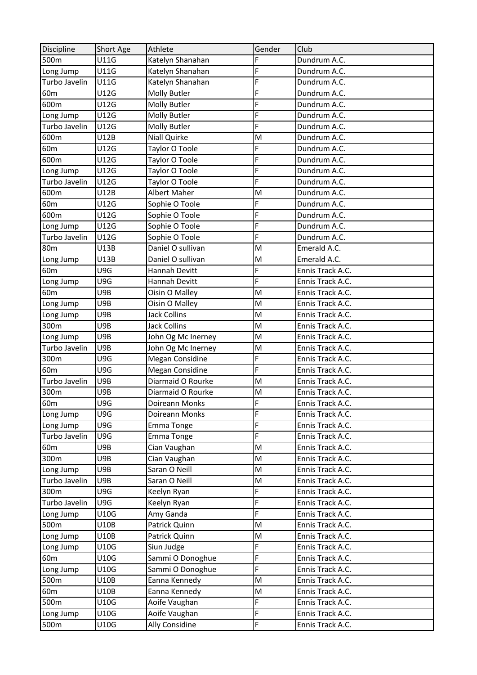| Discipline      | Short Age   | Athlete                | Gender | Club             |
|-----------------|-------------|------------------------|--------|------------------|
| 500m            | U11G        | Katelyn Shanahan       | F      | Dundrum A.C.     |
| Long Jump       | U11G        | Katelyn Shanahan       | F      | Dundrum A.C.     |
| Turbo Javelin   | U11G        | Katelyn Shanahan       | F      | Dundrum A.C.     |
| 60 <sub>m</sub> | U12G        | Molly Butler           | F      | Dundrum A.C.     |
| 600m            | U12G        | Molly Butler           | F      | Dundrum A.C.     |
| Long Jump       | U12G        | Molly Butler           | F      | Dundrum A.C.     |
| Turbo Javelin   | U12G        | Molly Butler           | F      | Dundrum A.C.     |
| 600m            | U12B        | Niall Quirke           | M      | Dundrum A.C.     |
| 60 <sub>m</sub> | U12G        | Taylor O Toole         | F      | Dundrum A.C.     |
| 600m            | U12G        | Taylor O Toole         | F      | Dundrum A.C.     |
| Long Jump       | U12G        | Taylor O Toole         | F      | Dundrum A.C.     |
| Turbo Javelin   | U12G        | Taylor O Toole         | F      | Dundrum A.C.     |
| 600m            | U12B        | Albert Maher           | M      | Dundrum A.C.     |
| 60 <sub>m</sub> | U12G        | Sophie O Toole         | F      | Dundrum A.C.     |
| 600m            | U12G        | Sophie O Toole         | F      | Dundrum A.C.     |
| Long Jump       | U12G        | Sophie O Toole         | F      | Dundrum A.C.     |
| Turbo Javelin   | U12G        | Sophie O Toole         | F      | Dundrum A.C.     |
| 80 <sub>m</sub> | U13B        | Daniel O sullivan      | M      | Emerald A.C.     |
| Long Jump       | U13B        | Daniel O sullivan      | M      | Emerald A.C.     |
| 60 <sub>m</sub> | U9G         | Hannah Devitt          | F      | Ennis Track A.C. |
| Long Jump       | U9G         | Hannah Devitt          | F      | Ennis Track A.C. |
| 60 <sub>m</sub> | U9B         | Oisin O Malley         | M      | Ennis Track A.C. |
| Long Jump       | U9B         | Oisin O Malley         | M      | Ennis Track A.C. |
| Long Jump       | U9B         | <b>Jack Collins</b>    | M      | Ennis Track A.C. |
| 300m            | U9B         | <b>Jack Collins</b>    | M      | Ennis Track A.C. |
| Long Jump       | U9B         | John Og Mc Inerney     | M      | Ennis Track A.C. |
| Turbo Javelin   | U9B         | John Og Mc Inerney     | M      | Ennis Track A.C. |
| 300m            | U9G         | <b>Megan Considine</b> | F      | Ennis Track A.C. |
| 60 <sub>m</sub> | U9G         | <b>Megan Considine</b> | F      | Ennis Track A.C. |
| Turbo Javelin   | U9B         | Diarmaid O Rourke      | M      | Ennis Track A.C. |
| 300m            | U9B         | Diarmaid O Rourke      | M      | Ennis Track A.C. |
| 60 <sub>m</sub> | U9G         | Doireann Monks         | F      | Ennis Track A.C. |
| Long Jump       | U9G         | Doireann Monks         | F      | Ennis Track A.C. |
| Long Jump       | U9G         | Emma Tonge             | F      | Ennis Track A.C. |
| Turbo Javelin   | U9G         | Emma Tonge             | F      | Ennis Track A.C. |
| 60 <sub>m</sub> | U9B         | Cian Vaughan           | M      | Ennis Track A.C. |
| 300m            | U9B         | Cian Vaughan           | M      | Ennis Track A.C. |
| Long Jump       | U9B         | Saran O Neill          | M      | Ennis Track A.C. |
| Turbo Javelin   | U9B         | Saran O Neill          | M      | Ennis Track A.C. |
| 300m            | U9G         | Keelyn Ryan            | F      | Ennis Track A.C. |
| Turbo Javelin   | U9G         | Keelyn Ryan            | F      | Ennis Track A.C. |
| Long Jump       | U10G        | Amy Ganda              | F      | Ennis Track A.C. |
| 500m            | <b>U10B</b> | Patrick Quinn          | M      | Ennis Track A.C. |
| Long Jump       | U10B        | Patrick Quinn          | M      | Ennis Track A.C. |
| Long Jump       | U10G        | Siun Judge             | F      | Ennis Track A.C. |
| 60 <sub>m</sub> | U10G        | Sammi O Donoghue       | F      | Ennis Track A.C. |
| Long Jump       | U10G        | Sammi O Donoghue       | F      | Ennis Track A.C. |
| 500m            | U10B        | Eanna Kennedy          | M      | Ennis Track A.C. |
| 60 <sub>m</sub> | U10B        | Eanna Kennedy          | M      | Ennis Track A.C. |
| 500m            | U10G        | Aoife Vaughan          | F      | Ennis Track A.C. |
| Long Jump       | U10G        | Aoife Vaughan          | F      | Ennis Track A.C. |
| 500m            | U10G        | Ally Considine         | F      | Ennis Track A.C. |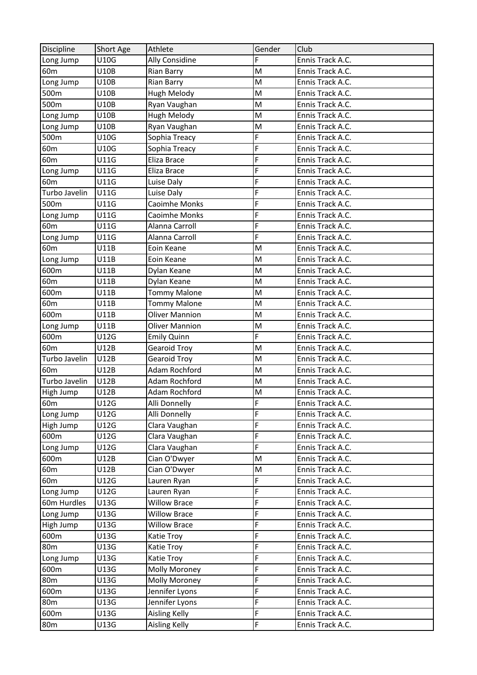| U10G<br>F<br>Ally Considine<br>Long Jump<br>Ennis Track A.C.<br>M<br>U10B<br>60 <sub>m</sub><br>Ennis Track A.C.<br><b>Rian Barry</b><br><b>U10B</b><br><b>Rian Barry</b><br>M<br>Ennis Track A.C.<br>Long Jump<br>U10B<br>Hugh Melody<br>M<br>Ennis Track A.C.<br>500m<br>M<br>500m<br>U10B<br>Ryan Vaughan<br>Ennis Track A.C.<br>Ennis Track A.C.<br>U10B<br>Hugh Melody<br>M<br>Long Jump<br>U10B<br>Ryan Vaughan<br>Ennis Track A.C.<br>Long Jump<br>M<br>F<br>500m<br>U10G<br>Ennis Track A.C.<br>Sophia Treacy<br>F<br>60 <sub>m</sub><br>U10G<br>Sophia Treacy<br>Ennis Track A.C.<br>F<br>60 <sub>m</sub><br>U11G<br>Eliza Brace<br>Ennis Track A.C.<br>F<br>U11G<br>Eliza Brace<br>Ennis Track A.C.<br>Long Jump<br>F<br>U11G<br>Ennis Track A.C.<br>60 <sub>m</sub><br>Luise Daly<br>Turbo Javelin<br>F<br>U11G<br>Ennis Track A.C.<br>Luise Daly<br>500m<br>U11G<br><b>Caoimhe Monks</b><br>F<br>Ennis Track A.C.<br>F<br>U11G<br><b>Caoimhe Monks</b><br>Ennis Track A.C.<br>Long Jump<br>F<br>60 <sub>m</sub><br>Alanna Carroll<br>U11G<br>Ennis Track A.C.<br>Alanna Carroll<br>F<br>U11G<br>Ennis Track A.C.<br>Long Jump<br>60 <sub>m</sub><br>U11B<br>Ennis Track A.C.<br>Eoin Keane<br>M<br>M<br>U11B<br>Eoin Keane<br>Ennis Track A.C.<br>Long Jump<br>600m<br>U11B<br>M<br>Ennis Track A.C.<br>Dylan Keane<br>60 <sub>m</sub><br>U11B<br>M<br>Ennis Track A.C.<br>Dylan Keane<br>M<br>600m<br>U11B<br><b>Tommy Malone</b><br>Ennis Track A.C.<br>60 <sub>m</sub><br><b>Tommy Malone</b><br>M<br>Ennis Track A.C.<br>U11B<br>U11B<br><b>Oliver Mannion</b><br>M<br>Ennis Track A.C.<br>600m<br>U11B<br>M<br><b>Oliver Mannion</b><br>Ennis Track A.C.<br>Long Jump<br>600m<br>F<br>U12G<br>Ennis Track A.C.<br><b>Emily Quinn</b><br>60 <sub>m</sub><br>U12B<br><b>Gearoid Troy</b><br>M<br>Ennis Track A.C.<br>Turbo Javelin<br>U12B<br><b>Gearoid Troy</b><br>Ennis Track A.C.<br>M<br>Adam Rochford<br>M<br>60 <sub>m</sub><br>U12B<br>Ennis Track A.C.<br>Turbo Javelin<br>U12B<br><b>Adam Rochford</b><br>M<br>Ennis Track A.C.<br>U12B<br>High Jump<br>Adam Rochford<br>M<br>Ennis Track A.C.<br>F<br>U12G<br>Alli Donnelly<br>Ennis Track A.C.<br>F<br>Alli Donnelly<br>Long Jump<br>U12G<br>Ennis Track A.C.<br>F<br>U12G<br>Ennis Track A.C.<br>High Jump<br>Clara Vaughan<br>F<br>U12G<br>Ennis Track A.C.<br>600m<br>Clara Vaughan |
|-------------------------------------------------------------------------------------------------------------------------------------------------------------------------------------------------------------------------------------------------------------------------------------------------------------------------------------------------------------------------------------------------------------------------------------------------------------------------------------------------------------------------------------------------------------------------------------------------------------------------------------------------------------------------------------------------------------------------------------------------------------------------------------------------------------------------------------------------------------------------------------------------------------------------------------------------------------------------------------------------------------------------------------------------------------------------------------------------------------------------------------------------------------------------------------------------------------------------------------------------------------------------------------------------------------------------------------------------------------------------------------------------------------------------------------------------------------------------------------------------------------------------------------------------------------------------------------------------------------------------------------------------------------------------------------------------------------------------------------------------------------------------------------------------------------------------------------------------------------------------------------------------------------------------------------------------------------------------------------------------------------------------------------------------------------------------------------------------------------------------------------------------------------------------------------------------------------------------------------------------------------------------------------------------------------------------------------------------------------------|
|                                                                                                                                                                                                                                                                                                                                                                                                                                                                                                                                                                                                                                                                                                                                                                                                                                                                                                                                                                                                                                                                                                                                                                                                                                                                                                                                                                                                                                                                                                                                                                                                                                                                                                                                                                                                                                                                                                                                                                                                                                                                                                                                                                                                                                                                                                                                                                   |
| $60m$ $\qquad$                                                                                                                                                                                                                                                                                                                                                                                                                                                                                                                                                                                                                                                                                                                                                                                                                                                                                                                                                                                                                                                                                                                                                                                                                                                                                                                                                                                                                                                                                                                                                                                                                                                                                                                                                                                                                                                                                                                                                                                                                                                                                                                                                                                                                                                                                                                                                    |
|                                                                                                                                                                                                                                                                                                                                                                                                                                                                                                                                                                                                                                                                                                                                                                                                                                                                                                                                                                                                                                                                                                                                                                                                                                                                                                                                                                                                                                                                                                                                                                                                                                                                                                                                                                                                                                                                                                                                                                                                                                                                                                                                                                                                                                                                                                                                                                   |
|                                                                                                                                                                                                                                                                                                                                                                                                                                                                                                                                                                                                                                                                                                                                                                                                                                                                                                                                                                                                                                                                                                                                                                                                                                                                                                                                                                                                                                                                                                                                                                                                                                                                                                                                                                                                                                                                                                                                                                                                                                                                                                                                                                                                                                                                                                                                                                   |
|                                                                                                                                                                                                                                                                                                                                                                                                                                                                                                                                                                                                                                                                                                                                                                                                                                                                                                                                                                                                                                                                                                                                                                                                                                                                                                                                                                                                                                                                                                                                                                                                                                                                                                                                                                                                                                                                                                                                                                                                                                                                                                                                                                                                                                                                                                                                                                   |
|                                                                                                                                                                                                                                                                                                                                                                                                                                                                                                                                                                                                                                                                                                                                                                                                                                                                                                                                                                                                                                                                                                                                                                                                                                                                                                                                                                                                                                                                                                                                                                                                                                                                                                                                                                                                                                                                                                                                                                                                                                                                                                                                                                                                                                                                                                                                                                   |
|                                                                                                                                                                                                                                                                                                                                                                                                                                                                                                                                                                                                                                                                                                                                                                                                                                                                                                                                                                                                                                                                                                                                                                                                                                                                                                                                                                                                                                                                                                                                                                                                                                                                                                                                                                                                                                                                                                                                                                                                                                                                                                                                                                                                                                                                                                                                                                   |
|                                                                                                                                                                                                                                                                                                                                                                                                                                                                                                                                                                                                                                                                                                                                                                                                                                                                                                                                                                                                                                                                                                                                                                                                                                                                                                                                                                                                                                                                                                                                                                                                                                                                                                                                                                                                                                                                                                                                                                                                                                                                                                                                                                                                                                                                                                                                                                   |
|                                                                                                                                                                                                                                                                                                                                                                                                                                                                                                                                                                                                                                                                                                                                                                                                                                                                                                                                                                                                                                                                                                                                                                                                                                                                                                                                                                                                                                                                                                                                                                                                                                                                                                                                                                                                                                                                                                                                                                                                                                                                                                                                                                                                                                                                                                                                                                   |
|                                                                                                                                                                                                                                                                                                                                                                                                                                                                                                                                                                                                                                                                                                                                                                                                                                                                                                                                                                                                                                                                                                                                                                                                                                                                                                                                                                                                                                                                                                                                                                                                                                                                                                                                                                                                                                                                                                                                                                                                                                                                                                                                                                                                                                                                                                                                                                   |
|                                                                                                                                                                                                                                                                                                                                                                                                                                                                                                                                                                                                                                                                                                                                                                                                                                                                                                                                                                                                                                                                                                                                                                                                                                                                                                                                                                                                                                                                                                                                                                                                                                                                                                                                                                                                                                                                                                                                                                                                                                                                                                                                                                                                                                                                                                                                                                   |
|                                                                                                                                                                                                                                                                                                                                                                                                                                                                                                                                                                                                                                                                                                                                                                                                                                                                                                                                                                                                                                                                                                                                                                                                                                                                                                                                                                                                                                                                                                                                                                                                                                                                                                                                                                                                                                                                                                                                                                                                                                                                                                                                                                                                                                                                                                                                                                   |
|                                                                                                                                                                                                                                                                                                                                                                                                                                                                                                                                                                                                                                                                                                                                                                                                                                                                                                                                                                                                                                                                                                                                                                                                                                                                                                                                                                                                                                                                                                                                                                                                                                                                                                                                                                                                                                                                                                                                                                                                                                                                                                                                                                                                                                                                                                                                                                   |
|                                                                                                                                                                                                                                                                                                                                                                                                                                                                                                                                                                                                                                                                                                                                                                                                                                                                                                                                                                                                                                                                                                                                                                                                                                                                                                                                                                                                                                                                                                                                                                                                                                                                                                                                                                                                                                                                                                                                                                                                                                                                                                                                                                                                                                                                                                                                                                   |
|                                                                                                                                                                                                                                                                                                                                                                                                                                                                                                                                                                                                                                                                                                                                                                                                                                                                                                                                                                                                                                                                                                                                                                                                                                                                                                                                                                                                                                                                                                                                                                                                                                                                                                                                                                                                                                                                                                                                                                                                                                                                                                                                                                                                                                                                                                                                                                   |
|                                                                                                                                                                                                                                                                                                                                                                                                                                                                                                                                                                                                                                                                                                                                                                                                                                                                                                                                                                                                                                                                                                                                                                                                                                                                                                                                                                                                                                                                                                                                                                                                                                                                                                                                                                                                                                                                                                                                                                                                                                                                                                                                                                                                                                                                                                                                                                   |
|                                                                                                                                                                                                                                                                                                                                                                                                                                                                                                                                                                                                                                                                                                                                                                                                                                                                                                                                                                                                                                                                                                                                                                                                                                                                                                                                                                                                                                                                                                                                                                                                                                                                                                                                                                                                                                                                                                                                                                                                                                                                                                                                                                                                                                                                                                                                                                   |
|                                                                                                                                                                                                                                                                                                                                                                                                                                                                                                                                                                                                                                                                                                                                                                                                                                                                                                                                                                                                                                                                                                                                                                                                                                                                                                                                                                                                                                                                                                                                                                                                                                                                                                                                                                                                                                                                                                                                                                                                                                                                                                                                                                                                                                                                                                                                                                   |
|                                                                                                                                                                                                                                                                                                                                                                                                                                                                                                                                                                                                                                                                                                                                                                                                                                                                                                                                                                                                                                                                                                                                                                                                                                                                                                                                                                                                                                                                                                                                                                                                                                                                                                                                                                                                                                                                                                                                                                                                                                                                                                                                                                                                                                                                                                                                                                   |
|                                                                                                                                                                                                                                                                                                                                                                                                                                                                                                                                                                                                                                                                                                                                                                                                                                                                                                                                                                                                                                                                                                                                                                                                                                                                                                                                                                                                                                                                                                                                                                                                                                                                                                                                                                                                                                                                                                                                                                                                                                                                                                                                                                                                                                                                                                                                                                   |
|                                                                                                                                                                                                                                                                                                                                                                                                                                                                                                                                                                                                                                                                                                                                                                                                                                                                                                                                                                                                                                                                                                                                                                                                                                                                                                                                                                                                                                                                                                                                                                                                                                                                                                                                                                                                                                                                                                                                                                                                                                                                                                                                                                                                                                                                                                                                                                   |
|                                                                                                                                                                                                                                                                                                                                                                                                                                                                                                                                                                                                                                                                                                                                                                                                                                                                                                                                                                                                                                                                                                                                                                                                                                                                                                                                                                                                                                                                                                                                                                                                                                                                                                                                                                                                                                                                                                                                                                                                                                                                                                                                                                                                                                                                                                                                                                   |
|                                                                                                                                                                                                                                                                                                                                                                                                                                                                                                                                                                                                                                                                                                                                                                                                                                                                                                                                                                                                                                                                                                                                                                                                                                                                                                                                                                                                                                                                                                                                                                                                                                                                                                                                                                                                                                                                                                                                                                                                                                                                                                                                                                                                                                                                                                                                                                   |
|                                                                                                                                                                                                                                                                                                                                                                                                                                                                                                                                                                                                                                                                                                                                                                                                                                                                                                                                                                                                                                                                                                                                                                                                                                                                                                                                                                                                                                                                                                                                                                                                                                                                                                                                                                                                                                                                                                                                                                                                                                                                                                                                                                                                                                                                                                                                                                   |
|                                                                                                                                                                                                                                                                                                                                                                                                                                                                                                                                                                                                                                                                                                                                                                                                                                                                                                                                                                                                                                                                                                                                                                                                                                                                                                                                                                                                                                                                                                                                                                                                                                                                                                                                                                                                                                                                                                                                                                                                                                                                                                                                                                                                                                                                                                                                                                   |
|                                                                                                                                                                                                                                                                                                                                                                                                                                                                                                                                                                                                                                                                                                                                                                                                                                                                                                                                                                                                                                                                                                                                                                                                                                                                                                                                                                                                                                                                                                                                                                                                                                                                                                                                                                                                                                                                                                                                                                                                                                                                                                                                                                                                                                                                                                                                                                   |
|                                                                                                                                                                                                                                                                                                                                                                                                                                                                                                                                                                                                                                                                                                                                                                                                                                                                                                                                                                                                                                                                                                                                                                                                                                                                                                                                                                                                                                                                                                                                                                                                                                                                                                                                                                                                                                                                                                                                                                                                                                                                                                                                                                                                                                                                                                                                                                   |
|                                                                                                                                                                                                                                                                                                                                                                                                                                                                                                                                                                                                                                                                                                                                                                                                                                                                                                                                                                                                                                                                                                                                                                                                                                                                                                                                                                                                                                                                                                                                                                                                                                                                                                                                                                                                                                                                                                                                                                                                                                                                                                                                                                                                                                                                                                                                                                   |
|                                                                                                                                                                                                                                                                                                                                                                                                                                                                                                                                                                                                                                                                                                                                                                                                                                                                                                                                                                                                                                                                                                                                                                                                                                                                                                                                                                                                                                                                                                                                                                                                                                                                                                                                                                                                                                                                                                                                                                                                                                                                                                                                                                                                                                                                                                                                                                   |
|                                                                                                                                                                                                                                                                                                                                                                                                                                                                                                                                                                                                                                                                                                                                                                                                                                                                                                                                                                                                                                                                                                                                                                                                                                                                                                                                                                                                                                                                                                                                                                                                                                                                                                                                                                                                                                                                                                                                                                                                                                                                                                                                                                                                                                                                                                                                                                   |
|                                                                                                                                                                                                                                                                                                                                                                                                                                                                                                                                                                                                                                                                                                                                                                                                                                                                                                                                                                                                                                                                                                                                                                                                                                                                                                                                                                                                                                                                                                                                                                                                                                                                                                                                                                                                                                                                                                                                                                                                                                                                                                                                                                                                                                                                                                                                                                   |
|                                                                                                                                                                                                                                                                                                                                                                                                                                                                                                                                                                                                                                                                                                                                                                                                                                                                                                                                                                                                                                                                                                                                                                                                                                                                                                                                                                                                                                                                                                                                                                                                                                                                                                                                                                                                                                                                                                                                                                                                                                                                                                                                                                                                                                                                                                                                                                   |
|                                                                                                                                                                                                                                                                                                                                                                                                                                                                                                                                                                                                                                                                                                                                                                                                                                                                                                                                                                                                                                                                                                                                                                                                                                                                                                                                                                                                                                                                                                                                                                                                                                                                                                                                                                                                                                                                                                                                                                                                                                                                                                                                                                                                                                                                                                                                                                   |
|                                                                                                                                                                                                                                                                                                                                                                                                                                                                                                                                                                                                                                                                                                                                                                                                                                                                                                                                                                                                                                                                                                                                                                                                                                                                                                                                                                                                                                                                                                                                                                                                                                                                                                                                                                                                                                                                                                                                                                                                                                                                                                                                                                                                                                                                                                                                                                   |
|                                                                                                                                                                                                                                                                                                                                                                                                                                                                                                                                                                                                                                                                                                                                                                                                                                                                                                                                                                                                                                                                                                                                                                                                                                                                                                                                                                                                                                                                                                                                                                                                                                                                                                                                                                                                                                                                                                                                                                                                                                                                                                                                                                                                                                                                                                                                                                   |
| F<br>U12G<br>Clara Vaughan<br>Ennis Track A.C.<br>Long Jump                                                                                                                                                                                                                                                                                                                                                                                                                                                                                                                                                                                                                                                                                                                                                                                                                                                                                                                                                                                                                                                                                                                                                                                                                                                                                                                                                                                                                                                                                                                                                                                                                                                                                                                                                                                                                                                                                                                                                                                                                                                                                                                                                                                                                                                                                                       |
| U12B<br>Cian O'Dwyer<br>Ennis Track A.C.<br>600m<br>M                                                                                                                                                                                                                                                                                                                                                                                                                                                                                                                                                                                                                                                                                                                                                                                                                                                                                                                                                                                                                                                                                                                                                                                                                                                                                                                                                                                                                                                                                                                                                                                                                                                                                                                                                                                                                                                                                                                                                                                                                                                                                                                                                                                                                                                                                                             |
| 60m<br>U12B<br>Cian O'Dwyer<br>M<br>Ennis Track A.C.                                                                                                                                                                                                                                                                                                                                                                                                                                                                                                                                                                                                                                                                                                                                                                                                                                                                                                                                                                                                                                                                                                                                                                                                                                                                                                                                                                                                                                                                                                                                                                                                                                                                                                                                                                                                                                                                                                                                                                                                                                                                                                                                                                                                                                                                                                              |
| F<br>60 <sub>m</sub><br>U12G<br>Ennis Track A.C.<br>Lauren Ryan                                                                                                                                                                                                                                                                                                                                                                                                                                                                                                                                                                                                                                                                                                                                                                                                                                                                                                                                                                                                                                                                                                                                                                                                                                                                                                                                                                                                                                                                                                                                                                                                                                                                                                                                                                                                                                                                                                                                                                                                                                                                                                                                                                                                                                                                                                   |
| F<br>U12G<br>Ennis Track A.C.<br>Long Jump<br>Lauren Ryan                                                                                                                                                                                                                                                                                                                                                                                                                                                                                                                                                                                                                                                                                                                                                                                                                                                                                                                                                                                                                                                                                                                                                                                                                                                                                                                                                                                                                                                                                                                                                                                                                                                                                                                                                                                                                                                                                                                                                                                                                                                                                                                                                                                                                                                                                                         |
| F<br>60m Hurdles<br>U13G<br><b>Willow Brace</b><br>Ennis Track A.C.                                                                                                                                                                                                                                                                                                                                                                                                                                                                                                                                                                                                                                                                                                                                                                                                                                                                                                                                                                                                                                                                                                                                                                                                                                                                                                                                                                                                                                                                                                                                                                                                                                                                                                                                                                                                                                                                                                                                                                                                                                                                                                                                                                                                                                                                                               |
| F<br><b>Willow Brace</b><br>Ennis Track A.C.<br>Long Jump<br>U13G                                                                                                                                                                                                                                                                                                                                                                                                                                                                                                                                                                                                                                                                                                                                                                                                                                                                                                                                                                                                                                                                                                                                                                                                                                                                                                                                                                                                                                                                                                                                                                                                                                                                                                                                                                                                                                                                                                                                                                                                                                                                                                                                                                                                                                                                                                 |
| F<br>High Jump<br>U13G<br><b>Willow Brace</b><br>Ennis Track A.C.                                                                                                                                                                                                                                                                                                                                                                                                                                                                                                                                                                                                                                                                                                                                                                                                                                                                                                                                                                                                                                                                                                                                                                                                                                                                                                                                                                                                                                                                                                                                                                                                                                                                                                                                                                                                                                                                                                                                                                                                                                                                                                                                                                                                                                                                                                 |
| F<br>600m<br>U13G<br>Ennis Track A.C.<br>Katie Troy                                                                                                                                                                                                                                                                                                                                                                                                                                                                                                                                                                                                                                                                                                                                                                                                                                                                                                                                                                                                                                                                                                                                                                                                                                                                                                                                                                                                                                                                                                                                                                                                                                                                                                                                                                                                                                                                                                                                                                                                                                                                                                                                                                                                                                                                                                               |
| F<br>80 <sub>m</sub><br>U13G<br>Ennis Track A.C.<br>Katie Troy                                                                                                                                                                                                                                                                                                                                                                                                                                                                                                                                                                                                                                                                                                                                                                                                                                                                                                                                                                                                                                                                                                                                                                                                                                                                                                                                                                                                                                                                                                                                                                                                                                                                                                                                                                                                                                                                                                                                                                                                                                                                                                                                                                                                                                                                                                    |
| F<br>U13G<br>Katie Troy<br>Ennis Track A.C.<br>Long Jump                                                                                                                                                                                                                                                                                                                                                                                                                                                                                                                                                                                                                                                                                                                                                                                                                                                                                                                                                                                                                                                                                                                                                                                                                                                                                                                                                                                                                                                                                                                                                                                                                                                                                                                                                                                                                                                                                                                                                                                                                                                                                                                                                                                                                                                                                                          |
| F<br>U13G<br>Ennis Track A.C.<br>600m<br>Molly Moroney                                                                                                                                                                                                                                                                                                                                                                                                                                                                                                                                                                                                                                                                                                                                                                                                                                                                                                                                                                                                                                                                                                                                                                                                                                                                                                                                                                                                                                                                                                                                                                                                                                                                                                                                                                                                                                                                                                                                                                                                                                                                                                                                                                                                                                                                                                            |
| F<br>U13G<br>80 <sub>m</sub><br><b>Molly Moroney</b><br>Ennis Track A.C.                                                                                                                                                                                                                                                                                                                                                                                                                                                                                                                                                                                                                                                                                                                                                                                                                                                                                                                                                                                                                                                                                                                                                                                                                                                                                                                                                                                                                                                                                                                                                                                                                                                                                                                                                                                                                                                                                                                                                                                                                                                                                                                                                                                                                                                                                          |
| F<br>600m<br>U13G<br>Jennifer Lyons<br>Ennis Track A.C.                                                                                                                                                                                                                                                                                                                                                                                                                                                                                                                                                                                                                                                                                                                                                                                                                                                                                                                                                                                                                                                                                                                                                                                                                                                                                                                                                                                                                                                                                                                                                                                                                                                                                                                                                                                                                                                                                                                                                                                                                                                                                                                                                                                                                                                                                                           |
| F<br>Jennifer Lyons<br>80 <sub>m</sub><br>U13G<br>Ennis Track A.C.                                                                                                                                                                                                                                                                                                                                                                                                                                                                                                                                                                                                                                                                                                                                                                                                                                                                                                                                                                                                                                                                                                                                                                                                                                                                                                                                                                                                                                                                                                                                                                                                                                                                                                                                                                                                                                                                                                                                                                                                                                                                                                                                                                                                                                                                                                |
| <b>Aisling Kelly</b><br>F<br>600m<br>U13G<br>Ennis Track A.C.                                                                                                                                                                                                                                                                                                                                                                                                                                                                                                                                                                                                                                                                                                                                                                                                                                                                                                                                                                                                                                                                                                                                                                                                                                                                                                                                                                                                                                                                                                                                                                                                                                                                                                                                                                                                                                                                                                                                                                                                                                                                                                                                                                                                                                                                                                     |
| F<br>80 <sub>m</sub><br>Aisling Kelly<br>U13G<br>Ennis Track A.C.                                                                                                                                                                                                                                                                                                                                                                                                                                                                                                                                                                                                                                                                                                                                                                                                                                                                                                                                                                                                                                                                                                                                                                                                                                                                                                                                                                                                                                                                                                                                                                                                                                                                                                                                                                                                                                                                                                                                                                                                                                                                                                                                                                                                                                                                                                 |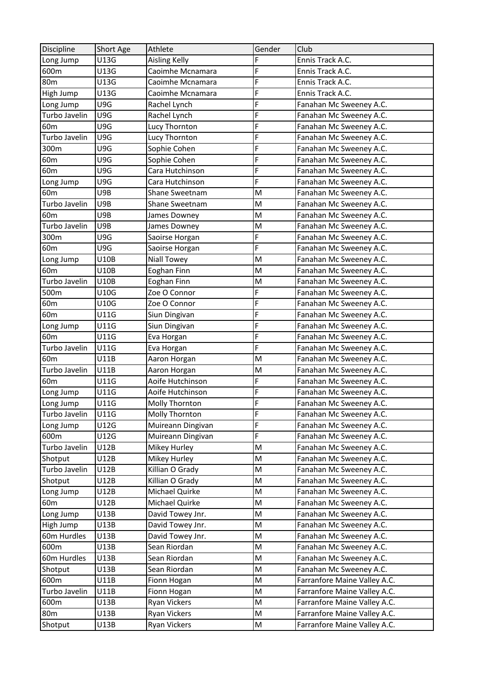| <b>Discipline</b> | Short Age   | Athlete              | Gender | Club                         |
|-------------------|-------------|----------------------|--------|------------------------------|
| Long Jump         | U13G        | <b>Aisling Kelly</b> | F      | Ennis Track A.C.             |
| 600m              | U13G        | Caoimhe Mcnamara     | F      | Ennis Track A.C.             |
| 80 <sub>m</sub>   | U13G        | Caoimhe Mcnamara     | F      | Ennis Track A.C.             |
| High Jump         | U13G        | Caoimhe Mcnamara     | F      | Ennis Track A.C.             |
| Long Jump         | U9G         | Rachel Lynch         | F      | Fanahan Mc Sweeney A.C.      |
| Turbo Javelin     | U9G         | Rachel Lynch         | F      | Fanahan Mc Sweeney A.C.      |
| 60 <sub>m</sub>   | U9G         | Lucy Thornton        | F      | Fanahan Mc Sweeney A.C.      |
| Turbo Javelin     | U9G         | Lucy Thornton        | F      | Fanahan Mc Sweeney A.C.      |
| 300m              | U9G         | Sophie Cohen         | F      | Fanahan Mc Sweeney A.C.      |
| 60 <sub>m</sub>   | U9G         | Sophie Cohen         | F      | Fanahan Mc Sweeney A.C.      |
| 60 <sub>m</sub>   | U9G         | Cara Hutchinson      | F      | Fanahan Mc Sweeney A.C.      |
| Long Jump         | U9G         | Cara Hutchinson      | F      | Fanahan Mc Sweeney A.C.      |
| 60 <sub>m</sub>   | U9B         | Shane Sweetnam       | M      | Fanahan Mc Sweeney A.C.      |
| Turbo Javelin     | U9B         | Shane Sweetnam       | M      | Fanahan Mc Sweeney A.C.      |
| 60m               | U9B         | James Downey         | M      | Fanahan Mc Sweeney A.C.      |
| Turbo Javelin     | U9B         | James Downey         | M      | Fanahan Mc Sweeney A.C.      |
| 300m              | U9G         | Saoirse Horgan       | F      | Fanahan Mc Sweeney A.C.      |
| 60 <sub>m</sub>   | U9G         | Saoirse Horgan       | F      | Fanahan Mc Sweeney A.C.      |
| Long Jump         | U10B        | <b>Niall Towey</b>   | M      | Fanahan Mc Sweeney A.C.      |
| 60 <sub>m</sub>   | <b>U10B</b> | Eoghan Finn          | M      | Fanahan Mc Sweeney A.C.      |
| Turbo Javelin     | U10B        | Eoghan Finn          | M      | Fanahan Mc Sweeney A.C.      |
| 500m              | U10G        | Zoe O Connor         | F      | Fanahan Mc Sweeney A.C.      |
| 60 <sub>m</sub>   | U10G        | Zoe O Connor         | F      | Fanahan Mc Sweeney A.C.      |
| 60 <sub>m</sub>   | U11G        | Siun Dingivan        | F      | Fanahan Mc Sweeney A.C.      |
| Long Jump         | U11G        | Siun Dingivan        | F      | Fanahan Mc Sweeney A.C.      |
| 60 <sub>m</sub>   | U11G        | Eva Horgan           | F      | Fanahan Mc Sweeney A.C.      |
| Turbo Javelin     | U11G        | Eva Horgan           | F      | Fanahan Mc Sweeney A.C.      |
| 60 <sub>m</sub>   | U11B        | Aaron Horgan         | M      | Fanahan Mc Sweeney A.C.      |
| Turbo Javelin     | U11B        | Aaron Horgan         | M      | Fanahan Mc Sweeney A.C.      |
| 60 <sub>m</sub>   | U11G        | Aoife Hutchinson     | F      | Fanahan Mc Sweeney A.C.      |
| Long Jump         | U11G        | Aoife Hutchinson     | F      | Fanahan Mc Sweeney A.C.      |
| Long Jump         | U11G        | Molly Thornton       | F      | Fanahan Mc Sweeney A.C.      |
| Turbo Javelin     | U11G        | Molly Thornton       | F      | Fanahan Mc Sweeney A.C.      |
| Long Jump         | U12G        | Muireann Dingivan    | F      | Fanahan Mc Sweeney A.C.      |
| 600m              | U12G        | Muireann Dingivan    | F      | Fanahan Mc Sweeney A.C.      |
| Turbo Javelin     | U12B        | Mikey Hurley         | M      | Fanahan Mc Sweeney A.C.      |
| Shotput           | U12B        | Mikey Hurley         | M      | Fanahan Mc Sweeney A.C.      |
| Turbo Javelin     | U12B        | Killian O Grady      | M      | Fanahan Mc Sweeney A.C.      |
| Shotput           | U12B        | Killian O Grady      | M      | Fanahan Mc Sweeney A.C.      |
| Long Jump         | U12B        | Michael Quirke       | M      | Fanahan Mc Sweeney A.C.      |
| 60 <sub>m</sub>   | U12B        | Michael Quirke       | M      | Fanahan Mc Sweeney A.C.      |
| Long Jump         | U13B        | David Towey Jnr.     | M      | Fanahan Mc Sweeney A.C.      |
| High Jump         | U13B        | David Towey Jnr.     | M      | Fanahan Mc Sweeney A.C.      |
| 60m Hurdles       | U13B        | David Towey Jnr.     | M      | Fanahan Mc Sweeney A.C.      |
| 600m              | U13B        | Sean Riordan         | M      | Fanahan Mc Sweeney A.C.      |
| 60m Hurdles       | U13B        | Sean Riordan         | M      | Fanahan Mc Sweeney A.C.      |
| Shotput           | U13B        | Sean Riordan         | M      | Fanahan Mc Sweeney A.C.      |
| 600m              | U11B        | Fionn Hogan          | M      | Farranfore Maine Valley A.C. |
| Turbo Javelin     | U11B        | Fionn Hogan          | M      | Farranfore Maine Valley A.C. |
| 600m              | U13B        | <b>Ryan Vickers</b>  | M      | Farranfore Maine Valley A.C. |
| 80 <sub>m</sub>   | U13B        | Ryan Vickers         | M      | Farranfore Maine Valley A.C. |
| Shotput           | U13B        | <b>Ryan Vickers</b>  | M      | Farranfore Maine Valley A.C. |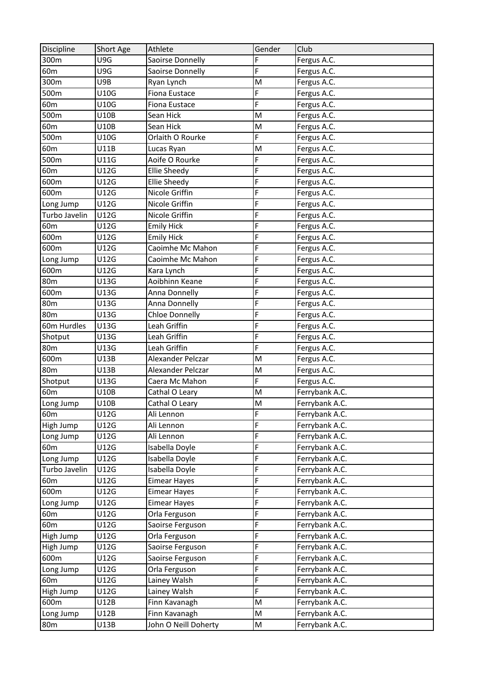| <b>Discipline</b> | Short Age | Athlete               | Gender                  | Club           |
|-------------------|-----------|-----------------------|-------------------------|----------------|
| 300m              | U9G       | Saoirse Donnelly      | F                       | Fergus A.C.    |
| 60 <sub>m</sub>   | U9G       | Saoirse Donnelly      | F                       | Fergus A.C.    |
| 300m              | U9B       | Ryan Lynch            | M                       | Fergus A.C.    |
| 500m              | U10G      | Fiona Eustace         | F                       | Fergus A.C.    |
| 60 <sub>m</sub>   | U10G      | <b>Fiona Eustace</b>  | F                       | Fergus A.C.    |
| 500m              | U10B      | Sean Hick             | M                       | Fergus A.C.    |
| 60 <sub>m</sub>   | U10B      | Sean Hick             | M                       | Fergus A.C.    |
| 500m              | U10G      | Orlaith O Rourke      | F                       | Fergus A.C.    |
| 60 <sub>m</sub>   | U11B      | Lucas Ryan            | M                       | Fergus A.C.    |
| 500m              | U11G      | Aoife O Rourke        | F                       | Fergus A.C.    |
| 60 <sub>m</sub>   | U12G      | <b>Ellie Sheedy</b>   | F                       | Fergus A.C.    |
| 600m              | U12G      | <b>Ellie Sheedy</b>   | F                       | Fergus A.C.    |
| 600m              | U12G      | Nicole Griffin        | F                       | Fergus A.C.    |
| Long Jump         | U12G      | Nicole Griffin        | F                       | Fergus A.C.    |
| Turbo Javelin     | U12G      | Nicole Griffin        | F                       | Fergus A.C.    |
| 60 <sub>m</sub>   | U12G      | <b>Emily Hick</b>     | F                       | Fergus A.C.    |
| 600m              | U12G      | <b>Emily Hick</b>     | F                       | Fergus A.C.    |
| 600m              | U12G      | Caoimhe Mc Mahon      | F                       | Fergus A.C.    |
| Long Jump         | U12G      | Caoimhe Mc Mahon      | F                       | Fergus A.C.    |
| 600m              | U12G      | Kara Lynch            | F                       | Fergus A.C.    |
| 80 <sub>m</sub>   | U13G      | Aoibhinn Keane        | F                       | Fergus A.C.    |
| 600m              | U13G      | Anna Donnelly         | F                       | Fergus A.C.    |
| 80 <sub>m</sub>   | U13G      | Anna Donnelly         | F                       | Fergus A.C.    |
| 80 <sub>m</sub>   | U13G      | <b>Chloe Donnelly</b> | F                       | Fergus A.C.    |
| 60m Hurdles       | U13G      | Leah Griffin          | F                       | Fergus A.C.    |
| Shotput           | U13G      | Leah Griffin          | F                       | Fergus A.C.    |
| 80 <sub>m</sub>   | U13G      | Leah Griffin          | F                       | Fergus A.C.    |
| 600m              | U13B      | Alexander Pelczar     | M                       | Fergus A.C.    |
| <b>80m</b>        | U13B      | Alexander Pelczar     | M                       | Fergus A.C.    |
| Shotput           | U13G      | Caera Mc Mahon        | F                       | Fergus A.C.    |
| 60 <sub>m</sub>   | U10B      | Cathal O Leary        | M                       | Ferrybank A.C. |
| Long Jump         | U10B      | Cathal O Leary        | $\overline{\mathsf{M}}$ | Ferrybank A.C. |
| 60 <sub>m</sub>   | U12G      | Ali Lennon            | F                       | Ferrybank A.C. |
| High Jump         | U12G      | Ali Lennon            | F                       | Ferrybank A.C. |
| Long Jump         | U12G      | Ali Lennon            | F                       | Ferrybank A.C. |
| 60 <sub>m</sub>   | U12G      | Isabella Doyle        | F                       | Ferrybank A.C. |
| Long Jump         | U12G      | Isabella Doyle        | F                       | Ferrybank A.C. |
| Turbo Javelin     | U12G      | Isabella Doyle        | F                       | Ferrybank A.C. |
| 60m               | U12G      | <b>Eimear Hayes</b>   | F                       | Ferrybank A.C. |
| 600m              | U12G      | <b>Eimear Hayes</b>   | F                       | Ferrybank A.C. |
| Long Jump         | U12G      | <b>Eimear Hayes</b>   | F                       | Ferrybank A.C. |
| 60 <sub>m</sub>   | U12G      | Orla Ferguson         | F                       | Ferrybank A.C. |
| 60m               | U12G      | Saoirse Ferguson      | F                       | Ferrybank A.C. |
| High Jump         | U12G      | Orla Ferguson         | F                       | Ferrybank A.C. |
| High Jump         | U12G      | Saoirse Ferguson      | F                       | Ferrybank A.C. |
| 600m              | U12G      | Saoirse Ferguson      | F                       | Ferrybank A.C. |
| Long Jump         | U12G      | Orla Ferguson         | F                       | Ferrybank A.C. |
| 60 <sub>m</sub>   | U12G      | Lainey Walsh          | F                       | Ferrybank A.C. |
| High Jump         | U12G      | Lainey Walsh          | F                       | Ferrybank A.C. |
| 600m              | U12B      | Finn Kavanagh         | M                       | Ferrybank A.C. |
| Long Jump         | U12B      | Finn Kavanagh         | M                       | Ferrybank A.C. |
| 80 <sub>m</sub>   | U13B      | John O Neill Doherty  | M                       | Ferrybank A.C. |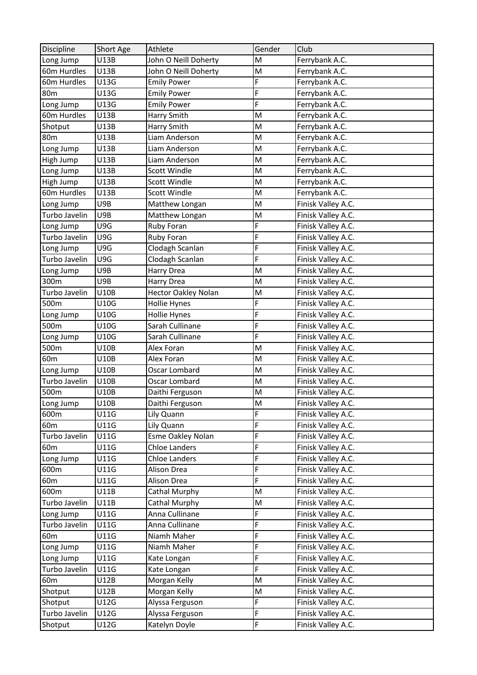| Discipline      | <b>Short Age</b> | Athlete                    | Gender                                                                                | Club               |
|-----------------|------------------|----------------------------|---------------------------------------------------------------------------------------|--------------------|
| Long Jump       | U13B             | John O Neill Doherty       | M                                                                                     | Ferrybank A.C.     |
| 60m Hurdles     | U13B             | John O Neill Doherty       | M                                                                                     | Ferrybank A.C.     |
| 60m Hurdles     | U13G             | <b>Emily Power</b>         | F                                                                                     | Ferrybank A.C.     |
| 80 <sub>m</sub> | U13G             | <b>Emily Power</b>         | F                                                                                     | Ferrybank A.C.     |
| Long Jump       | U13G             | <b>Emily Power</b>         | F                                                                                     | Ferrybank A.C.     |
| 60m Hurdles     | U13B             | Harry Smith                | M                                                                                     | Ferrybank A.C.     |
| Shotput         | U13B             | Harry Smith                | M                                                                                     | Ferrybank A.C.     |
| 80 <sub>m</sub> | U13B             | Liam Anderson              | M                                                                                     | Ferrybank A.C.     |
| Long Jump       | U13B             | Liam Anderson              | M                                                                                     | Ferrybank A.C.     |
| High Jump       | U13B             | Liam Anderson              | M                                                                                     | Ferrybank A.C.     |
| Long Jump       | U13B             | Scott Windle               | M                                                                                     | Ferrybank A.C.     |
| High Jump       | U13B             | <b>Scott Windle</b>        | M                                                                                     | Ferrybank A.C.     |
| 60m Hurdles     | <b>U13B</b>      | Scott Windle               | M                                                                                     | Ferrybank A.C.     |
| Long Jump       | U9B              | Matthew Longan             | M                                                                                     | Finisk Valley A.C. |
| Turbo Javelin   | U9B              | Matthew Longan             | M                                                                                     | Finisk Valley A.C. |
| Long Jump       | U9G              | Ruby Foran                 | F                                                                                     | Finisk Valley A.C. |
| Turbo Javelin   | U9G              | Ruby Foran                 | F                                                                                     | Finisk Valley A.C. |
| Long Jump       | U9G              | Clodagh Scanlan            | F                                                                                     | Finisk Valley A.C. |
| Turbo Javelin   | U9G              | Clodagh Scanlan            | F                                                                                     | Finisk Valley A.C. |
| Long Jump       | U9B              | Harry Drea                 | M                                                                                     | Finisk Valley A.C. |
| 300m            | U9B              | Harry Drea                 | M                                                                                     | Finisk Valley A.C. |
| Turbo Javelin   | U10B             | <b>Hector Oakley Nolan</b> | M                                                                                     | Finisk Valley A.C. |
| 500m            | U10G             | <b>Hollie Hynes</b>        | F                                                                                     | Finisk Valley A.C. |
| Long Jump       | U10G             | <b>Hollie Hynes</b>        | F                                                                                     | Finisk Valley A.C. |
| 500m            | U10G             | Sarah Cullinane            | F                                                                                     | Finisk Valley A.C. |
| Long Jump       | U10G             | Sarah Cullinane            | F                                                                                     | Finisk Valley A.C. |
| 500m            | U10B             | Alex Foran                 | M                                                                                     | Finisk Valley A.C. |
| 60 <sub>m</sub> | U10B             | Alex Foran                 | M                                                                                     | Finisk Valley A.C. |
| Long Jump       | U10B             | Oscar Lombard              | M                                                                                     | Finisk Valley A.C. |
| Turbo Javelin   | U10B             | Oscar Lombard              | M                                                                                     | Finisk Valley A.C. |
| 500m            | <b>U10B</b>      | Daithi Ferguson            | M                                                                                     | Finisk Valley A.C. |
| Long Jump       | U10B             | Daithi Ferguson            | $\mathsf{M}% _{T}=\mathsf{M}_{T}\!\left( a,b\right) ,\ \mathsf{M}_{T}=\mathsf{M}_{T}$ | Finisk Valley A.C. |
| 600m            | U11G             | Lily Quann                 | F                                                                                     | Finisk Valley A.C. |
| 60 <sub>m</sub> | U11G             | Lily Quann                 | F                                                                                     | Finisk Valley A.C. |
| Turbo Javelin   | <b>U11G</b>      | <b>Esme Oakley Nolan</b>   | F                                                                                     | Finisk Valley A.C. |
| 60 <sub>m</sub> | U11G             | <b>Chloe Landers</b>       | F                                                                                     | Finisk Valley A.C. |
| Long Jump       | U11G             | <b>Chloe Landers</b>       | F                                                                                     | Finisk Valley A.C. |
| 600m            | U11G             | Alison Drea                | F                                                                                     | Finisk Valley A.C. |
| 60 <sub>m</sub> | U11G             | Alison Drea                | F                                                                                     | Finisk Valley A.C. |
| 600m            | U11B             | Cathal Murphy              | M                                                                                     | Finisk Valley A.C. |
| Turbo Javelin   | U11B             | Cathal Murphy              | M                                                                                     | Finisk Valley A.C. |
| Long Jump       | U11G             | Anna Cullinane             | F                                                                                     | Finisk Valley A.C. |
| Turbo Javelin   | U11G             | Anna Cullinane             | F                                                                                     | Finisk Valley A.C. |
| 60 <sub>m</sub> | U11G             | Niamh Maher                | F                                                                                     | Finisk Valley A.C. |
| Long Jump       | U11G             | Niamh Maher                | F                                                                                     | Finisk Valley A.C. |
| Long Jump       | U11G             | Kate Longan                | F                                                                                     | Finisk Valley A.C. |
| Turbo Javelin   | U11G             | Kate Longan                | F                                                                                     | Finisk Valley A.C. |
| 60 <sub>m</sub> | U12B             | Morgan Kelly               | M                                                                                     | Finisk Valley A.C. |
| Shotput         | U12B             | Morgan Kelly               | M                                                                                     | Finisk Valley A.C. |
| Shotput         | U12G             | Alyssa Ferguson            | F                                                                                     | Finisk Valley A.C. |
| Turbo Javelin   | U12G             | Alyssa Ferguson            | F                                                                                     | Finisk Valley A.C. |
| Shotput         | U12G             | Katelyn Doyle              | F                                                                                     | Finisk Valley A.C. |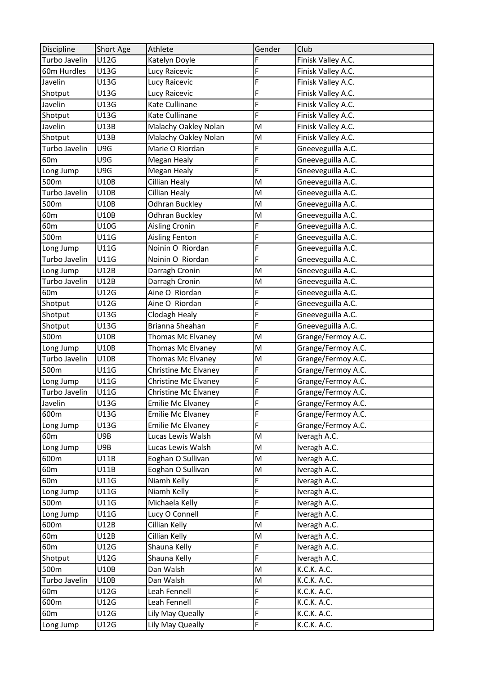| Discipline      | Short Age   | Athlete                  | Gender | Club                       |
|-----------------|-------------|--------------------------|--------|----------------------------|
| Turbo Javelin   | U12G        | Katelyn Doyle            | F      | Finisk Valley A.C.         |
| 60m Hurdles     | U13G        | Lucy Raicevic            | F      | Finisk Valley A.C.         |
| Javelin         | U13G        | Lucy Raicevic            | F      | Finisk Valley A.C.         |
| Shotput         | U13G        | Lucy Raicevic            | F      | Finisk Valley A.C.         |
| Javelin         | U13G        | Kate Cullinane           | F      | Finisk Valley A.C.         |
| Shotput         | U13G        | Kate Cullinane           | F      | Finisk Valley A.C.         |
| Javelin         | U13B        | Malachy Oakley Nolan     | M      | Finisk Valley A.C.         |
| Shotput         | U13B        | Malachy Oakley Nolan     | M      | Finisk Valley A.C.         |
| Turbo Javelin   | U9G         | Marie O Riordan          | F      | Gneeveguilla A.C.          |
| 60 <sub>m</sub> | U9G         | Megan Healy              | F      | Gneeveguilla A.C.          |
| Long Jump       | U9G         | Megan Healy              | F      | Gneeveguilla A.C.          |
| 500m            | U10B        | <b>Cillian Healy</b>     | M      | Gneeveguilla A.C.          |
| Turbo Javelin   | <b>U10B</b> | Cillian Healy            | M      | Gneeveguilla A.C.          |
| 500m            | U10B        | <b>Odhran Buckley</b>    | M      | Gneeveguilla A.C.          |
| 60 <sub>m</sub> | U10B        | <b>Odhran Buckley</b>    | M      | Gneeveguilla A.C.          |
| 60 <sub>m</sub> | U10G        | Aisling Cronin           | F      | Gneeveguilla A.C.          |
| 500m            | U11G        | Aisling Fenton           | F      | Gneeveguilla A.C.          |
| Long Jump       | U11G        | Noinin O Riordan         | F      | Gneeveguilla A.C.          |
| Turbo Javelin   | U11G        | Noinin O Riordan         | F      | Gneeveguilla A.C.          |
| Long Jump       | U12B        | Darragh Cronin           | M      | Gneeveguilla A.C.          |
| Turbo Javelin   | U12B        | Darragh Cronin           | M      | Gneeveguilla A.C.          |
| 60 <sub>m</sub> | U12G        | Aine O Riordan           | F      | Gneeveguilla A.C.          |
| Shotput         | U12G        | Aine O Riordan           | F      | Gneeveguilla A.C.          |
| Shotput         | U13G        | Clodagh Healy            | F      | Gneeveguilla A.C.          |
| Shotput         | U13G        | Brianna Sheahan          | F      | Gneeveguilla A.C.          |
| 500m            | U10B        | Thomas Mc Elvaney        | M      | Grange/Fermoy A.C.         |
| Long Jump       | U10B        | Thomas Mc Elvaney        | M      | Grange/Fermoy A.C.         |
| Turbo Javelin   | U10B        | Thomas Mc Elvaney        | M      | Grange/Fermoy A.C.         |
| 500m            | U11G        | Christine Mc Elvaney     | F      | Grange/Fermoy A.C.         |
| Long Jump       | U11G        | Christine Mc Elvaney     | F      | Grange/Fermoy A.C.         |
| Turbo Javelin   | U11G        | Christine Mc Elvaney     | F      | Grange/Fermoy A.C.         |
| Javelin         | U13G        | <b>Emilie Mc Elvaney</b> | F      | Grange/Fermoy A.C.         |
| 600m            | U13G        | <b>Emilie Mc Elvaney</b> | F      | Grange/Fermoy A.C.         |
| Long Jump       | U13G        | <b>Emilie Mc Elvaney</b> | F      | Grange/Fermoy A.C.         |
| 60 <sub>m</sub> | U9B         | Lucas Lewis Walsh        | M      | Iveragh A.C.               |
| Long Jump       | U9B         | Lucas Lewis Walsh        | M      | Iveragh A.C.               |
| 600m            | U11B        | Eoghan O Sullivan        | M      | Iveragh A.C.               |
| 60 <sub>m</sub> | U11B        | Eoghan O Sullivan        | M      | Iveragh A.C.               |
| 60 <sub>m</sub> | U11G        | Niamh Kelly              | F      | Iveragh A.C.               |
| Long Jump       | U11G        | Niamh Kelly              | F      | Iveragh A.C.               |
| 500m            | U11G        | Michaela Kelly           | F      | Iveragh A.C.               |
| Long Jump       | U11G        | Lucy O Connell           | F      | Iveragh A.C.               |
| 600m            | U12B        | Cillian Kelly            | M      | Iveragh A.C.               |
| 60 <sub>m</sub> | U12B        | Cillian Kelly            | M      | Iveragh A.C.               |
| 60 <sub>m</sub> | U12G        | Shauna Kelly             | F      | Iveragh A.C.               |
| Shotput         | U12G        | Shauna Kelly             | F      | Iveragh A.C.               |
| 500m            | U10B        | Dan Walsh                | M      | K.C.K. A.C.                |
| Turbo Javelin   | U10B        | Dan Walsh                | M      | K.C.K. A.C.                |
| 60m             | U12G        | Leah Fennell             | F      |                            |
| 600m            | U12G        | Leah Fennell             | F      | K.C.K. A.C.<br>K.C.K. A.C. |
|                 | U12G        |                          | F      | K.C.K. A.C.                |
| 60 <sub>m</sub> |             | Lily May Queally         |        |                            |
| Long Jump       | U12G        | Lily May Queally         | F      | K.C.K. A.C.                |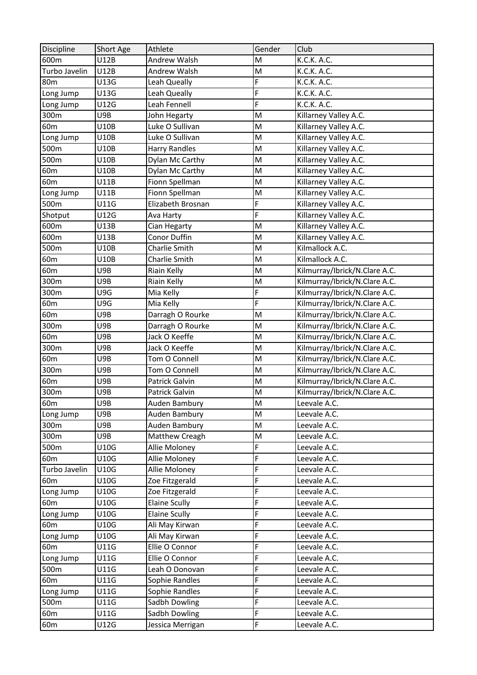| U12B<br>K.C.K. A.C.<br>600m<br>Andrew Walsh<br>M<br>Turbo Javelin<br>Andrew Walsh<br>M<br>U12B<br>K.C.K. A.C.<br>F<br>80 <sub>m</sub><br>U13G<br>Leah Queally<br>K.C.K. A.C.<br>F<br>U13G<br>K.C.K. A.C.<br>Leah Queally<br>Long Jump<br>F<br>U12G<br>K.C.K. A.C.<br>Long Jump<br>Leah Fennell<br>300m<br>Killarney Valley A.C.<br>U9B<br>John Hegarty<br>M<br>60 <sub>m</sub><br>U10B<br>Luke O Sullivan<br>M<br>Killarney Valley A.C.<br>Luke O Sullivan<br>M<br>Killarney Valley A.C.<br>U10B<br>Long Jump<br><b>Harry Randles</b><br>Killarney Valley A.C.<br>500m<br>U10B<br>M<br>500m<br>M<br>Killarney Valley A.C.<br>U10B<br>Dylan Mc Carthy<br>U10B<br>Dylan Mc Carthy<br>M<br>Killarney Valley A.C.<br>60 <sub>m</sub><br>M<br>Killarney Valley A.C.<br>Fionn Spellman<br>60 <sub>m</sub><br>U11B<br>Fionn Spellman<br>Killarney Valley A.C.<br>Long Jump<br>U11B<br>M<br>F<br>U11G<br>Elizabeth Brosnan<br>Killarney Valley A.C.<br>500m<br>F<br>Shotput<br>U12G<br>Killarney Valley A.C.<br>Ava Harty<br>Killarney Valley A.C.<br>600m<br>U13B<br>M<br>Cian Hegarty<br>Conor Duffin<br>600m<br>Killarney Valley A.C.<br>U13B<br>M<br>M<br>Kilmallock A.C.<br>500m<br>U10B<br><b>Charlie Smith</b><br>Charlie Smith<br>Kilmallock A.C.<br>60 <sub>m</sub><br>U10B<br>M<br>60m<br>U9B<br>Riain Kelly<br>M<br>Kilmurray/Ibrick/N.Clare A.C.<br>300m<br>U9B<br>Kilmurray/Ibrick/N.Clare A.C.<br>Riain Kelly<br>M |
|--------------------------------------------------------------------------------------------------------------------------------------------------------------------------------------------------------------------------------------------------------------------------------------------------------------------------------------------------------------------------------------------------------------------------------------------------------------------------------------------------------------------------------------------------------------------------------------------------------------------------------------------------------------------------------------------------------------------------------------------------------------------------------------------------------------------------------------------------------------------------------------------------------------------------------------------------------------------------------------------------------------------------------------------------------------------------------------------------------------------------------------------------------------------------------------------------------------------------------------------------------------------------------------------------------------------------------------------------------------------------------------------------------------------------|
|                                                                                                                                                                                                                                                                                                                                                                                                                                                                                                                                                                                                                                                                                                                                                                                                                                                                                                                                                                                                                                                                                                                                                                                                                                                                                                                                                                                                                          |
|                                                                                                                                                                                                                                                                                                                                                                                                                                                                                                                                                                                                                                                                                                                                                                                                                                                                                                                                                                                                                                                                                                                                                                                                                                                                                                                                                                                                                          |
|                                                                                                                                                                                                                                                                                                                                                                                                                                                                                                                                                                                                                                                                                                                                                                                                                                                                                                                                                                                                                                                                                                                                                                                                                                                                                                                                                                                                                          |
|                                                                                                                                                                                                                                                                                                                                                                                                                                                                                                                                                                                                                                                                                                                                                                                                                                                                                                                                                                                                                                                                                                                                                                                                                                                                                                                                                                                                                          |
|                                                                                                                                                                                                                                                                                                                                                                                                                                                                                                                                                                                                                                                                                                                                                                                                                                                                                                                                                                                                                                                                                                                                                                                                                                                                                                                                                                                                                          |
|                                                                                                                                                                                                                                                                                                                                                                                                                                                                                                                                                                                                                                                                                                                                                                                                                                                                                                                                                                                                                                                                                                                                                                                                                                                                                                                                                                                                                          |
|                                                                                                                                                                                                                                                                                                                                                                                                                                                                                                                                                                                                                                                                                                                                                                                                                                                                                                                                                                                                                                                                                                                                                                                                                                                                                                                                                                                                                          |
|                                                                                                                                                                                                                                                                                                                                                                                                                                                                                                                                                                                                                                                                                                                                                                                                                                                                                                                                                                                                                                                                                                                                                                                                                                                                                                                                                                                                                          |
|                                                                                                                                                                                                                                                                                                                                                                                                                                                                                                                                                                                                                                                                                                                                                                                                                                                                                                                                                                                                                                                                                                                                                                                                                                                                                                                                                                                                                          |
|                                                                                                                                                                                                                                                                                                                                                                                                                                                                                                                                                                                                                                                                                                                                                                                                                                                                                                                                                                                                                                                                                                                                                                                                                                                                                                                                                                                                                          |
|                                                                                                                                                                                                                                                                                                                                                                                                                                                                                                                                                                                                                                                                                                                                                                                                                                                                                                                                                                                                                                                                                                                                                                                                                                                                                                                                                                                                                          |
|                                                                                                                                                                                                                                                                                                                                                                                                                                                                                                                                                                                                                                                                                                                                                                                                                                                                                                                                                                                                                                                                                                                                                                                                                                                                                                                                                                                                                          |
|                                                                                                                                                                                                                                                                                                                                                                                                                                                                                                                                                                                                                                                                                                                                                                                                                                                                                                                                                                                                                                                                                                                                                                                                                                                                                                                                                                                                                          |
|                                                                                                                                                                                                                                                                                                                                                                                                                                                                                                                                                                                                                                                                                                                                                                                                                                                                                                                                                                                                                                                                                                                                                                                                                                                                                                                                                                                                                          |
|                                                                                                                                                                                                                                                                                                                                                                                                                                                                                                                                                                                                                                                                                                                                                                                                                                                                                                                                                                                                                                                                                                                                                                                                                                                                                                                                                                                                                          |
|                                                                                                                                                                                                                                                                                                                                                                                                                                                                                                                                                                                                                                                                                                                                                                                                                                                                                                                                                                                                                                                                                                                                                                                                                                                                                                                                                                                                                          |
|                                                                                                                                                                                                                                                                                                                                                                                                                                                                                                                                                                                                                                                                                                                                                                                                                                                                                                                                                                                                                                                                                                                                                                                                                                                                                                                                                                                                                          |
|                                                                                                                                                                                                                                                                                                                                                                                                                                                                                                                                                                                                                                                                                                                                                                                                                                                                                                                                                                                                                                                                                                                                                                                                                                                                                                                                                                                                                          |
|                                                                                                                                                                                                                                                                                                                                                                                                                                                                                                                                                                                                                                                                                                                                                                                                                                                                                                                                                                                                                                                                                                                                                                                                                                                                                                                                                                                                                          |
|                                                                                                                                                                                                                                                                                                                                                                                                                                                                                                                                                                                                                                                                                                                                                                                                                                                                                                                                                                                                                                                                                                                                                                                                                                                                                                                                                                                                                          |
|                                                                                                                                                                                                                                                                                                                                                                                                                                                                                                                                                                                                                                                                                                                                                                                                                                                                                                                                                                                                                                                                                                                                                                                                                                                                                                                                                                                                                          |
| F<br>Kilmurray/Ibrick/N.Clare A.C.<br>300m<br>U9G<br>Mia Kelly                                                                                                                                                                                                                                                                                                                                                                                                                                                                                                                                                                                                                                                                                                                                                                                                                                                                                                                                                                                                                                                                                                                                                                                                                                                                                                                                                           |
| F<br>Kilmurray/Ibrick/N.Clare A.C.<br>60 <sub>m</sub><br>U9G<br>Mia Kelly                                                                                                                                                                                                                                                                                                                                                                                                                                                                                                                                                                                                                                                                                                                                                                                                                                                                                                                                                                                                                                                                                                                                                                                                                                                                                                                                                |
| Kilmurray/Ibrick/N.Clare A.C.<br>U9B<br>Darragh O Rourke<br>M<br>60 <sub>m</sub>                                                                                                                                                                                                                                                                                                                                                                                                                                                                                                                                                                                                                                                                                                                                                                                                                                                                                                                                                                                                                                                                                                                                                                                                                                                                                                                                         |
| U9B<br>Darragh O Rourke<br>M<br>Kilmurray/Ibrick/N.Clare A.C.<br>300m                                                                                                                                                                                                                                                                                                                                                                                                                                                                                                                                                                                                                                                                                                                                                                                                                                                                                                                                                                                                                                                                                                                                                                                                                                                                                                                                                    |
| Jack O Keeffe<br>Kilmurray/Ibrick/N.Clare A.C.<br>60 <sub>m</sub><br>U9B<br>M                                                                                                                                                                                                                                                                                                                                                                                                                                                                                                                                                                                                                                                                                                                                                                                                                                                                                                                                                                                                                                                                                                                                                                                                                                                                                                                                            |
| 300m<br>U9B<br>Jack O Keeffe<br>M<br>Kilmurray/Ibrick/N.Clare A.C.                                                                                                                                                                                                                                                                                                                                                                                                                                                                                                                                                                                                                                                                                                                                                                                                                                                                                                                                                                                                                                                                                                                                                                                                                                                                                                                                                       |
| U9B<br>Tom O Connell<br>M<br>Kilmurray/Ibrick/N.Clare A.C.<br>60 <sub>m</sub>                                                                                                                                                                                                                                                                                                                                                                                                                                                                                                                                                                                                                                                                                                                                                                                                                                                                                                                                                                                                                                                                                                                                                                                                                                                                                                                                            |
| Kilmurray/Ibrick/N.Clare A.C.<br>300m<br>U9B<br>Tom O Connell<br>M                                                                                                                                                                                                                                                                                                                                                                                                                                                                                                                                                                                                                                                                                                                                                                                                                                                                                                                                                                                                                                                                                                                                                                                                                                                                                                                                                       |
| U9B<br>Patrick Galvin<br>M<br>Kilmurray/Ibrick/N.Clare A.C.<br>60 <sub>m</sub>                                                                                                                                                                                                                                                                                                                                                                                                                                                                                                                                                                                                                                                                                                                                                                                                                                                                                                                                                                                                                                                                                                                                                                                                                                                                                                                                           |
| Kilmurray/Ibrick/N.Clare A.C.<br>300m<br>U9B<br>Patrick Galvin<br>M                                                                                                                                                                                                                                                                                                                                                                                                                                                                                                                                                                                                                                                                                                                                                                                                                                                                                                                                                                                                                                                                                                                                                                                                                                                                                                                                                      |
| 60 <sub>m</sub><br>U9B<br>Leevale A.C.<br>Auden Bambury<br>M                                                                                                                                                                                                                                                                                                                                                                                                                                                                                                                                                                                                                                                                                                                                                                                                                                                                                                                                                                                                                                                                                                                                                                                                                                                                                                                                                             |
| U9B<br>Auden Bambury<br>M<br>Long Jump<br>Leevale A.C.                                                                                                                                                                                                                                                                                                                                                                                                                                                                                                                                                                                                                                                                                                                                                                                                                                                                                                                                                                                                                                                                                                                                                                                                                                                                                                                                                                   |
| U9B<br>300m<br>Auden Bambury<br>M<br>Leevale A.C.                                                                                                                                                                                                                                                                                                                                                                                                                                                                                                                                                                                                                                                                                                                                                                                                                                                                                                                                                                                                                                                                                                                                                                                                                                                                                                                                                                        |
| U9B<br>Matthew Creagh<br>M<br>300m<br>Leevale A.C.                                                                                                                                                                                                                                                                                                                                                                                                                                                                                                                                                                                                                                                                                                                                                                                                                                                                                                                                                                                                                                                                                                                                                                                                                                                                                                                                                                       |
| F<br>500m<br>U10G<br>Allie Moloney<br>Leevale A.C.                                                                                                                                                                                                                                                                                                                                                                                                                                                                                                                                                                                                                                                                                                                                                                                                                                                                                                                                                                                                                                                                                                                                                                                                                                                                                                                                                                       |
| F<br>U10G<br>Allie Moloney<br>Leevale A.C.<br>60 <sub>m</sub>                                                                                                                                                                                                                                                                                                                                                                                                                                                                                                                                                                                                                                                                                                                                                                                                                                                                                                                                                                                                                                                                                                                                                                                                                                                                                                                                                            |
| F<br>Turbo Javelin<br>U10G<br>Allie Moloney<br>Leevale A.C.                                                                                                                                                                                                                                                                                                                                                                                                                                                                                                                                                                                                                                                                                                                                                                                                                                                                                                                                                                                                                                                                                                                                                                                                                                                                                                                                                              |
| F<br>Zoe Fitzgerald<br>60 <sub>m</sub><br>U10G<br>Leevale A.C.                                                                                                                                                                                                                                                                                                                                                                                                                                                                                                                                                                                                                                                                                                                                                                                                                                                                                                                                                                                                                                                                                                                                                                                                                                                                                                                                                           |
| F<br>U10G<br>Zoe Fitzgerald<br>Leevale A.C.<br>Long Jump                                                                                                                                                                                                                                                                                                                                                                                                                                                                                                                                                                                                                                                                                                                                                                                                                                                                                                                                                                                                                                                                                                                                                                                                                                                                                                                                                                 |
| F<br>60 <sub>m</sub><br>U10G<br><b>Elaine Scully</b><br>Leevale A.C.                                                                                                                                                                                                                                                                                                                                                                                                                                                                                                                                                                                                                                                                                                                                                                                                                                                                                                                                                                                                                                                                                                                                                                                                                                                                                                                                                     |
| F<br><b>Elaine Scully</b><br>Long Jump<br>U10G<br>Leevale A.C.                                                                                                                                                                                                                                                                                                                                                                                                                                                                                                                                                                                                                                                                                                                                                                                                                                                                                                                                                                                                                                                                                                                                                                                                                                                                                                                                                           |
| F<br>60 <sub>m</sub><br>U10G<br>Ali May Kirwan<br>Leevale A.C.                                                                                                                                                                                                                                                                                                                                                                                                                                                                                                                                                                                                                                                                                                                                                                                                                                                                                                                                                                                                                                                                                                                                                                                                                                                                                                                                                           |
| F<br>U10G<br>Long Jump<br>Ali May Kirwan<br>Leevale A.C.                                                                                                                                                                                                                                                                                                                                                                                                                                                                                                                                                                                                                                                                                                                                                                                                                                                                                                                                                                                                                                                                                                                                                                                                                                                                                                                                                                 |
| F<br>U11G<br>60 <sub>m</sub><br>Ellie O Connor<br>Leevale A.C.                                                                                                                                                                                                                                                                                                                                                                                                                                                                                                                                                                                                                                                                                                                                                                                                                                                                                                                                                                                                                                                                                                                                                                                                                                                                                                                                                           |
| F<br>U11G<br>Ellie O Connor<br>Leevale A.C.<br>Long Jump                                                                                                                                                                                                                                                                                                                                                                                                                                                                                                                                                                                                                                                                                                                                                                                                                                                                                                                                                                                                                                                                                                                                                                                                                                                                                                                                                                 |
| F<br>U11G<br>Leah O Donovan<br>Leevale A.C.<br>500m                                                                                                                                                                                                                                                                                                                                                                                                                                                                                                                                                                                                                                                                                                                                                                                                                                                                                                                                                                                                                                                                                                                                                                                                                                                                                                                                                                      |
| F<br>60 <sub>m</sub><br>U11G<br>Sophie Randles<br>Leevale A.C.                                                                                                                                                                                                                                                                                                                                                                                                                                                                                                                                                                                                                                                                                                                                                                                                                                                                                                                                                                                                                                                                                                                                                                                                                                                                                                                                                           |
| F<br>U11G<br>Sophie Randles<br>Leevale A.C.<br>Long Jump                                                                                                                                                                                                                                                                                                                                                                                                                                                                                                                                                                                                                                                                                                                                                                                                                                                                                                                                                                                                                                                                                                                                                                                                                                                                                                                                                                 |
| F<br>U11G<br>Sadbh Dowling<br>500m<br>Leevale A.C.                                                                                                                                                                                                                                                                                                                                                                                                                                                                                                                                                                                                                                                                                                                                                                                                                                                                                                                                                                                                                                                                                                                                                                                                                                                                                                                                                                       |
| F<br>Sadbh Dowling<br>60 <sub>m</sub><br>U11G<br>Leevale A.C.                                                                                                                                                                                                                                                                                                                                                                                                                                                                                                                                                                                                                                                                                                                                                                                                                                                                                                                                                                                                                                                                                                                                                                                                                                                                                                                                                            |
| F<br>60 <sub>m</sub><br>U12G<br>Leevale A.C.<br>Jessica Merrigan                                                                                                                                                                                                                                                                                                                                                                                                                                                                                                                                                                                                                                                                                                                                                                                                                                                                                                                                                                                                                                                                                                                                                                                                                                                                                                                                                         |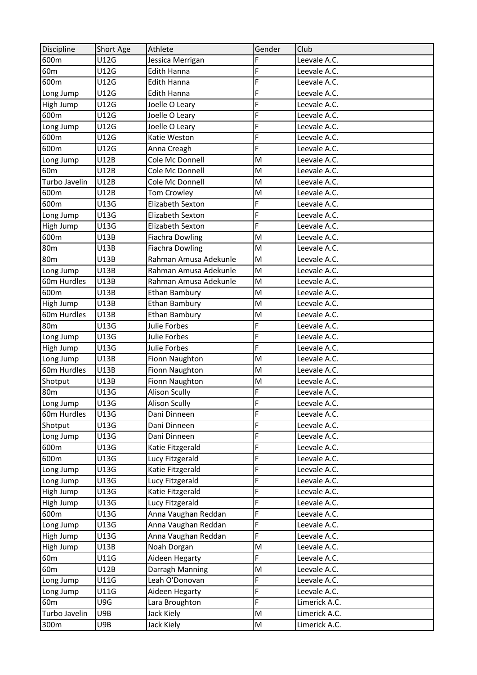| Discipline      | Short Age   | Athlete                | Gender | Club          |
|-----------------|-------------|------------------------|--------|---------------|
| 600m            | U12G        | Jessica Merrigan       | F      | Leevale A.C.  |
| 60 <sub>m</sub> | U12G        | <b>Edith Hanna</b>     | F      | Leevale A.C.  |
| 600m            | U12G        | <b>Edith Hanna</b>     | F      | Leevale A.C.  |
| Long Jump       | U12G        | Edith Hanna            | F      | Leevale A.C.  |
| High Jump       | U12G        | Joelle O Leary         | F      | Leevale A.C.  |
| 600m            | U12G        | Joelle O Leary         | F      | Leevale A.C.  |
| Long Jump       | U12G        | Joelle O Leary         | F      | Leevale A.C.  |
| 600m            | U12G        | Katie Weston           | F      | Leevale A.C.  |
| 600m            | U12G        | Anna Creagh            | F      | Leevale A.C.  |
| Long Jump       | <b>U12B</b> | Cole Mc Donnell        | M      | Leevale A.C.  |
| 60 <sub>m</sub> | U12B        | Cole Mc Donnell        | M      | Leevale A.C.  |
| Turbo Javelin   | U12B        | Cole Mc Donnell        | M      | Leevale A.C.  |
| 600m            | U12B        | <b>Tom Crowley</b>     | M      | Leevale A.C.  |
| 600m            | U13G        | Elizabeth Sexton       | F      | Leevale A.C.  |
| Long Jump       | U13G        | Elizabeth Sexton       | F      | Leevale A.C.  |
| High Jump       | U13G        | Elizabeth Sexton       | F      | Leevale A.C.  |
| 600m            | U13B        | <b>Fiachra Dowling</b> | M      | Leevale A.C.  |
| 80 <sub>m</sub> | U13B        | <b>Fiachra Dowling</b> | M      | Leevale A.C.  |
| 80 <sub>m</sub> | U13B        | Rahman Amusa Adekunle  | M      | Leevale A.C.  |
| Long Jump       | <b>U13B</b> | Rahman Amusa Adekunle  | M      | Leevale A.C.  |
| 60m Hurdles     | U13B        | Rahman Amusa Adekunle  | M      | Leevale A.C.  |
| 600m            | U13B        | <b>Ethan Bambury</b>   | M      | Leevale A.C.  |
| High Jump       | U13B        | <b>Ethan Bambury</b>   | M      | Leevale A.C.  |
| 60m Hurdles     | U13B        | <b>Ethan Bambury</b>   | M      | Leevale A.C.  |
| <b>80m</b>      | U13G        | Julie Forbes           | F      | Leevale A.C.  |
| Long Jump       | U13G        | Julie Forbes           | F      | Leevale A.C.  |
| High Jump       | U13G        | Julie Forbes           | F      | Leevale A.C.  |
| Long Jump       | U13B        | Fionn Naughton         | M      | Leevale A.C.  |
| 60m Hurdles     | U13B        | Fionn Naughton         | M      | Leevale A.C.  |
| Shotput         | <b>U13B</b> | Fionn Naughton         | M      | Leevale A.C.  |
| 80 <sub>m</sub> | U13G        | <b>Alison Scully</b>   | F      | Leevale A.C.  |
| Long Jump       | U13G        | <b>Alison Scully</b>   | F      | Leevale A.C.  |
| 60m Hurdles     | U13G        | Dani Dinneen           | F      | Leevale A.C.  |
| Shotput         | U13G        | Dani Dinneen           | F      | Leevale A.C.  |
| Long Jump       | U13G        | Dani Dinneen           | F      | Leevale A.C.  |
| 600m            | U13G        | Katie Fitzgerald       | F      | Leevale A.C.  |
| 600m            | U13G        | Lucy Fitzgerald        | F      | Leevale A.C.  |
| Long Jump       | U13G        | Katie Fitzgerald       | F      | Leevale A.C.  |
| Long Jump       | U13G        | Lucy Fitzgerald        | F      | Leevale A.C.  |
| High Jump       | U13G        | Katie Fitzgerald       | F      | Leevale A.C.  |
| High Jump       | U13G        | Lucy Fitzgerald        | F      | Leevale A.C.  |
| 600m            | U13G        | Anna Vaughan Reddan    | F      | Leevale A.C.  |
| Long Jump       | U13G        | Anna Vaughan Reddan    | F      | Leevale A.C.  |
| High Jump       | U13G        | Anna Vaughan Reddan    | F      | Leevale A.C.  |
| High Jump       | U13B        | Noah Dorgan            | M      | Leevale A.C.  |
| 60 <sub>m</sub> | U11G        | Aideen Hegarty         | F      | Leevale A.C.  |
| 60 <sub>m</sub> | U12B        | Darragh Manning        | M      | Leevale A.C.  |
| Long Jump       | U11G        | Leah O'Donovan         | F      | Leevale A.C.  |
| Long Jump       | U11G        | Aideen Hegarty         | F      | Leevale A.C.  |
| 60 <sub>m</sub> | U9G         | Lara Broughton         | F      | Limerick A.C. |
| Turbo Javelin   | U9B         | Jack Kiely             | M      | Limerick A.C. |
| 300m            | U9B         | Jack Kiely             | M      | Limerick A.C. |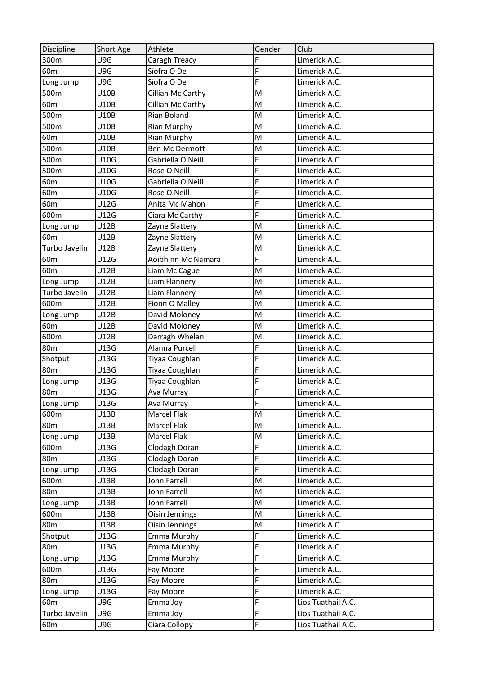| Discipline      | Short Age   | Athlete               | Gender | Club               |
|-----------------|-------------|-----------------------|--------|--------------------|
| 300m            | U9G         | Caragh Treacy         | F      | Limerick A.C.      |
| 60 <sub>m</sub> | U9G         | Síofra O De           | F      | Limerick A.C.      |
| Long Jump       | U9G         | Síofra O De           | F      | Limerick A.C.      |
| 500m            | U10B        | Cillian Mc Carthy     | M      | Limerick A.C.      |
| 60 <sub>m</sub> | U10B        | Cillian Mc Carthy     | M      | Limerick A.C.      |
| 500m            | U10B        | Rian Boland           | M      | Limerick A.C.      |
| 500m            | U10B        | Rian Murphy           | M      | Limerick A.C.      |
| 60 <sub>m</sub> | U10B        | <b>Rian Murphy</b>    | M      | Limerick A.C.      |
| 500m            | U10B        | <b>Ben Mc Dermott</b> | M      | Limerick A.C.      |
| 500m            | U10G        | Gabriella O Neill     | F      | Limerick A.C.      |
| 500m            | U10G        | Rose O Neill          | F      | Limerick A.C.      |
| 60 <sub>m</sub> | U10G        | Gabriella O Neill     | F      | Limerick A.C.      |
| 60 <sub>m</sub> | U10G        | Rose O Neill          | F      | Limerick A.C.      |
| 60 <sub>m</sub> | U12G        | Anita Mc Mahon        | F      | Limerick A.C.      |
| 600m            | U12G        | Ciara Mc Carthy       | F      | Limerick A.C.      |
| Long Jump       | U12B        | Zayne Slattery        | M      | Limerick A.C.      |
| 60 <sub>m</sub> | U12B        | Zayne Slattery        | M      | Limerick A.C.      |
| Turbo Javelin   | U12B        | Zayne Slattery        | M      | Limerick A.C.      |
| 60 <sub>m</sub> | U12G        | Aoibhinn Mc Namara    | F      | Limerick A.C.      |
| 60 <sub>m</sub> | U12B        | Liam Mc Cague         | M      | Limerick A.C.      |
| Long Jump       | U12B        | Liam Flannery         | M      | Limerick A.C.      |
| Turbo Javelin   | U12B        | Liam Flannery         | M      | Limerick A.C.      |
| 600m            | <b>U12B</b> | Fionn O Malley        | M      | Limerick A.C.      |
| Long Jump       | U12B        | David Moloney         | M      | Limerick A.C.      |
| 60 <sub>m</sub> | U12B        | David Moloney         | M      | Limerick A.C.      |
| 600m            | U12B        | Darragh Whelan        | M      | Limerick A.C.      |
| 80 <sub>m</sub> | U13G        | Alanna Purcell        | F      | Limerick A.C.      |
| Shotput         | U13G        | Tiyaa Coughlan        | F      | Limerick A.C.      |
| 80 <sub>m</sub> | U13G        | Tiyaa Coughlan        | F      | Limerick A.C.      |
| Long Jump       | U13G        | Tiyaa Coughlan        | F      | Limerick A.C.      |
| <b>80m</b>      | U13G        | Ava Murray            | F      | Limerick A.C.      |
| Long Jump       | U13G        | Ava Murray            | F      | Limerick A.C.      |
| 600m            | U13B        | Marcel Flak           | M      | Limerick A.C.      |
| 80 <sub>m</sub> | U13B        | Marcel Flak           | M      | Limerick A.C.      |
| Long Jump       | U13B        | Marcel Flak           | M      | Limerick A.C.      |
| 600m            | U13G        | Clodagh Doran         | F      | Limerick A.C.      |
| 80 <sub>m</sub> | U13G        | Clodagh Doran         | F      | Limerick A.C.      |
| Long Jump       | U13G        | Clodagh Doran         | F      | Limerick A.C.      |
| 600m            | U13B        | John Farrell          | M      | Limerick A.C.      |
| 80 <sub>m</sub> | U13B        | John Farrell          | M      | Limerick A.C.      |
| Long Jump       | U13B        | John Farrell          | M      | Limerick A.C.      |
| 600m            | U13B        | Oisin Jennings        | M      | Limerick A.C.      |
| 80 <sub>m</sub> | U13B        | Oisin Jennings        | M      | Limerick A.C.      |
| Shotput         | U13G        | <b>Emma Murphy</b>    | F      | Limerick A.C.      |
| <b>80m</b>      | U13G        | Emma Murphy           | F      | Limerick A.C.      |
| Long Jump       | U13G        | Emma Murphy           | F      | Limerick A.C.      |
| 600m            | U13G        | Fay Moore             | F      | Limerick A.C.      |
| 80 <sub>m</sub> | U13G        | Fay Moore             | F      | Limerick A.C.      |
| Long Jump       | U13G        | Fay Moore             | F      | Limerick A.C.      |
| 60 <sub>m</sub> | U9G         | Emma Joy              | F      | Lios Tuathail A.C. |
| Turbo Javelin   | U9G         | Emma Joy              | F      | Lios Tuathail A.C. |
| 60 <sub>m</sub> | U9G         | Ciara Collopy         | F      | Lios Tuathail A.C. |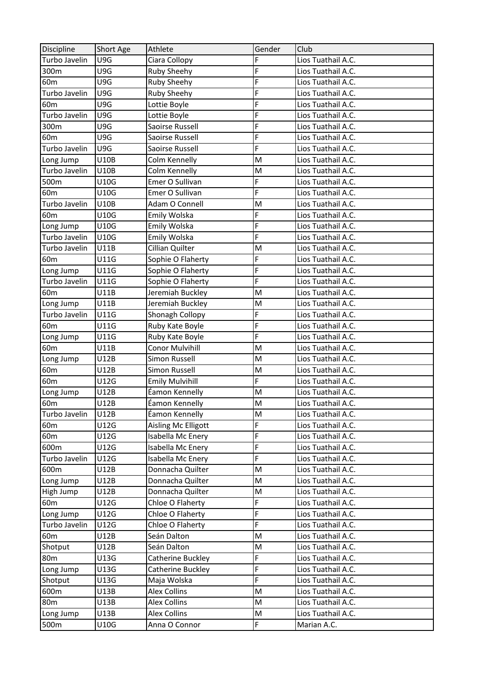| Discipline      | Short Age   | Athlete                | Gender | Club               |
|-----------------|-------------|------------------------|--------|--------------------|
| Turbo Javelin   | U9G         | Ciara Collopy          | F      | Lios Tuathail A.C. |
| 300m            | U9G         | Ruby Sheehy            | F      | Lios Tuathail A.C. |
| 60 <sub>m</sub> | U9G         | Ruby Sheehy            | F      | Lios Tuathail A.C. |
| Turbo Javelin   | U9G         | Ruby Sheehy            | F      | Lios Tuathail A.C. |
| 60 <sub>m</sub> | U9G         | Lottie Boyle           | F      | Lios Tuathail A.C. |
| Turbo Javelin   | U9G         | Lottie Boyle           | F      | Lios Tuathail A.C. |
| 300m            | U9G         | Saoirse Russell        | F      | Lios Tuathail A.C. |
| 60 <sub>m</sub> | U9G         | Saoirse Russell        | F      | Lios Tuathail A.C. |
| Turbo Javelin   | U9G         | Saoirse Russell        | F      | Lios Tuathail A.C. |
| Long Jump       | U10B        | Colm Kennelly          | M      | Lios Tuathail A.C. |
| Turbo Javelin   | <b>U10B</b> | Colm Kennelly          | M      | Lios Tuathail A.C. |
| 500m            | U10G        | Emer O Sullivan        | F      | Lios Tuathail A.C. |
| 60 <sub>m</sub> | U10G        | Emer O Sullivan        | F      | Lios Tuathail A.C. |
| Turbo Javelin   | U10B        | Adam O Connell         | M      | Lios Tuathail A.C. |
| 60 <sub>m</sub> | U10G        | Emily Wolska           | F      | Lios Tuathail A.C. |
| Long Jump       | U10G        | Emily Wolska           | F      | Lios Tuathail A.C. |
| Turbo Javelin   | U10G        | Emily Wolska           | F      | Lios Tuathail A.C. |
| Turbo Javelin   | U11B        | Cillian Quilter        | M      | Lios Tuathail A.C. |
| 60 <sub>m</sub> | U11G        | Sophie O Flaherty      | F      | Lios Tuathail A.C. |
| Long Jump       | U11G        | Sophie O Flaherty      | F      | Lios Tuathail A.C. |
| Turbo Javelin   | U11G        | Sophie O Flaherty      | F      | Lios Tuathail A.C. |
| 60 <sub>m</sub> | U11B        | Jeremiah Buckley       | M      | Lios Tuathail A.C. |
| Long Jump       | <b>U11B</b> | Jeremiah Buckley       | M      | Lios Tuathail A.C. |
| Turbo Javelin   | U11G        | Shonagh Collopy        | F      | Lios Tuathail A.C. |
| 60 <sub>m</sub> | U11G        | Ruby Kate Boyle        | F      | Lios Tuathail A.C. |
| Long Jump       | U11G        | Ruby Kate Boyle        | F      | Lios Tuathail A.C. |
| 60 <sub>m</sub> | U11B        | <b>Conor Mulvihill</b> | M      | Lios Tuathail A.C. |
| Long Jump       | U12B        | Simon Russell          | M      | Lios Tuathail A.C. |
| 60 <sub>m</sub> | U12B        | Simon Russell          | M      | Lios Tuathail A.C. |
| 60 <sub>m</sub> | U12G        | <b>Emily Mulvihill</b> | F      | Lios Tuathail A.C. |
| Long Jump       | U12B        | Éamon Kennelly         | M      | Lios Tuathail A.C. |
| 60m             | U12B        | Éamon Kennelly         | M      | Lios Tuathail A.C. |
| Turbo Javelin   | U12B        | Éamon Kennelly         | M      | Lios Tuathail A.C. |
| 60 <sub>m</sub> | U12G        | Aisling Mc Elligott    | F      | Lios Tuathail A.C. |
| 60 <sub>m</sub> | U12G        | Isabella Mc Enery      | F      | Lios Tuathail A.C. |
| 600m            | U12G        | Isabella Mc Enery      | F      | Lios Tuathail A.C. |
| Turbo Javelin   | U12G        | Isabella Mc Enery      | F      | Lios Tuathail A.C. |
| 600m            | U12B        | Donnacha Quilter       | M      | Lios Tuathail A.C. |
| Long Jump       | U12B        | Donnacha Quilter       | M      | Lios Tuathail A.C. |
| High Jump       | U12B        | Donnacha Quilter       | M      | Lios Tuathail A.C. |
| 60 <sub>m</sub> | U12G        | Chloe O Flaherty       | F      | Lios Tuathail A.C. |
| Long Jump       | U12G        | Chloe O Flaherty       | F      | Lios Tuathail A.C. |
| Turbo Javelin   | U12G        | Chloe O Flaherty       | F      | Lios Tuathail A.C. |
| 60 <sub>m</sub> | U12B        | Seán Dalton            | M      | Lios Tuathail A.C. |
| Shotput         | U12B        | Seán Dalton            | M      | Lios Tuathail A.C. |
| 80 <sub>m</sub> | U13G        | Catherine Buckley      | F      | Lios Tuathail A.C. |
| Long Jump       | U13G        | Catherine Buckley      | F      | Lios Tuathail A.C. |
| Shotput         | U13G        | Maja Wolska            | F      | Lios Tuathail A.C. |
| 600m            | U13B        | <b>Alex Collins</b>    | M      | Lios Tuathail A.C. |
| 80 <sub>m</sub> | U13B        | <b>Alex Collins</b>    | M      | Lios Tuathail A.C. |
| Long Jump       | U13B        | <b>Alex Collins</b>    | M      | Lios Tuathail A.C. |
| 500m            | U10G        | Anna O Connor          | F      | Marian A.C.        |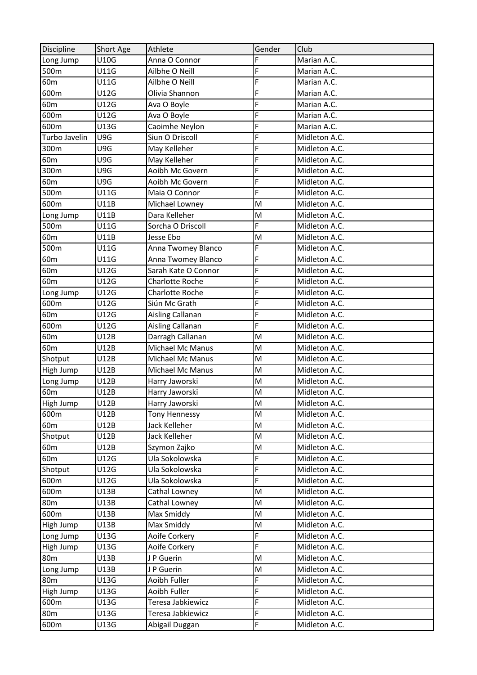| Discipline      | Short Age | Athlete              | Gender | Club          |
|-----------------|-----------|----------------------|--------|---------------|
| Long Jump       | U10G      | Anna O Connor        | F      | Marian A.C.   |
| 500m            | U11G      | Ailbhe O Neill       | F      | Marian A.C.   |
| 60 <sub>m</sub> | U11G      | Ailbhe O Neill       | F      | Marian A.C.   |
| 600m            | U12G      | Olivia Shannon       | F      | Marian A.C.   |
| 60 <sub>m</sub> | U12G      | Ava O Boyle          | F      | Marian A.C.   |
| 600m            | U12G      | Ava O Boyle          | F      | Marian A.C.   |
| 600m            | U13G      | Caoimhe Neylon       | F      | Marian A.C.   |
| Turbo Javelin   | U9G       | Siun O Driscoll      | F      | Midleton A.C. |
| 300m            | U9G       | May Kelleher         | F      | Midleton A.C. |
| 60 <sub>m</sub> | U9G       | May Kelleher         | F      | Midleton A.C. |
| 300m            | U9G       | Aoibh Mc Govern      | F      | Midleton A.C. |
| 60 <sub>m</sub> | U9G       | Aoibh Mc Govern      | F      | Midleton A.C. |
| 500m            | U11G      | Maia O Connor        | F      | Midleton A.C. |
| 600m            | U11B      | Michael Lowney       | M      | Midleton A.C. |
| Long Jump       | U11B      | Dara Kelleher        | M      | Midleton A.C. |
| 500m            | U11G      | Sorcha O Driscoll    | F      | Midleton A.C. |
| 60 <sub>m</sub> | U11B      | Jesse Ebo            | M      | Midleton A.C. |
| 500m            | U11G      | Anna Twomey Blanco   | F      | Midleton A.C. |
| 60 <sub>m</sub> | U11G      | Anna Twomey Blanco   | F      | Midleton A.C. |
| 60 <sub>m</sub> | U12G      | Sarah Kate O Connor  | F      | Midleton A.C. |
| 60 <sub>m</sub> | U12G      | Charlotte Roche      | F      | Midleton A.C. |
| Long Jump       | U12G      | Charlotte Roche      | F      | Midleton A.C. |
| 600m            | U12G      | Siún Mc Grath        | F      | Midleton A.C. |
| 60 <sub>m</sub> | U12G      | Aisling Callanan     | F      | Midleton A.C. |
| 600m            | U12G      | Aisling Callanan     | F      | Midleton A.C. |
| 60 <sub>m</sub> | U12B      | Darragh Callanan     | M      | Midleton A.C. |
| 60 <sub>m</sub> | U12B      | Michael Mc Manus     | M      | Midleton A.C. |
| Shotput         | U12B      | Michael Mc Manus     | M      | Midleton A.C. |
| High Jump       | U12B      | Michael Mc Manus     | M      | Midleton A.C. |
| Long Jump       | U12B      | Harry Jaworski       | M      | Midleton A.C. |
| 60 <sub>m</sub> | U12B      | Harry Jaworski       | M      | Midleton A.C. |
| High Jump       | U12B      | Harry Jaworski       | M      | Midleton A.C. |
| 600m            | U12B      | <b>Tony Hennessy</b> | M      | Midleton A.C. |
| 60 <sub>m</sub> | U12B      | Jack Kelleher        | M      | Midleton A.C. |
| Shotput         | U12B      | Jack Kelleher        | M      | Midleton A.C. |
| 60 <sub>m</sub> | U12B      | Szymon Zajko         | M      | Midleton A.C. |
| 60 <sub>m</sub> | U12G      | Ula Sokolowska       | F      | Midleton A.C. |
| Shotput         | U12G      | Ula Sokolowska       | F      | Midleton A.C. |
| 600m            | U12G      | Ula Sokolowska       | F      | Midleton A.C. |
| 600m            | U13B      | Cathal Lowney        | M      | Midleton A.C. |
| 80 <sub>m</sub> | U13B      | Cathal Lowney        | M      | Midleton A.C. |
| 600m            | U13B      | Max Smiddy           | M      | Midleton A.C. |
| High Jump       | U13B      | Max Smiddy           | M      | Midleton A.C. |
| Long Jump       | U13G      | Aoife Corkery        | F      | Midleton A.C. |
| High Jump       | U13G      | Aoife Corkery        | F      | Midleton A.C. |
| 80 <sub>m</sub> | U13B      | J P Guerin           | M      | Midleton A.C. |
| Long Jump       | U13B      | J P Guerin           | M      | Midleton A.C. |
| 80 <sub>m</sub> | U13G      | Aoibh Fuller         | F      | Midleton A.C. |
| High Jump       | U13G      | Aoibh Fuller         | F      | Midleton A.C. |
| 600m            | U13G      | Teresa Jabkiewicz    | F      | Midleton A.C. |
| 80 <sub>m</sub> | U13G      | Teresa Jabkiewicz    | F      | Midleton A.C. |
|                 |           |                      | F      |               |
| 600m            | U13G      | Abigail Duggan       |        | Midleton A.C. |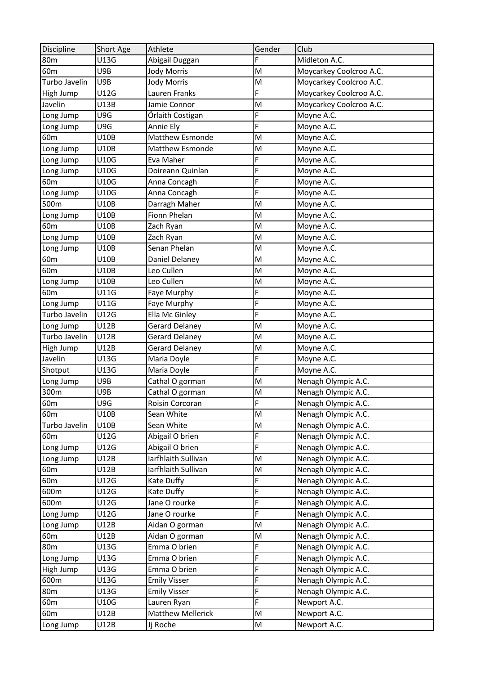| Discipline      | Short Age | Athlete               | Gender         | Club                    |
|-----------------|-----------|-----------------------|----------------|-------------------------|
| 80 <sub>m</sub> | U13G      | Abigail Duggan        | F              | Midleton A.C.           |
| 60 <sub>m</sub> | U9B       | Jody Morris           | M              | Moycarkey Coolcroo A.C. |
| Turbo Javelin   | U9B       | <b>Jody Morris</b>    | M              | Moycarkey Coolcroo A.C. |
| High Jump       | U12G      | Lauren Franks         | F              | Moycarkey Coolcroo A.C. |
| Javelin         | U13B      | Jamie Connor          | M              | Moycarkey Coolcroo A.C. |
| Long Jump       | U9G       | Órlaith Costigan      | F              | Moyne A.C.              |
| Long Jump       | U9G       | Annie Ely             | F              | Moyne A.C.              |
| 60 <sub>m</sub> | U10B      | Matthew Esmonde       | M              | Moyne A.C.              |
| Long Jump       | U10B      | Matthew Esmonde       | M              | Moyne A.C.              |
| Long Jump       | U10G      | Eva Maher             | F              | Moyne A.C.              |
| Long Jump       | U10G      | Doireann Quinlan      | F              | Moyne A.C.              |
| 60 <sub>m</sub> | U10G      | Anna Concagh          | F              | Moyne A.C.              |
| Long Jump       | U10G      | Anna Concagh          | F              | Moyne A.C.              |
| 500m            | U10B      | Darragh Maher         | M              | Moyne A.C.              |
| Long Jump       | U10B      | Fionn Phelan          | M              | Moyne A.C.              |
| 60 <sub>m</sub> | U10B      | Zach Ryan             | M              | Moyne A.C.              |
| Long Jump       | U10B      | Zach Ryan             | M              | Moyne A.C.              |
| Long Jump       | U10B      | Senan Phelan          | M              | Moyne A.C.              |
| 60 <sub>m</sub> | U10B      | Daniel Delaney        | M              | Moyne A.C.              |
| 60 <sub>m</sub> | U10B      | Leo Cullen            | M              | Moyne A.C.              |
| Long Jump       | U10B      | Leo Cullen            | M              | Moyne A.C.              |
| 60 <sub>m</sub> | U11G      | Faye Murphy           | F              | Moyne A.C.              |
| Long Jump       | U11G      | Faye Murphy           | F              | Moyne A.C.              |
| Turbo Javelin   | U12G      | Ella Mc Ginley        | F              | Moyne A.C.              |
| Long Jump       | U12B      | <b>Gerard Delaney</b> | M              | Moyne A.C.              |
| Turbo Javelin   | U12B      | <b>Gerard Delaney</b> | M              | Moyne A.C.              |
| High Jump       | U12B      | <b>Gerard Delaney</b> | M              | Moyne A.C.              |
| Javelin         | U13G      | Maria Doyle           | F              | Moyne A.C.              |
| Shotput         | U13G      | Maria Doyle           | F              | Moyne A.C.              |
| Long Jump       | U9B       | Cathal O gorman       | M              | Nenagh Olympic A.C.     |
| 300m            | U9B       | Cathal O gorman       | M              | Nenagh Olympic A.C.     |
| 60 <sub>m</sub> | U9G       | Roisin Corcoran       | $\overline{F}$ | Nenagh Olympic A.C.     |
| 60 <sub>m</sub> | U10B      | Sean White            | M              | Nenagh Olympic A.C.     |
| Turbo Javelin   | U10B      | Sean White            | M              | Nenagh Olympic A.C.     |
| 60 <sub>m</sub> | U12G      | Abigail O brien       | F              | Nenagh Olympic A.C.     |
| Long Jump       | U12G      | Abigail O brien       | F              | Nenagh Olympic A.C.     |
| Long Jump       | U12B      | Iarfhlaith Sullivan   | M              | Nenagh Olympic A.C.     |
| 60 <sub>m</sub> | U12B      | Iarfhlaith Sullivan   | M              | Nenagh Olympic A.C.     |
| 60 <sub>m</sub> | U12G      | Kate Duffy            | F              | Nenagh Olympic A.C.     |
| 600m            | U12G      | Kate Duffy            | F              | Nenagh Olympic A.C.     |
| 600m            | U12G      | Jane O rourke         | F              | Nenagh Olympic A.C.     |
| Long Jump       | U12G      | Jane O rourke         | F              | Nenagh Olympic A.C.     |
| Long Jump       | U12B      | Aidan O gorman        | M              | Nenagh Olympic A.C.     |
| 60 <sub>m</sub> | U12B      | Aidan O gorman        | M              | Nenagh Olympic A.C.     |
| 80 <sub>m</sub> | U13G      | Emma O brien          | F              | Nenagh Olympic A.C.     |
| Long Jump       | U13G      | Emma O brien          | F              | Nenagh Olympic A.C.     |
| High Jump       | U13G      | Emma O brien          | F              | Nenagh Olympic A.C.     |
| 600m            | U13G      | <b>Emily Visser</b>   | F              | Nenagh Olympic A.C.     |
| 80 <sub>m</sub> | U13G      | <b>Emily Visser</b>   | F              | Nenagh Olympic A.C.     |
| 60m             | U10G      | Lauren Ryan           | F              | Newport A.C.            |
| 60 <sub>m</sub> | U12B      | Matthew Mellerick     | M              | Newport A.C.            |
| Long Jump       | U12B      | Jj Roche              | M              | Newport A.C.            |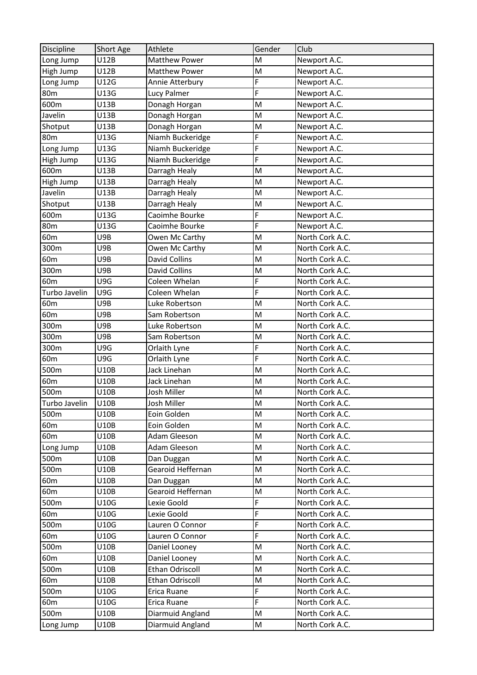| Discipline      | Short Age   | Athlete                | Gender | Club            |
|-----------------|-------------|------------------------|--------|-----------------|
| Long Jump       | U12B        | <b>Matthew Power</b>   | M      | Newport A.C.    |
| High Jump       | U12B        | <b>Matthew Power</b>   | M      | Newport A.C.    |
| Long Jump       | U12G        | Annie Atterbury        | F      | Newport A.C.    |
| 80 <sub>m</sub> | U13G        | Lucy Palmer            | F      | Newport A.C.    |
| 600m            | U13B        | Donagh Horgan          | M      | Newport A.C.    |
| Javelin         | U13B        | Donagh Horgan          | M      | Newport A.C.    |
| Shotput         | U13B        | Donagh Horgan          | M      | Newport A.C.    |
| 80 <sub>m</sub> | U13G        | Niamh Buckeridge       | F      | Newport A.C.    |
| Long Jump       | U13G        | Niamh Buckeridge       | F      | Newport A.C.    |
| High Jump       | U13G        | Niamh Buckeridge       | F      | Newport A.C.    |
| 600m            | U13B        | Darragh Healy          | M      | Newport A.C.    |
| High Jump       | U13B        | Darragh Healy          | M      | Newport A.C.    |
| Javelin         | U13B        | Darragh Healy          | M      | Newport A.C.    |
| Shotput         | U13B        | Darragh Healy          | M      | Newport A.C.    |
| 600m            | U13G        | Caoimhe Bourke         | F      | Newport A.C.    |
| 80 <sub>m</sub> | U13G        | Caoimhe Bourke         | F      | Newport A.C.    |
| 60 <sub>m</sub> | U9B         | Owen Mc Carthy         | M      | North Cork A.C. |
| 300m            | U9B         | Owen Mc Carthy         | M      | North Cork A.C. |
| 60 <sub>m</sub> | U9B         | <b>David Collins</b>   | M      | North Cork A.C. |
| 300m            | U9B         | <b>David Collins</b>   | M      | North Cork A.C. |
| 60 <sub>m</sub> | U9G         | Coleen Whelan          | F      | North Cork A.C. |
| Turbo Javelin   | U9G         | Coleen Whelan          | F      | North Cork A.C. |
| 60 <sub>m</sub> | U9B         | Luke Robertson         | M      | North Cork A.C. |
| 60 <sub>m</sub> | U9B         | Sam Robertson          | M      | North Cork A.C. |
| 300m            | U9B         | Luke Robertson         | M      | North Cork A.C. |
| 300m            | U9B         | Sam Robertson          | M      | North Cork A.C. |
| 300m            | U9G         | Orlaith Lyne           | F      | North Cork A.C. |
| 60m             | U9G         | Orlaith Lyne           | F      | North Cork A.C. |
| 500m            | U10B        | Jack Linehan           | M      | North Cork A.C. |
| 60 <sub>m</sub> | <b>U10B</b> | Jack Linehan           | M      | North Cork A.C. |
| 500m            | <b>U10B</b> | Josh Miller            | M      | North Cork A.C. |
| Turbo Javelin   | <b>U10B</b> | Josh Miller            | M      | North Cork A.C. |
| 500m            | <b>U10B</b> | Eoin Golden            | M      | North Cork A.C. |
| 60 <sub>m</sub> | U10B        | Eoin Golden            | M      | North Cork A.C. |
| 60 <sub>m</sub> | <b>U10B</b> | Adam Gleeson           | M      | North Cork A.C. |
| Long Jump       | U10B        | Adam Gleeson           | M      | North Cork A.C. |
| 500m            | U10B        | Dan Duggan             | M      | North Cork A.C. |
| 500m            | <b>U10B</b> | Gearoid Heffernan      | M      | North Cork A.C. |
| 60 <sub>m</sub> | U10B        | Dan Duggan             | M      | North Cork A.C. |
| 60 <sub>m</sub> | U10B        | Gearoid Heffernan      | M      | North Cork A.C. |
| 500m            | U10G        | Lexie Goold            | F      | North Cork A.C. |
| 60 <sub>m</sub> | U10G        | Lexie Goold            | F      | North Cork A.C. |
| 500m            | U10G        | Lauren O Connor        | F      | North Cork A.C. |
| 60 <sub>m</sub> | U10G        | Lauren O Connor        | F      | North Cork A.C. |
| 500m            | U10B        | Daniel Looney          | M      | North Cork A.C. |
| 60 <sub>m</sub> | U10B        | Daniel Looney          | M      | North Cork A.C. |
| 500m            | U10B        | <b>Ethan Odriscoll</b> | M      | North Cork A.C. |
| 60 <sub>m</sub> | <b>U10B</b> | <b>Ethan Odriscoll</b> | M      | North Cork A.C. |
| 500m            | U10G        | Erica Ruane            | F      | North Cork A.C. |
| 60 <sub>m</sub> | U10G        | Erica Ruane            | F      | North Cork A.C. |
| 500m            | <b>U10B</b> | Diarmuid Angland       | M      | North Cork A.C. |
| Long Jump       | U10B        | Diarmuid Angland       | M      | North Cork A.C. |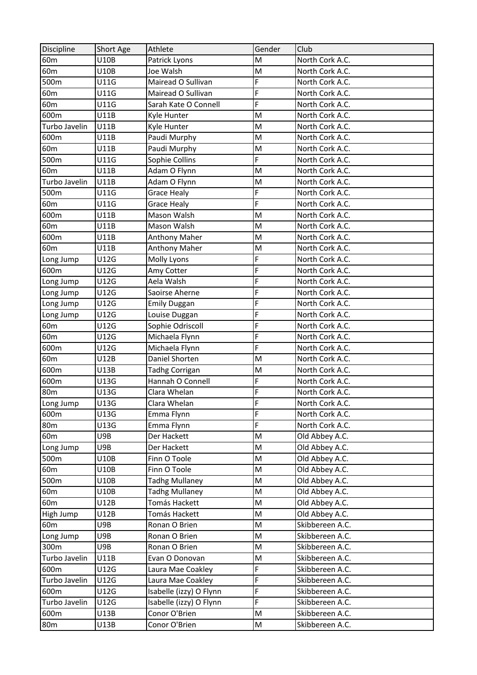| U10B<br>Patrick Lyons<br>60 <sub>m</sub><br>M<br>North Cork A.C.         |  |
|--------------------------------------------------------------------------|--|
| 60 <sub>m</sub><br>U10B<br>M<br>Joe Walsh<br>North Cork A.C.             |  |
| Mairead O Sullivan<br>F<br>500m<br>U11G<br>North Cork A.C.               |  |
| F<br>U11G<br>Mairead O Sullivan<br>60 <sub>m</sub><br>North Cork A.C.    |  |
| F<br>U11G<br>60 <sub>m</sub><br>Sarah Kate O Connell<br>North Cork A.C.  |  |
| 600m<br>U11B<br>Kyle Hunter<br>M<br>North Cork A.C.                      |  |
| Turbo Javelin<br>U11B<br>North Cork A.C.<br>Kyle Hunter<br>M             |  |
| 600m<br>U11B<br>Paudi Murphy<br>M<br>North Cork A.C.                     |  |
| 60 <sub>m</sub><br>M<br>U11B<br>Paudi Murphy<br>North Cork A.C.          |  |
| F<br>500m<br>U11G<br>Sophie Collins<br>North Cork A.C.                   |  |
| 60 <sub>m</sub><br>U11B<br>Adam O Flynn<br>M<br>North Cork A.C.          |  |
| Turbo Javelin<br>U11B<br>M<br>Adam O Flynn<br>North Cork A.C.            |  |
| F<br>500m<br>U11G<br>North Cork A.C.<br><b>Grace Healy</b>               |  |
| F<br>U11G<br>60 <sub>m</sub><br><b>Grace Healy</b><br>North Cork A.C.    |  |
| M<br>600m<br>U11B<br>Mason Walsh<br>North Cork A.C.                      |  |
| 60 <sub>m</sub><br>U11B<br>Mason Walsh<br>M<br>North Cork A.C.           |  |
| 600m<br>U11B<br>M<br>North Cork A.C.<br><b>Anthony Maher</b>             |  |
| 60 <sub>m</sub><br>U11B<br><b>Anthony Maher</b><br>North Cork A.C.<br>M  |  |
| F<br>U12G<br>Molly Lyons<br>North Cork A.C.<br>Long Jump                 |  |
| F<br>600m<br>U12G<br>Amy Cotter<br>North Cork A.C.                       |  |
| U12G<br>F<br>Aela Walsh<br>North Cork A.C.<br>Long Jump                  |  |
| F<br>U12G<br>Long Jump<br>Saoirse Aherne<br>North Cork A.C.              |  |
| F<br>Long Jump<br>U12G<br>North Cork A.C.<br><b>Emily Duggan</b>         |  |
| F<br>U12G<br>North Cork A.C.<br>Long Jump<br>Louise Duggan               |  |
| F<br>U12G<br>60 <sub>m</sub><br>Sophie Odriscoll<br>North Cork A.C.      |  |
| F<br>60 <sub>m</sub><br>U12G<br>Michaela Flynn<br>North Cork A.C.        |  |
| F<br>600m<br>U12G<br>Michaela Flynn<br>North Cork A.C.                   |  |
| Daniel Shorten<br>60 <sub>m</sub><br>U12B<br>North Cork A.C.<br>M        |  |
| 600m<br>M<br>North Cork A.C.<br>U13B<br><b>Tadhg Corrigan</b>            |  |
| F<br>600m<br>Hannah O Connell<br>U13G<br>North Cork A.C.                 |  |
| F<br>80 <sub>m</sub><br>U13G<br>Clara Whelan<br>North Cork A.C.          |  |
| Long Jump<br>F<br>U13G<br>Clara Whelan<br>North Cork A.C.                |  |
| F<br>600m<br>U13G<br>Emma Flynn<br>North Cork A.C.                       |  |
| F<br>80 <sub>m</sub><br>U13G<br>North Cork A.C.<br>Emma Flynn            |  |
| U9B<br>M<br>Old Abbey A.C.<br>60 <sub>m</sub><br>Der Hackett             |  |
| Old Abbey A.C.<br>U9B<br>Der Hackett<br>M<br>Long Jump                   |  |
| U10B<br>Finn O Toole<br>M<br>Old Abbey A.C.<br>500m                      |  |
| Finn O Toole<br>60 <sub>m</sub><br>U10B<br>Old Abbey A.C.<br>M           |  |
| <b>Tadhg Mullaney</b><br>Old Abbey A.C.<br>500m<br>U10B<br>M             |  |
| Old Abbey A.C.<br>60 <sub>m</sub><br>U10B<br><b>Tadhg Mullaney</b><br>M  |  |
| Old Abbey A.C.<br>U12B<br>Tomás Hackett<br>M<br>60 <sub>m</sub>          |  |
| M<br>Old Abbey A.C.<br>High Jump<br>U12B<br>Tomás Hackett                |  |
| Skibbereen A.C.<br>60 <sub>m</sub><br>U9B<br>Ronan O Brien<br>M          |  |
| Long Jump<br>U9B<br>M<br>Skibbereen A.C.<br>Ronan O Brien                |  |
| U9B<br>M<br>300m<br>Ronan O Brien<br>Skibbereen A.C.                     |  |
| Skibbereen A.C.<br>Turbo Javelin<br>U11B<br>Evan O Donovan<br>M          |  |
| F<br>600m<br>U12G<br>Skibbereen A.C.<br>Laura Mae Coakley                |  |
| F<br>Turbo Javelin<br>U12G<br>Skibbereen A.C.<br>Laura Mae Coakley       |  |
| F<br>600m<br>U12G<br>Isabelle (izzy) O Flynn<br>Skibbereen A.C.          |  |
| F<br>Turbo Javelin<br>Isabelle (izzy) O Flynn<br>U12G<br>Skibbereen A.C. |  |
| U13B<br>Conor O'Brien<br>Skibbereen A.C.<br>600m<br>M                    |  |
| 80 <sub>m</sub><br>Conor O'Brien<br>M<br>Skibbereen A.C.<br>U13B         |  |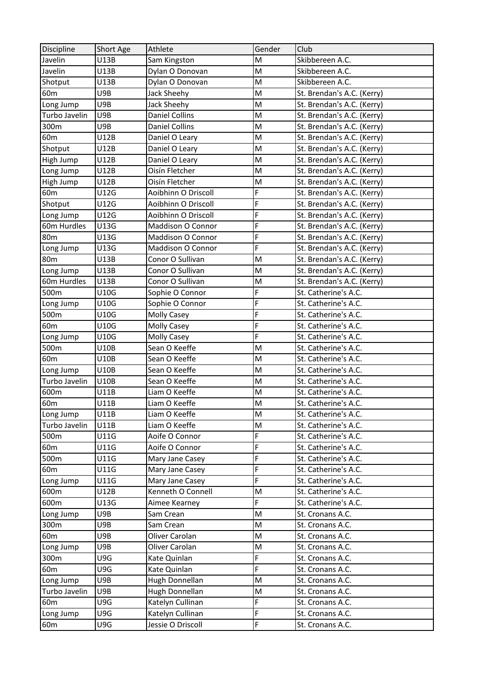| <b>Discipline</b> | Short Age | Athlete               | Gender | Club                       |
|-------------------|-----------|-----------------------|--------|----------------------------|
| Javelin           | U13B      | Sam Kingston          | M      | Skibbereen A.C.            |
| Javelin           | U13B      | Dylan O Donovan       | M      | Skibbereen A.C.            |
| Shotput           | U13B      | Dylan O Donovan       | M      | Skibbereen A.C.            |
| 60 <sub>m</sub>   | U9B       | Jack Sheehy           | M      | St. Brendan's A.C. (Kerry) |
| Long Jump         | U9B       | Jack Sheehy           | M      | St. Brendan's A.C. (Kerry) |
| Turbo Javelin     | U9B       | <b>Daniel Collins</b> | M      | St. Brendan's A.C. (Kerry) |
| 300m              | U9B       | <b>Daniel Collins</b> | M      | St. Brendan's A.C. (Kerry) |
| 60 <sub>m</sub>   | U12B      | Daniel O Leary        | M      | St. Brendan's A.C. (Kerry) |
| Shotput           | U12B      | Daniel O Leary        | M      | St. Brendan's A.C. (Kerry) |
| High Jump         | U12B      | Daniel O Leary        | M      | St. Brendan's A.C. (Kerry) |
| Long Jump         | U12B      | Oisín Fletcher        | M      | St. Brendan's A.C. (Kerry) |
| High Jump         | U12B      | Oisín Fletcher        | M      | St. Brendan's A.C. (Kerry) |
| 60 <sub>m</sub>   | U12G      | Aoibhinn O Driscoll   | F      | St. Brendan's A.C. (Kerry) |
| Shotput           | U12G      | Aoibhinn O Driscoll   | F      | St. Brendan's A.C. (Kerry) |
| Long Jump         | U12G      | Aoibhinn O Driscoll   | F      | St. Brendan's A.C. (Kerry) |
| 60m Hurdles       | U13G      | Maddison O Connor     | F      | St. Brendan's A.C. (Kerry) |
| 80 <sub>m</sub>   | U13G      | Maddison O Connor     | F      | St. Brendan's A.C. (Kerry) |
| Long Jump         | U13G      | Maddison O Connor     | F      | St. Brendan's A.C. (Kerry) |
| 80 <sub>m</sub>   | U13B      | Conor O Sullivan      | M      | St. Brendan's A.C. (Kerry) |
| Long Jump         | U13B      | Conor O Sullivan      | M      | St. Brendan's A.C. (Kerry) |
| 60m Hurdles       | U13B      | Conor O Sullivan      | M      | St. Brendan's A.C. (Kerry) |
| 500m              | U10G      | Sophie O Connor       | F      | St. Catherine's A.C.       |
| Long Jump         | U10G      | Sophie O Connor       | F      | St. Catherine's A.C.       |
| 500m              | U10G      | Molly Casey           | F      | St. Catherine's A.C.       |
| 60 <sub>m</sub>   | U10G      | <b>Molly Casey</b>    | F      | St. Catherine's A.C.       |
| Long Jump         | U10G      | Molly Casey           | F      | St. Catherine's A.C.       |
| 500m              | U10B      | Sean O Keeffe         | M      | St. Catherine's A.C.       |
| 60 <sub>m</sub>   | U10B      | Sean O Keeffe         | M      | St. Catherine's A.C.       |
| Long Jump         | U10B      | Sean O Keeffe         | M      | St. Catherine's A.C.       |
| Turbo Javelin     | U10B      | Sean O Keeffe         | M      | St. Catherine's A.C.       |
| 600m              | U11B      | Liam O Keeffe         | M      | St. Catherine's A.C.       |
| 60 <sub>m</sub>   | U11B      | Liam O Keeffe         | M      | St. Catherine's A.C.       |
| Long Jump         | U11B      | Liam O Keeffe         | M      | St. Catherine's A.C.       |
| Turbo Javelin     | U11B      | Liam O Keeffe         | M      | St. Catherine's A.C.       |
| 500m              | U11G      | Aoife O Connor        | F      | St. Catherine's A.C.       |
| 60 <sub>m</sub>   | U11G      | Aoife O Connor        | F      | St. Catherine's A.C.       |
| 500m              | U11G      | Mary Jane Casey       | F      | St. Catherine's A.C.       |
| 60 <sub>m</sub>   | U11G      | Mary Jane Casey       | F      | St. Catherine's A.C.       |
| Long Jump         | U11G      | Mary Jane Casey       | F      | St. Catherine's A.C.       |
| 600m              | U12B      | Kenneth O Connell     | M      | St. Catherine's A.C.       |
| 600m              | U13G      | Aimee Kearney         | F      | St. Catherine's A.C.       |
| Long Jump         | U9B       | Sam Crean             | M      | St. Cronans A.C.           |
| 300m              | U9B       | Sam Crean             | M      | St. Cronans A.C.           |
| 60 <sub>m</sub>   | U9B       | Oliver Carolan        | M      | St. Cronans A.C.           |
| Long Jump         | U9B       | Oliver Carolan        | M      | St. Cronans A.C.           |
| 300m              | U9G       | Kate Quinlan          | F      | St. Cronans A.C.           |
| 60 <sub>m</sub>   | U9G       | Kate Quinlan          | F      | St. Cronans A.C.           |
| Long Jump         | U9B       | Hugh Donnellan        | M      | St. Cronans A.C.           |
| Turbo Javelin     | U9B       | Hugh Donnellan        | M      | St. Cronans A.C.           |
| 60 <sub>m</sub>   | U9G       | Katelyn Cullinan      | F      | St. Cronans A.C.           |
| Long Jump         | U9G       | Katelyn Cullinan      | F      | St. Cronans A.C.           |
| 60m               | U9G       | Jessie O Driscoll     | F      | St. Cronans A.C.           |
|                   |           |                       |        |                            |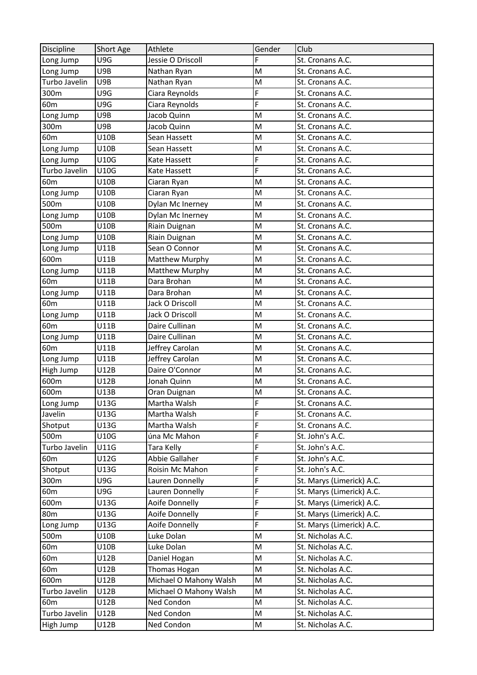| Discipline      | Short Age   | Athlete                | Gender | Club                      |
|-----------------|-------------|------------------------|--------|---------------------------|
| Long Jump       | U9G         | Jessie O Driscoll      | F      | St. Cronans A.C.          |
| Long Jump       | U9B         | Nathan Ryan            | M      | St. Cronans A.C.          |
| Turbo Javelin   | U9B         | Nathan Ryan            | M      | St. Cronans A.C.          |
| 300m            | U9G         | Ciara Reynolds         | F      | St. Cronans A.C.          |
| 60 <sub>m</sub> | U9G         | Ciara Reynolds         | F      | St. Cronans A.C.          |
| Long Jump       | U9B         | Jacob Quinn            | M      | St. Cronans A.C.          |
| 300m            | U9B         | Jacob Quinn            | M      | St. Cronans A.C.          |
| 60 <sub>m</sub> | U10B        | Sean Hassett           | M      | St. Cronans A.C.          |
| Long Jump       | U10B        | Sean Hassett           | M      | St. Cronans A.C.          |
| Long Jump       | U10G        | Kate Hassett           | F      | St. Cronans A.C.          |
| Turbo Javelin   | U10G        | Kate Hassett           | F      | St. Cronans A.C.          |
| 60 <sub>m</sub> | U10B        | Ciaran Ryan            | M      | St. Cronans A.C.          |
| Long Jump       | U10B        | Ciaran Ryan            | M      | St. Cronans A.C.          |
| 500m            | U10B        | Dylan Mc Inerney       | M      | St. Cronans A.C.          |
| Long Jump       | U10B        | Dylan Mc Inerney       | M      | St. Cronans A.C.          |
| 500m            | U10B        | Riain Duignan          | M      | St. Cronans A.C.          |
| Long Jump       | <b>U10B</b> | Riain Duignan          | M      | St. Cronans A.C.          |
| Long Jump       | U11B        | Sean O Connor          | M      | St. Cronans A.C.          |
| 600m            | U11B        | Matthew Murphy         | M      | St. Cronans A.C.          |
| Long Jump       | <b>U11B</b> | Matthew Murphy         | M      | St. Cronans A.C.          |
| 60 <sub>m</sub> | U11B        | Dara Brohan            | M      | St. Cronans A.C.          |
| Long Jump       | U11B        | Dara Brohan            | M      | St. Cronans A.C.          |
| 60 <sub>m</sub> | <b>U11B</b> | Jack O Driscoll        | M      | St. Cronans A.C.          |
| Long Jump       | U11B        | Jack O Driscoll        | M      | St. Cronans A.C.          |
| 60 <sub>m</sub> | U11B        | Daire Cullinan         | M      | St. Cronans A.C.          |
| Long Jump       | U11B        | Daire Cullinan         | M      | St. Cronans A.C.          |
| 60 <sub>m</sub> | U11B        | Jeffrey Carolan        | M      | St. Cronans A.C.          |
| Long Jump       | U11B        | Jeffrey Carolan        | M      | St. Cronans A.C.          |
| High Jump       | U12B        | Daire O'Connor         | M      | St. Cronans A.C.          |
| 600m            | <b>U12B</b> | Jonah Quinn            | M      | St. Cronans A.C.          |
| 600m            | U13B        | Oran Duignan           | M      | St. Cronans A.C.          |
| Long Jump       | U13G        | Martha Walsh           | F      | St. Cronans A.C.          |
| Javelin         | U13G        | Martha Walsh           | F      | St. Cronans A.C.          |
| Shotput         | U13G        | Martha Walsh           | F      | St. Cronans A.C.          |
| 500m            | U10G        | úna Mc Mahon           | F      | St. John's A.C.           |
| Turbo Javelin   | U11G        | Tara Kelly             | F      | St. John's A.C.           |
| 60 <sub>m</sub> | U12G        | Abbie Gallaher         | F      | St. John's A.C.           |
| Shotput         | U13G        | Roisin Mc Mahon        | F      | St. John's A.C.           |
| 300m            | U9G         | Lauren Donnelly        | F      | St. Marys (Limerick) A.C. |
| 60 <sub>m</sub> | U9G         | Lauren Donnelly        | F      | St. Marys (Limerick) A.C. |
| 600m            | U13G        | Aoife Donnelly         | F      | St. Marys (Limerick) A.C. |
| 80 <sub>m</sub> | U13G        | Aoife Donnelly         | F      | St. Marys (Limerick) A.C. |
| Long Jump       | U13G        | Aoife Donnelly         | F      | St. Marys (Limerick) A.C. |
| 500m            | U10B        | Luke Dolan             | M      | St. Nicholas A.C.         |
| 60m             | U10B        | Luke Dolan             | M      | St. Nicholas A.C.         |
| 60m             | U12B        | Daniel Hogan           | M      | St. Nicholas A.C.         |
| 60 <sub>m</sub> | U12B        | Thomas Hogan           | M      | St. Nicholas A.C.         |
| 600m            | U12B        | Michael O Mahony Walsh | M      | St. Nicholas A.C.         |
| Turbo Javelin   | U12B        | Michael O Mahony Walsh | M      | St. Nicholas A.C.         |
| 60 <sub>m</sub> | U12B        | Ned Condon             | M      | St. Nicholas A.C.         |
| Turbo Javelin   | U12B        | Ned Condon             | M      | St. Nicholas A.C.         |
| High Jump       | U12B        | Ned Condon             | M      | St. Nicholas A.C.         |
|                 |             |                        |        |                           |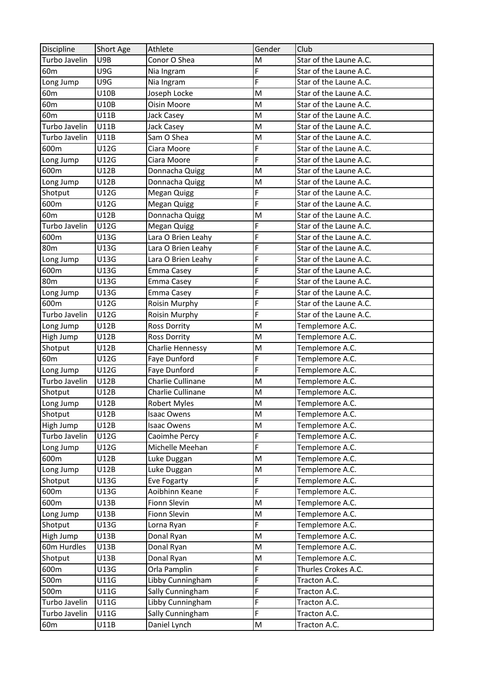| Discipline      | Short Age   | Athlete             | Gender | Club                   |
|-----------------|-------------|---------------------|--------|------------------------|
| Turbo Javelin   | U9B         | Conor O Shea        | M      | Star of the Laune A.C. |
| 60 <sub>m</sub> | U9G         | Nia Ingram          | F      | Star of the Laune A.C. |
| Long Jump       | U9G         | Nia Ingram          | F      | Star of the Laune A.C. |
| 60 <sub>m</sub> | U10B        | Joseph Locke        | M      | Star of the Laune A.C. |
| 60 <sub>m</sub> | U10B        | Oisin Moore         | M      | Star of the Laune A.C. |
| 60 <sub>m</sub> | U11B        | Jack Casey          | M      | Star of the Laune A.C. |
| Turbo Javelin   | <b>U11B</b> | Jack Casey          | M      | Star of the Laune A.C. |
| Turbo Javelin   | U11B        | Sam O Shea          | M      | Star of the Laune A.C. |
| 600m            | U12G        | Ciara Moore         | F      | Star of the Laune A.C. |
| Long Jump       | U12G        | Ciara Moore         | F      | Star of the Laune A.C. |
| 600m            | U12B        | Donnacha Quigg      | M      | Star of the Laune A.C. |
| Long Jump       | U12B        | Donnacha Quigg      | M      | Star of the Laune A.C. |
| Shotput         | U12G        | <b>Megan Quigg</b>  | F      | Star of the Laune A.C. |
| 600m            | U12G        | Megan Quigg         | F      | Star of the Laune A.C. |
| 60 <sub>m</sub> | U12B        | Donnacha Quigg      | M      | Star of the Laune A.C. |
| Turbo Javelin   | U12G        | Megan Quigg         | F      | Star of the Laune A.C. |
| 600m            | U13G        | Lara O Brien Leahy  | F      | Star of the Laune A.C. |
| 80 <sub>m</sub> | U13G        | Lara O Brien Leahy  | F      | Star of the Laune A.C. |
| Long Jump       | U13G        | Lara O Brien Leahy  | F      | Star of the Laune A.C. |
| 600m            | U13G        | Emma Casey          | F      | Star of the Laune A.C. |
| 80 <sub>m</sub> | U13G        | Emma Casey          | F      | Star of the Laune A.C. |
| Long Jump       | U13G        | Emma Casey          | F      | Star of the Laune A.C. |
| 600m            | U12G        | Roisin Murphy       | F      | Star of the Laune A.C. |
| Turbo Javelin   | U12G        | Roisin Murphy       | F      | Star of the Laune A.C. |
| Long Jump       | U12B        | <b>Ross Dorrity</b> | M      | Templemore A.C.        |
| High Jump       | U12B        | <b>Ross Dorrity</b> | M      | Templemore A.C.        |
| Shotput         | U12B        | Charlie Hennessy    | M      | Templemore A.C.        |
| 60 <sub>m</sub> | U12G        | Faye Dunford        | F      | Templemore A.C.        |
| Long Jump       | U12G        | Faye Dunford        | F      | Templemore A.C.        |
| Turbo Javelin   | <b>U12B</b> | Charlie Cullinane   | M      | Templemore A.C.        |
| Shotput         | U12B        | Charlie Cullinane   | M      | Templemore A.C.        |
| Long Jump       | U12B        | Robert Myles        | M      | Templemore A.C.        |
| Shotput         | U12B        | <b>Isaac Owens</b>  | M      | Templemore A.C.        |
| High Jump       | U12B        | <b>Isaac Owens</b>  | M      | Templemore A.C.        |
| Turbo Javelin   | U12G        | Caoimhe Percy       | F      | Templemore A.C.        |
| Long Jump       | U12G        | Michelle Meehan     | F      | Templemore A.C.        |
| 600m            | U12B        | Luke Duggan         | M      | Templemore A.C.        |
| Long Jump       | U12B        | Luke Duggan         | M      | Templemore A.C.        |
| Shotput         | U13G        | Eve Fogarty         | F      | Templemore A.C.        |
| 600m            | U13G        | Aoibhinn Keane      | F      | Templemore A.C.        |
| 600m            | U13B        | Fionn Slevin        | M      | Templemore A.C.        |
| Long Jump       | U13B        | Fionn Slevin        | M      | Templemore A.C.        |
| Shotput         | U13G        | Lorna Ryan          | F      | Templemore A.C.        |
| High Jump       | U13B        | Donal Ryan          | M      | Templemore A.C.        |
| 60m Hurdles     | U13B        | Donal Ryan          | M      | Templemore A.C.        |
| Shotput         | U13B        | Donal Ryan          | M      | Templemore A.C.        |
| 600m            | U13G        | Orla Pamplin        | F      | Thurles Crokes A.C.    |
| 500m            | U11G        | Libby Cunningham    | F      | Tracton A.C.           |
| 500m            | U11G        | Sally Cunningham    | F      | Tracton A.C.           |
| Turbo Javelin   | U11G        | Libby Cunningham    | F      | Tracton A.C.           |
| Turbo Javelin   | U11G        | Sally Cunningham    | F      | Tracton A.C.           |
|                 |             |                     |        |                        |
| 60 <sub>m</sub> | U11B        | Daniel Lynch        | M      | Tracton A.C.           |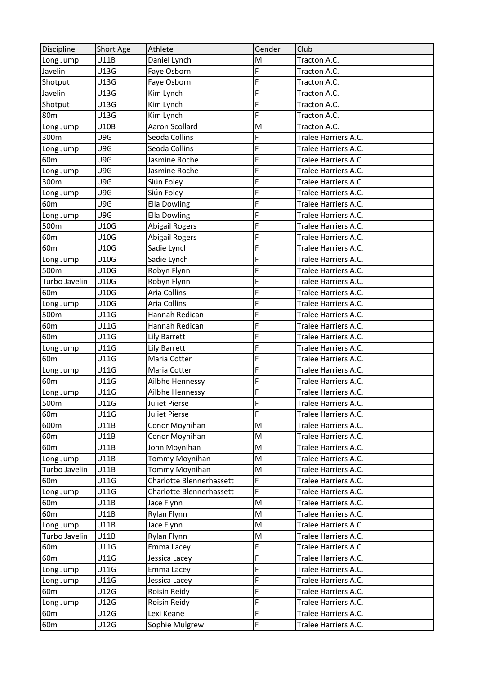| <b>Discipline</b> | Short Age   | Athlete                  | Gender | Club                 |
|-------------------|-------------|--------------------------|--------|----------------------|
| Long Jump         | U11B        | Daniel Lynch             | M      | Tracton A.C.         |
| Javelin           | U13G        | Faye Osborn              | F      | Tracton A.C.         |
| Shotput           | U13G        | Faye Osborn              | F      | Tracton A.C.         |
| Javelin           | U13G        | Kim Lynch                | F      | Tracton A.C.         |
| Shotput           | U13G        | Kim Lynch                | F      | Tracton A.C.         |
| 80 <sub>m</sub>   | U13G        | Kim Lynch                | F      | Tracton A.C.         |
| Long Jump         | U10B        | Aaron Scollard           | M      | Tracton A.C.         |
| 300m              | U9G         | Seoda Collins            | F      | Tralee Harriers A.C. |
| Long Jump         | U9G         | Seoda Collins            | F      | Tralee Harriers A.C. |
| 60 <sub>m</sub>   | U9G         | Jasmine Roche            | F      | Tralee Harriers A.C. |
| Long Jump         | U9G         | Jasmine Roche            | F      | Tralee Harriers A.C. |
| 300m              | U9G         | Siún Foley               | F      | Tralee Harriers A.C. |
| Long Jump         | U9G         | Siún Foley               | F      | Tralee Harriers A.C. |
| 60 <sub>m</sub>   | U9G         | <b>Ella Dowling</b>      | F      | Tralee Harriers A.C. |
| Long Jump         | U9G         | <b>Ella Dowling</b>      | F      | Tralee Harriers A.C. |
| 500m              | U10G        | <b>Abigail Rogers</b>    | F      | Tralee Harriers A.C. |
| 60 <sub>m</sub>   | U10G        | <b>Abigail Rogers</b>    | F      | Tralee Harriers A.C. |
| 60 <sub>m</sub>   | U10G        | Sadie Lynch              | F      | Tralee Harriers A.C. |
| Long Jump         | U10G        | Sadie Lynch              | F      | Tralee Harriers A.C. |
| 500m              | U10G        | Robyn Flynn              | F      | Tralee Harriers A.C. |
| Turbo Javelin     | U10G        | Robyn Flynn              | F      | Tralee Harriers A.C. |
| 60 <sub>m</sub>   | U10G        | <b>Aria Collins</b>      | F      | Tralee Harriers A.C. |
| Long Jump         | U10G        | Aria Collins             | F      | Tralee Harriers A.C. |
| 500m              | U11G        | Hannah Redican           | F      | Tralee Harriers A.C. |
| 60 <sub>m</sub>   | U11G        | Hannah Redican           | F      | Tralee Harriers A.C. |
| 60 <sub>m</sub>   | U11G        | Lily Barrett             | F      | Tralee Harriers A.C. |
| Long Jump         | U11G        | Lily Barrett             | F      | Tralee Harriers A.C. |
| 60 <sub>m</sub>   | <b>U11G</b> | Maria Cotter             | F      | Tralee Harriers A.C. |
| Long Jump         | U11G        | Maria Cotter             | F      | Tralee Harriers A.C. |
| 60 <sub>m</sub>   | U11G        | Ailbhe Hennessy          | F      | Tralee Harriers A.C. |
| Long Jump         | U11G        | Ailbhe Hennessy          | F      | Tralee Harriers A.C. |
| 500m              | U11G        | Juliet Pierse            | F      | Tralee Harriers A.C. |
| 60m               | U11G        | Juliet Pierse            | F      | Tralee Harriers A.C. |
| 600m              | U11B        | Conor Moynihan           | M      | Tralee Harriers A.C. |
| 60 <sub>m</sub>   | U11B        | Conor Moynihan           | M      | Tralee Harriers A.C. |
| 60 <sub>m</sub>   | U11B        | John Moynihan            | M      | Tralee Harriers A.C. |
| Long Jump         | U11B        | Tommy Moynihan           | M      | Tralee Harriers A.C. |
| Turbo Javelin     | U11B        | Tommy Moynihan           | M      | Tralee Harriers A.C. |
| 60 <sub>m</sub>   | U11G        | Charlotte Blennerhassett | F      | Tralee Harriers A.C. |
| Long Jump         | U11G        | Charlotte Blennerhassett | F      | Tralee Harriers A.C. |
| 60 <sub>m</sub>   | U11B        | Jace Flynn               | M      | Tralee Harriers A.C. |
| 60 <sub>m</sub>   | U11B        | Rylan Flynn              | M      | Tralee Harriers A.C. |
| Long Jump         | U11B        | Jace Flynn               | M      | Tralee Harriers A.C. |
| Turbo Javelin     | U11B        | Rylan Flynn              | M      | Tralee Harriers A.C. |
| 60m               | U11G        | Emma Lacey               | F      | Tralee Harriers A.C. |
| 60 <sub>m</sub>   | U11G        | Jessica Lacey            | F      | Tralee Harriers A.C. |
| Long Jump         | U11G        | Emma Lacey               | F      | Tralee Harriers A.C. |
| Long Jump         | U11G        | Jessica Lacey            | F      | Tralee Harriers A.C. |
| 60 <sub>m</sub>   | U12G        | Roisin Reidy             | F      | Tralee Harriers A.C. |
| Long Jump         | U12G        | Roisin Reidy             | F      | Tralee Harriers A.C. |
| 60 <sub>m</sub>   | U12G        | Lexi Keane               | F      | Tralee Harriers A.C. |
| 60 <sub>m</sub>   | U12G        | Sophie Mulgrew           | F      | Tralee Harriers A.C. |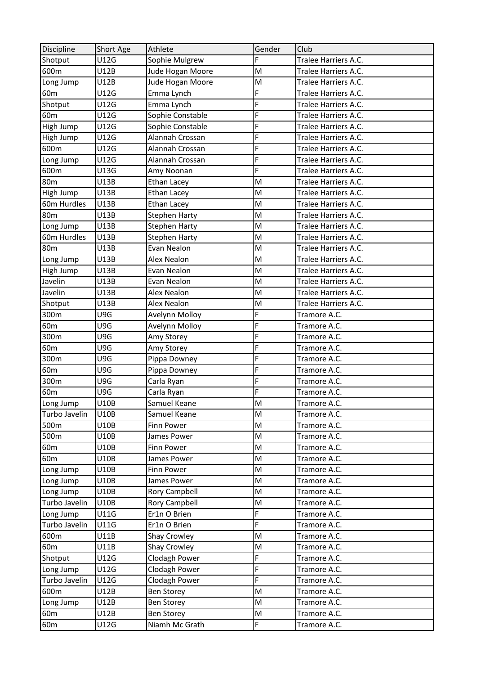| Discipline      | <b>Short Age</b> | Athlete              | Gender | Club                 |
|-----------------|------------------|----------------------|--------|----------------------|
| Shotput         | U12G             | Sophie Mulgrew       | F      | Tralee Harriers A.C. |
| 600m            | U12B             | Jude Hogan Moore     | M      | Tralee Harriers A.C. |
| Long Jump       | U12B             | Jude Hogan Moore     | M      | Tralee Harriers A.C. |
| 60 <sub>m</sub> | U12G             | Emma Lynch           | F      | Tralee Harriers A.C. |
| Shotput         | U12G             | Emma Lynch           | F      | Tralee Harriers A.C. |
| 60 <sub>m</sub> | U12G             | Sophie Constable     | F      | Tralee Harriers A.C. |
| High Jump       | U12G             | Sophie Constable     | F      | Tralee Harriers A.C. |
| High Jump       | U12G             | Alannah Crossan      | F      | Tralee Harriers A.C. |
| 600m            | U12G             | Alannah Crossan      | F      | Tralee Harriers A.C. |
| Long Jump       | U12G             | Alannah Crossan      | F      | Tralee Harriers A.C. |
| 600m            | U13G             | Amy Noonan           | F      | Tralee Harriers A.C. |
| 80 <sub>m</sub> | U13B             | Ethan Lacey          | M      | Tralee Harriers A.C. |
| High Jump       | U13B             | <b>Ethan Lacey</b>   | M      | Tralee Harriers A.C. |
| 60m Hurdles     | U13B             | Ethan Lacey          | M      | Tralee Harriers A.C. |
| 80 <sub>m</sub> | U13B             | <b>Stephen Harty</b> | M      | Tralee Harriers A.C. |
| Long Jump       | U13B             | <b>Stephen Harty</b> | M      | Tralee Harriers A.C. |
| 60m Hurdles     | U13B             | <b>Stephen Harty</b> | M      | Tralee Harriers A.C. |
| 80 <sub>m</sub> | U13B             | Evan Nealon          | M      | Tralee Harriers A.C. |
| Long Jump       | U13B             | Alex Nealon          | M      | Tralee Harriers A.C. |
| High Jump       | U13B             | Evan Nealon          | M      | Tralee Harriers A.C. |
| Javelin         | U13B             | Evan Nealon          | M      | Tralee Harriers A.C. |
| Javelin         | U13B             | <b>Alex Nealon</b>   | M      | Tralee Harriers A.C. |
| Shotput         | U13B             | <b>Alex Nealon</b>   | M      | Tralee Harriers A.C. |
| 300m            | U9G              | Avelynn Molloy       | F      | Tramore A.C.         |
| 60 <sub>m</sub> | U9G              | Avelynn Molloy       | F      | Tramore A.C.         |
| 300m            | U9G              | Amy Storey           | F      | Tramore A.C.         |
| 60 <sub>m</sub> | U9G              | Amy Storey           | F      | Tramore A.C.         |
| 300m            | U9G              | Pippa Downey         | F      | Tramore A.C.         |
| 60 <sub>m</sub> | U9G              | Pippa Downey         | F      | Tramore A.C.         |
| 300m            | U9G              | Carla Ryan           | F      | Tramore A.C.         |
| 60 <sub>m</sub> | U9G              | Carla Ryan           | F      | Tramore A.C.         |
| Long Jump       | U10B             | Samuel Keane         | M      | Tramore A.C.         |
| Turbo Javelin   | U10B             | Samuel Keane         | M      | Tramore A.C.         |
| 500m            | U10B             | Finn Power           | M      | Tramore A.C.         |
| 500m            | <b>U10B</b>      | James Power          | M      | Tramore A.C.         |
| 60 <sub>m</sub> | <b>U10B</b>      | Finn Power           | M      | Tramore A.C.         |
| 60 <sub>m</sub> | U10B             | James Power          | M      | Tramore A.C.         |
| Long Jump       | U10B             | Finn Power           | M      | Tramore A.C.         |
| Long Jump       | U10B             | James Power          | M      | Tramore A.C.         |
| Long Jump       | U10B             | <b>Rory Campbell</b> | M      | Tramore A.C.         |
| Turbo Javelin   | <b>U10B</b>      | <b>Rory Campbell</b> | M      | Tramore A.C.         |
| Long Jump       | U11G             | Er1n O Brien         | F      | Tramore A.C.         |
| Turbo Javelin   | U11G             | Er1n O Brien         | F      | Tramore A.C.         |
| 600m            | U11B             | Shay Crowley         | M      | Tramore A.C.         |
| 60 <sub>m</sub> | U11B             | Shay Crowley         | M      | Tramore A.C.         |
| Shotput         | U12G             | Clodagh Power        | F      | Tramore A.C.         |
| Long Jump       | U12G             | Clodagh Power        | F      | Tramore A.C.         |
| Turbo Javelin   | U12G             | Clodagh Power        | F      | Tramore A.C.         |
| 600m            | U12B             | <b>Ben Storey</b>    | M      | Tramore A.C.         |
| Long Jump       | U12B             | <b>Ben Storey</b>    | M      | Tramore A.C.         |
| 60 <sub>m</sub> | U12B             | <b>Ben Storey</b>    | M      | Tramore A.C.         |
| 60m             | U12G             | Niamh Mc Grath       | F      | Tramore A.C.         |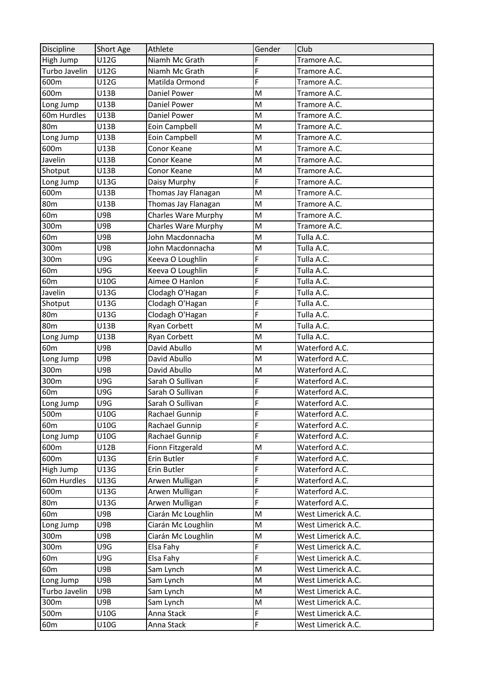| <b>Discipline</b> | Short Age | Athlete                    | Gender | Club               |
|-------------------|-----------|----------------------------|--------|--------------------|
| High Jump         | U12G      | Niamh Mc Grath             | F      | Tramore A.C.       |
| Turbo Javelin     | U12G      | Niamh Mc Grath             | F      | Tramore A.C.       |
| 600m              | U12G      | Matilda Ormond             | F      | Tramore A.C.       |
| 600m              | U13B      | Daniel Power               | M      | Tramore A.C.       |
| Long Jump         | U13B      | Daniel Power               | M      | Tramore A.C.       |
| 60m Hurdles       | U13B      | Daniel Power               | M      | Tramore A.C.       |
| 80 <sub>m</sub>   | U13B      | Eoin Campbell              | M      | Tramore A.C.       |
| Long Jump         | U13B      | Eoin Campbell              | M      | Tramore A.C.       |
| 600m              | U13B      | Conor Keane                | M      | Tramore A.C.       |
| Javelin           | U13B      | Conor Keane                | M      | Tramore A.C.       |
| Shotput           | U13B      | Conor Keane                | M      | Tramore A.C.       |
| Long Jump         | U13G      | Daisy Murphy               | F      | Tramore A.C.       |
| 600m              | U13B      | Thomas Jay Flanagan        | M      | Tramore A.C.       |
| <b>80m</b>        | U13B      | Thomas Jay Flanagan        | M      | Tramore A.C.       |
| 60m               | U9B       | <b>Charles Ware Murphy</b> | M      | Tramore A.C.       |
| 300m              | U9B       | <b>Charles Ware Murphy</b> | M      | Tramore A.C.       |
| 60 <sub>m</sub>   | U9B       | John Macdonnacha           | M      | Tulla A.C.         |
| 300m              | U9B       | John Macdonnacha           | M      | Tulla A.C.         |
| 300m              | U9G       | Keeva O Loughlin           | F      | Tulla A.C.         |
| 60 <sub>m</sub>   | U9G       | Keeva O Loughlin           | F      | Tulla A.C.         |
| 60 <sub>m</sub>   | U10G      | Aimee O Hanlon             | F      | Tulla A.C.         |
| Javelin           | U13G      | Clodagh O'Hagan            | F      | Tulla A.C.         |
| Shotput           | U13G      | Clodagh O'Hagan            | F      | Tulla A.C.         |
| 80 <sub>m</sub>   | U13G      | Clodagh O'Hagan            | F      | Tulla A.C.         |
| 80 <sub>m</sub>   | U13B      | <b>Ryan Corbett</b>        | M      | Tulla A.C.         |
| Long Jump         | U13B      | <b>Ryan Corbett</b>        | M      | Tulla A.C.         |
| 60 <sub>m</sub>   | U9B       | David Abullo               | M      | Waterford A.C.     |
| Long Jump         | U9B       | David Abullo               | M      | Waterford A.C.     |
| 300m              | U9B       | David Abullo               | M      | Waterford A.C.     |
| 300m              | U9G       | Sarah O Sullivan           | F      | Waterford A.C.     |
| 60 <sub>m</sub>   | U9G       | Sarah O Sullivan           | F      | Waterford A.C.     |
| Long Jump         | U9G       | Sarah O Sullivan           | F      | Waterford A.C.     |
| 500m              | U10G      | Rachael Gunnip             | F      | Waterford A.C.     |
| 60 <sub>m</sub>   | U10G      | Rachael Gunnip             | F      | Waterford A.C.     |
| Long Jump         | U10G      | Rachael Gunnip             | F      | Waterford A.C.     |
| 600m              | U12B      | Fionn Fitzgerald           | M      | Waterford A.C.     |
| 600m              | U13G      | Erin Butler                | F      | Waterford A.C.     |
| High Jump         | U13G      | Erin Butler                | F      | Waterford A.C.     |
| 60m Hurdles       | U13G      | Arwen Mulligan             | F      | Waterford A.C.     |
| 600m              | U13G      | Arwen Mulligan             | F      | Waterford A.C.     |
| 80 <sub>m</sub>   | U13G      | Arwen Mulligan             | F      | Waterford A.C.     |
| 60 <sub>m</sub>   | U9B       | Ciarán Mc Loughlin         | M      | West Limerick A.C. |
| Long Jump         | U9B       | Ciarán Mc Loughlin         | M      | West Limerick A.C. |
| 300m              | U9B       | Ciarán Mc Loughlin         | M      | West Limerick A.C. |
| 300m              | U9G       | Elsa Fahy                  | F      | West Limerick A.C. |
| 60 <sub>m</sub>   | U9G       | Elsa Fahy                  | F      | West Limerick A.C. |
| 60 <sub>m</sub>   | U9B       | Sam Lynch                  | M      | West Limerick A.C. |
| Long Jump         | U9B       | Sam Lynch                  | M      | West Limerick A.C. |
| Turbo Javelin     | U9B       | Sam Lynch                  | M      | West Limerick A.C. |
| 300m              | U9B       | Sam Lynch                  | M      | West Limerick A.C. |
| 500m              | U10G      | Anna Stack                 | F      | West Limerick A.C. |
| 60 <sub>m</sub>   | U10G      | Anna Stack                 | F      | West Limerick A.C. |